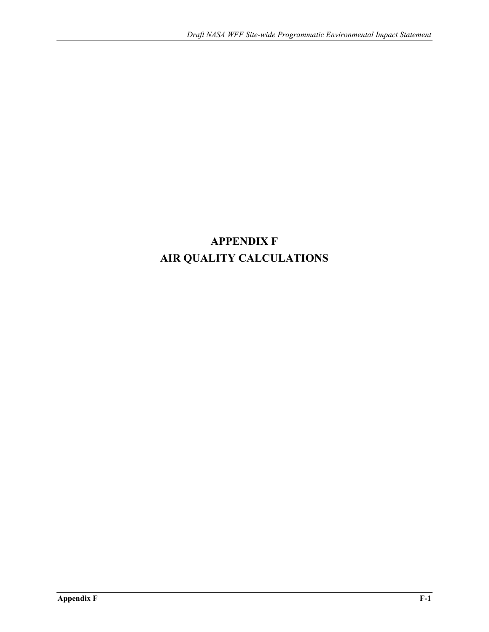# **APPENDIX F AIR QUALITY CALCULATIONS**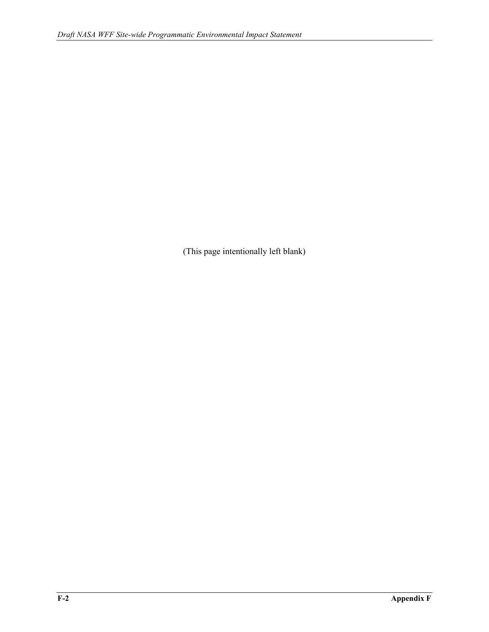(This page intentionally left blank)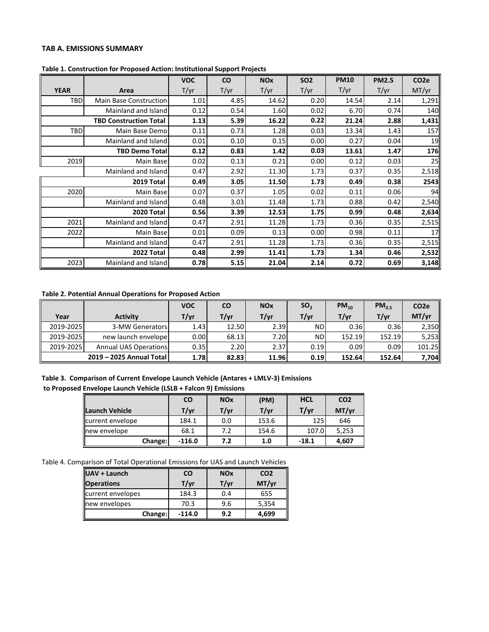## **TAB A. EMISSIONS SUMMARY**

|             |                               | <b>VOC</b> | <b>CO</b> | <b>NO<sub>x</sub></b> | <b>SO2</b> | <b>PM10</b> | <b>PM2.5</b> | CO <sub>2</sub> e |
|-------------|-------------------------------|------------|-----------|-----------------------|------------|-------------|--------------|-------------------|
| <b>YEAR</b> | Area                          | T/yr       | T/yr      | T/yr                  | T/yr       | T/yr        | T/yr         | MT/yr             |
| <b>TBD</b>  | Main Base Construction        | 1.01       | 4.85      | 14.62                 | 0.20       | 14.54       | 2.14         | 1,291             |
|             | Mainland and Island           | 0.12       | 0.54      | 1.60                  | 0.02       | 6.70        | 0.74         | 140               |
|             | <b>TBD Construction Total</b> | 1.13       | 5.39      | 16.22                 | 0.22       | 21.24       | 2.88         | 1,431             |
| TBD         | Main Base Demo                | 0.11       | 0.73      | 1.28                  | 0.03       | 13.34       | 1.43         | 157               |
|             | Mainland and Island           | 0.01       | 0.10      | 0.15                  | 0.00       | 0.27        | 0.04         | 19                |
|             | <b>TBD Demo Total</b>         | 0.12       | 0.83      | 1.42                  | 0.03       | 13.61       | 1.47         | 176               |
| 2019        | Main Base                     | 0.02       | 0.13      | 0.21                  | 0.00       | 0.12        | 0.03         | 25                |
|             | Mainland and Island           | 0.47       | 2.92      | 11.30                 | 1.73       | 0.37        | 0.35         | 2,518             |
|             | 2019 Total                    | 0.49       | 3.05      | 11.50                 | 1.73       | 0.49        | 0.38         | 2543              |
| 2020        | Main Base                     | 0.07       | 0.37      | 1.05                  | 0.02       | 0.11        | 0.06         | 94                |
|             | Mainland and Island           | 0.48       | 3.03      | 11.48                 | 1.73       | 0.88        | 0.42         | 2,540             |
|             | 2020 Total                    | 0.56       | 3.39      | 12.53                 | 1.75       | 0.99        | 0.48         | 2,634             |
| 2021        | Mainland and Island           | 0.47       | 2.91      | 11.28                 | 1.73       | 0.36        | 0.35         | 2,515             |
| 2022        | Main Base                     | 0.01       | 0.09      | 0.13                  | 0.00       | 0.98        | 0.11         | 17                |
|             | Mainland and Island           | 0.47       | 2.91      | 11.28                 | 1.73       | 0.36        | 0.35         | 2,515             |
|             | 2022 Total                    | 0.48       | 2.99      | 11.41                 | 1.73       | 1.34        | 0.46         | 2,532             |
| 2023        | Mainland and Island           | 0.78       | 5.15      | 21.04                 | 2.14       | 0.72        | 0.69         | 3,148             |

## **Table 1. Construction for Proposed Action: Institutional Support Projects**

## **Table 2. Potential Annual Operations for Proposed Action**

|           |                          | <b>VOC</b> | <b>CO</b> | <b>NO<sub>x</sub></b> | SO <sub>2</sub> | $PM_{10}$ | PM <sub>2.5</sub> | CO <sub>2</sub> e |
|-----------|--------------------------|------------|-----------|-----------------------|-----------------|-----------|-------------------|-------------------|
| Year      | <b>Activity</b>          | T/yr       | T/yr      | T/yr                  | T/yr            | T/yr      | T/yr              | MT/yr             |
| 2019-2025 | 3-MW Generators          | 1.43       | 12.50     | 2.39                  | <b>ND</b>       | 0.36      | 0.36              | 2,350             |
| 2019-2025 | new launch envelopel     | 0.00       | 68.13     | 7.20                  | <b>ND</b>       | 152.19    | 152.19            | 5,253             |
| 2019-2025 | Annual UAS Operations    | 0.35       | 2.20      | 2.37                  | 0.19            | 0.09      | 0.09              | 101.25            |
|           | 2019 - 2025 Annual Total | 1.78       | 82.83     | 11.96                 | 0.19            | 152.64    | 152.64            | 7,704             |

**Table 3. Comparison of Current Envelope Launch Vehicle (Antares + LMLV‐3) Emissions to Proposed Envelope Launch Vehicle (LSLB + Falcon 9) Emissions**

|                        | <b>CO</b> | <b>NOx</b> | (PM)  | <b>HCL</b> | CO <sub>2</sub> |
|------------------------|-----------|------------|-------|------------|-----------------|
| <b>ILaunch Vehicle</b> | T/yr      | T/yr       | T/yr  | T/yr       | MT/yr           |
| current envelope       | 184.1     | 0.0        | 153.6 | 125        | 646             |
| new envelope           | 68.1      | 7.2        | 154.6 | 107.0      | 5,253           |
| <b>Change:</b>         | $-116.0$  | 7.2        | 1.0   | $-18.1$    | 4,607           |

Table 4. Comparison of Total Operational Emissions for UAS and Launch Vehicles

| UAV + Launch      | <b>CO</b> | CO <sub>2</sub> |       |
|-------------------|-----------|-----------------|-------|
| <b>Operations</b> | T/yr      | T/yr            | MT/yr |
| current envelopes | 184.3     | 0.4             | 655   |
| new envelopes     | 70.3      | 9.6             | 5,354 |
| Change:           | $-114.0$  | 9.2             | 4,699 |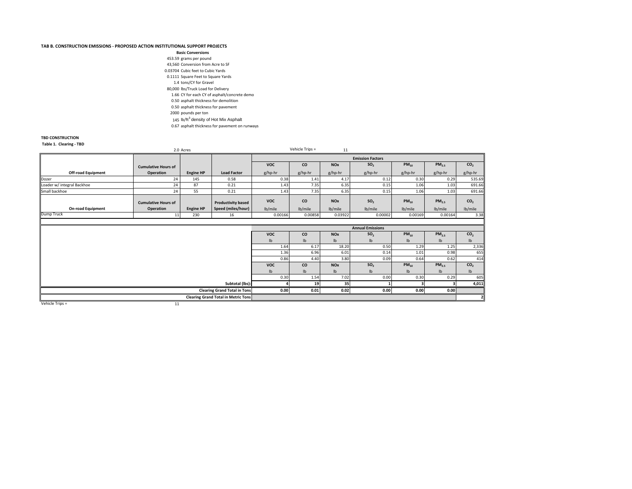#### **TAB B. CONSTRUCTION EMISSIONS ‐ PROPOSED ACTION INSTITUTIONAL SUPPORT PROJECTS**

453.59 grams per pound 43,560 Conversion from Acre to SF 0.03704 Cubic feet to Cubic Yards 0.1111 Square Feet to Square Yards 1.4 tons/CY for Gravel 80,000 lbs/Truck Load for Delivery 1.66 CY for each CY of asphalt/concrete demo 0.50 asphalt thickness for demolition 0.50 asphalt thickness for pavement 2000 pounds per ton 145 lb/ft<sup>3</sup> density of Hot Mix Asphalt 0.67 asphalt thickness for pavement on runways **Basic Conversions**

#### **TBD CONSTRUCTION**

|  | Table 1. Clearing - TBD |  |
|--|-------------------------|--|
|--|-------------------------|--|

|                            |                            | 2.0 Acres        |                                     |               | Vehicle Trips = | 11                        |                         |               |                   |                     |
|----------------------------|----------------------------|------------------|-------------------------------------|---------------|-----------------|---------------------------|-------------------------|---------------|-------------------|---------------------|
|                            |                            |                  |                                     |               |                 |                           | <b>Emission Factors</b> |               |                   |                     |
|                            | <b>Cumulative Hours of</b> |                  |                                     | <b>VOC</b>    | co              | <b>NOx</b>                | SO <sub>2</sub>         | $PM_{10}$     | PM <sub>2.5</sub> | CO <sub>2</sub>     |
| <b>Off-road Equipment</b>  | Operation                  | <b>Engine HP</b> | <b>Load Factor</b>                  | g/hp-hr       | g/hp-hr         | g/hp-hr                   | g/hp-hr                 | g/hp-hr       | g/hp-hr           | g/hp-hr             |
| Dozer                      | 24                         | 145              | 0.58                                | 0.38          | 1.41            | 4.17                      | 0.12                    | 0.30          | 0.29              | 535.69              |
| Loader w/ integral Backhoe | 24                         | 87               | 0.21                                | 1.43          | 7.35            | 6.35                      | 0.15                    | 1.06          | 1.03              | 691.66              |
| Small backhoe              | 24                         | 55               | 0.21                                | 1.43          | 7.35            | 6.35                      | 0.15                    | 1.06          | 1.03              | 691.66              |
|                            | <b>Cumulative Hours of</b> |                  | <b>Productivity based</b>           | <b>VOC</b>    | <b>CO</b>       | <b>NO<sub>x</sub></b>     | SO <sub>2</sub>         | $PM_{10}$     | PM <sub>2.5</sub> | CO <sub>2</sub>     |
| <b>On-road Equipment</b>   | Operation                  | <b>Engine HP</b> | Speed (miles/hour)                  | lb/mile       | lb/mile         | lb/mile                   | lb/mile                 | lb/mile       | lb/mile           | lb/mile             |
| Dump Truck                 | 11                         | 230              | 16                                  | 0.00166       | 0.00858         | 0.03922                   | 0.00002                 | 0.00169       | 0.00164           | 3.38                |
|                            |                            |                  |                                     |               |                 |                           |                         |               |                   |                     |
|                            |                            |                  |                                     |               |                 |                           |                         |               |                   |                     |
|                            |                            |                  |                                     |               |                 |                           | <b>Annual Emissions</b> |               |                   |                     |
|                            |                            |                  |                                     | <b>VOC</b>    | co              | <b>NO<sub>x</sub></b>     | SO <sub>2</sub>         | $PM_{10}$     | PM <sub>2.5</sub> | CO <sub>2</sub>     |
|                            |                            |                  |                                     | $\mathsf{lb}$ | I <sub>b</sub>  | $\mathsf{lb}$             | Ib                      | Ib            | Ib                | $\mathsf{lb}$       |
|                            |                            |                  |                                     | 1.64          | 6.17            | 18.20                     | 0.50                    | 1.29          | 1.25              |                     |
|                            |                            |                  |                                     | 1.36          | 6.96            | 6.01                      | 0.14                    | 1.01          | 0.98              |                     |
|                            |                            |                  |                                     | 0.86          | 4.40            | 3.80                      | 0.09                    | 0.64          | 0.62              | 2,336<br>655<br>414 |
|                            |                            |                  |                                     | <b>VOC</b>    | co              | <b>NOx</b>                | SO <sub>2</sub>         | $PM_{10}$     | PM <sub>2.5</sub> | CO <sub>2</sub>     |
|                            |                            |                  |                                     | $\mathsf{lb}$ | I <sub>b</sub>  | $\mathsf{I}^{\mathsf{b}}$ | $\mathsf{lb}$           | $\mathsf{lb}$ | $\mathsf{lb}$     | $\mathsf{lb}$       |
|                            |                            |                  |                                     | 0.30          | 1.54            | 7.02                      | 0.00                    | 0.30          | 0.29              |                     |
|                            |                            |                  | Subtotal (lbs):                     |               | 19              | 35                        |                         |               |                   | 605<br>4,011        |
|                            |                            |                  | <b>Clearing Grand Total in Tons</b> | 0.00          | 0.01            | 0.02                      | 0.00                    | 0.00          | 0.00              |                     |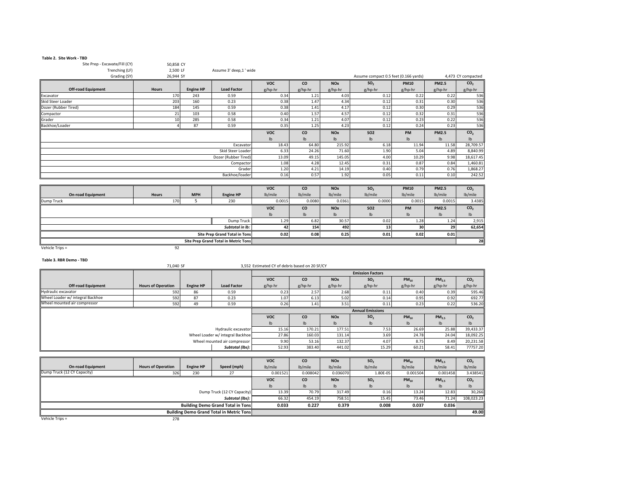#### **Table 2. Site Work ‐ TBD**

Site Prep ‐ Excavate/Fill (CY) 50,858 CY

| Trenching (LF)            | 2,500 LF     |                  | Assume 3' deep,1 ' wide              |                           |                           |                       |                                       |               |                           |                    |
|---------------------------|--------------|------------------|--------------------------------------|---------------------------|---------------------------|-----------------------|---------------------------------------|---------------|---------------------------|--------------------|
| Grading (SY)              | 26,944 SY    |                  |                                      |                           |                           |                       | Assume compact 0.5 feet (0.166 yards) |               |                           | 4,473 CY compacted |
|                           |              |                  |                                      | <b>VOC</b>                | co                        | <b>NO<sub>x</sub></b> | SO <sub>2</sub>                       | <b>PM10</b>   | <b>PM2.5</b>              | CO <sub>2</sub>    |
| <b>Off-road Equipment</b> | <b>Hours</b> | <b>Engine HP</b> | <b>Load Factor</b>                   | g/hp-hr                   | g/hp-hr                   | g/hp-hr               | g/hp-hr                               | g/hp-hr       | g/hp-hr                   | g/hp-hr            |
| Excavator                 | 170          | 243              | 0.59                                 | 0.34                      | 1.21                      | 4.03                  | 0.12                                  | 0.22          | 0.22                      | 536                |
| Skid Steer Loader         | 203          | 160              | 0.23                                 | 0.38                      | 1.47                      | 4.34                  | 0.12                                  | 0.31          | 0.30                      | 536                |
| Dozer (Rubber Tired)      | 184          | 145              | 0.59                                 | 0.38                      | 1.41                      | 4.17                  | 0.12                                  | 0.30          | 0.29                      | 536                |
| Compactor                 | 21           | 103              | 0.58                                 | 0.40                      | 1.57                      | 4.57                  | 0.12                                  | 0.32          | 0.31                      | 536                |
| Grader                    | 10           | 285              | 0.58                                 | 0.34                      | 1.21                      | 4.07                  | 0.12                                  | 0.23          | 0.22                      | 536                |
| Backhoe/Loader            |              | 87               | 0.59                                 | 0.35                      | 1.25                      | 4.23                  | 0.12                                  | 0.24          | 0.23                      | 536                |
|                           |              |                  |                                      | <b>VOC</b>                | co                        | <b>NOx</b>            | <b>SO2</b>                            | <b>PM</b>     | <b>PM2.5</b>              | CO <sub>2</sub>    |
|                           |              |                  |                                      | $\mathsf{lb}$             | $\mathsf{I}^{\mathsf{b}}$ | $\mathsf{lb}$         | $\mathsf{lb}$                         | $\mathsf{lb}$ | $\mathsf{I}^{\mathsf{b}}$ | I <sub>b</sub>     |
|                           |              |                  | Excavator                            | 18.43                     | 64.80                     | 215.92                | 6.18                                  | 11.94         | 11.58                     | 28,709.57          |
|                           |              |                  | Skid Steer Loader                    | 6.33                      | 24.26                     | 71.60                 | 1.90                                  | 5.04          | 4.89                      | 8,840.99           |
|                           |              |                  | Dozer (Rubber Tired)                 | 13.09                     | 49.15                     | 145.05                | 4.00                                  | 10.29         | 9.98                      | 18,617.45          |
|                           |              |                  | Compactor                            | 1.08                      | 4.28                      | 12.45                 | 0.31                                  | 0.87          | 0.84                      | 1,460.81           |
|                           |              |                  | Grader                               | 1.20                      | 4.21                      | 14.19                 | 0.40                                  | 0.79          | 0.76                      | 1,868.27           |
|                           |              |                  | Backhoe/loader                       | 0.16                      | 0.57                      | 1.92                  | 0.05                                  | 0.11          | 0.10                      | 242.52             |
|                           |              |                  |                                      |                           |                           |                       |                                       |               |                           |                    |
|                           |              |                  |                                      | <b>VOC</b>                | co                        | <b>NOx</b>            | SO <sub>2</sub>                       | <b>PM10</b>   | <b>PM2.5</b>              | CO <sub>2</sub>    |
| <b>On-road Equipment</b>  | <b>Hours</b> | <b>MPH</b>       | <b>Engine HP</b>                     | lb/mile                   | lb/mile                   | lb/mile               | lb/mile                               | lb/mile       | lb/mile                   | lb/mile            |
| Dump Truck                | 170          | 5                | 230                                  | 0.0015                    | 0.0080                    | 0.0361                | 0.0000                                | 0.0015        | 0.0015                    | 3.4385             |
|                           |              |                  |                                      | <b>VOC</b>                | <b>CO</b>                 | <b>NOx</b>            | <b>SO2</b>                            | <b>PM</b>     | <b>PM2.5</b>              | CO <sub>2</sub>    |
|                           |              |                  |                                      | $\mathsf{I}^{\mathsf{b}}$ | $\mathsf{I}^{\mathsf{b}}$ | $\mathsf{lb}$         | $\mathsf{lb}$                         | $\mathsf{lb}$ | I <sub>b</sub>            | $\mathsf{lb}$      |
|                           |              |                  | Dump Truck                           | 1.29                      | 6.82                      | 30.57                 | 0.02                                  | 1.28          | 1.24                      | 2,915              |
|                           |              |                  | Subtotal in lb:                      | 42                        | 154                       | 492                   | 13                                    | 30            | 29                        | 62,654             |
|                           |              |                  | <b>Site Prep Grand Total in Tons</b> | 0.02                      | 0.08                      | 0.25                  | 0.01                                  | 0.02          | 0.01                      |                    |
|                           |              |                  | Site Prep Grand Total in Metric Tons |                           |                           |                       |                                       |               |                           | 28                 |
| Vehicle Trips =           | 92           |                  |                                      |                           |                           |                       |                                       |               |                           |                    |

|                                  |                  |                              | <b>Emission Factors</b> |                           |                       |                                                |           |                           |                 |
|----------------------------------|------------------|------------------------------|-------------------------|---------------------------|-----------------------|------------------------------------------------|-----------|---------------------------|-----------------|
|                                  |                  |                              | <b>VOC</b>              | <b>CO</b>                 | <b>NO<sub>x</sub></b> | SO <sub>2</sub>                                | $PM_{10}$ | $PM_{2.5}$                | CO <sub>2</sub> |
| <b>Hours of Operation</b>        | <b>Engine HP</b> | <b>Load Factor</b>           | g/hp-hr                 | g/hp-hr                   | g/hp-hr               | g/hp-hr                                        | g/hp-hr   | g/hp-hr                   | g/hp-hr         |
| 592                              | 86               | 0.59                         | 0.23                    | 2.57                      | 2.68                  | 0.11                                           |           | 0.39                      | 595.46          |
| 592                              | 87               | 0.23                         | 1.07                    | 6.13                      | 5.02                  | 0.14                                           | 0.95      | 0.92                      | 692.77          |
| 592                              | 49               | 0.59                         | 0.26                    | 1.41                      | 3.51                  | 0.11                                           | 0.23      | 0.22                      | 536.20          |
|                                  |                  |                              |                         |                           |                       | <b>Annual Emissions</b>                        |           |                           |                 |
|                                  |                  |                              | <b>VOC</b>              | <b>CO</b>                 | <b>NO<sub>x</sub></b> | SO <sub>2</sub>                                | $PM_{10}$ | $PM_{2.5}$                | CO <sub>2</sub> |
|                                  |                  |                              | I <sub>b</sub>          | $\mathsf{I}^{\mathsf{b}}$ | $\mathsf{lb}$         | $\mathsf{I}^{\mathsf{b}}$                      | Ib        | $\mathsf{I}^{\mathsf{b}}$ | $\mathsf{lb}$   |
|                                  |                  | Hydraulic excavator          | 15.16                   | 170.21                    | 177.51                | 7.53                                           | 26.69     | 25.88                     | 39,433.37       |
| Wheel Loader w/ integral Backhoe |                  |                              |                         | 160.03                    | 131.14                | 3.69                                           | 24.78     | 24.04                     | 18,092.25       |
|                                  |                  |                              | 27.86                   |                           |                       |                                                |           |                           |                 |
|                                  |                  | Wheel mounted air compressor | 9.90                    | 53.16                     | 132.37                | 4.07                                           | 8.75      | 8.49                      | 20,231.58       |
|                                  |                  | 71,040 SF                    |                         |                           |                       | 3,552 Estimated CY of debris based on 20 SF/CY |           |                           | 0.40            |

|                                                 |                                          |                  |                             | <b>VOC</b>      | <b>CO</b>                 | <b>NO<sub>x</sub></b> | SO <sub>2</sub> | $PM_{10}$ | PM <sub>2.5</sub> | CO <sub>2</sub>           |
|-------------------------------------------------|------------------------------------------|------------------|-----------------------------|-----------------|---------------------------|-----------------------|-----------------|-----------|-------------------|---------------------------|
| <b>On-road Equipment</b>                        | <b>Hours of Operation</b>                | <b>Engine HP</b> | Speed (mph)                 | lb/mile         | lb/mile                   | lb/mile               | lb/mile         | Ib/mile   | lb/mile           | lb/mile                   |
| Dump Truck (12 CY Capacity)                     | 326                                      | 230              |                             | 0.001521        | 0.008042                  | 0.036070              | 1.80E-05        | 0.001504  | 0.001458          | 3.438541                  |
|                                                 | <b>VOC</b>                               | <b>CO</b>        | <b>NO<sub>x</sub></b>       | SO <sub>2</sub> | $PM_{10}$                 | PM <sub>2.5</sub>     | CO <sub>2</sub> |           |                   |                           |
|                                                 |                                          |                  |                             |                 | $\mathsf{I}^{\mathsf{b}}$ | I <sub>b</sub>        | Ib              |           | Ib                | $\mathsf{I}^{\mathsf{b}}$ |
|                                                 |                                          |                  | Dump Truck (12 CY Capacity) | 13.39           | 70.79                     | 317.49                | 0.16            | 13.24     | 12.83             | 30,266                    |
|                                                 |                                          |                  | Subtotal (lbs):             | 66.32           | 454.19                    | 758.51                | 15.45           | 73.46     | 71.24             | 108,023.23                |
|                                                 | <b>Building Demo Grand Total in Tons</b> |                  |                             |                 |                           | 0.379                 | 0.008           | 0.037     | 0.036             |                           |
| <b>Building Demo Grand Total in Metric Tons</b> |                                          |                  |                             |                 |                           |                       |                 |           |                   | 49.00                     |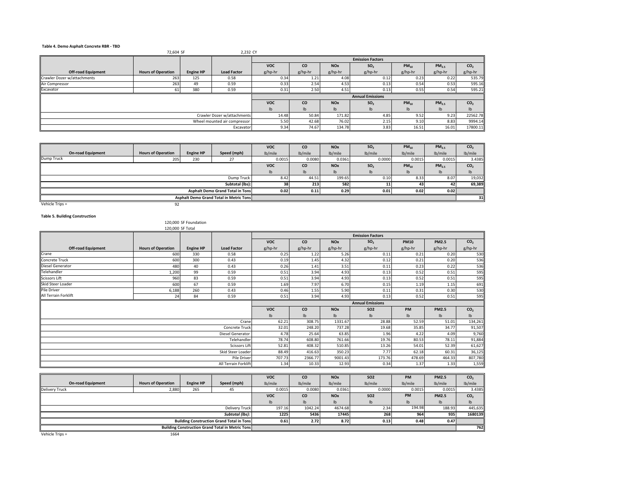#### **Table 4. Demo Asphalt Concrete RBR ‐ TBD**

|                             | 2,232 CY                  |                  |                    |                           |           |                       |                 |               |            |                 |
|-----------------------------|---------------------------|------------------|--------------------|---------------------------|-----------|-----------------------|-----------------|---------------|------------|-----------------|
|                             |                           |                  |                    | <b>Emission Factors</b>   |           |                       |                 |               |            |                 |
|                             |                           |                  |                    | <b>VOC</b>                | <b>CO</b> | <b>NO<sub>x</sub></b> | SO <sub>2</sub> | $PM_{10}$     | $PM_{2.5}$ | CO <sub>2</sub> |
| <b>Off-road Equipment</b>   | <b>Hours of Operation</b> | <b>Engine HP</b> | <b>Load Factor</b> | g/hp-hr                   | g/hp-hr   | g/hp-hr               | g/hp-hr         | g/hp-hr       | g/hp-hr    | g/hp-hr         |
| Crawler Dozer w/attachments | 263                       | 125              | 0.58               | 0.34                      | 1.21      | 4.08                  | 0.12            | 0.23          | 0.22       | 535.79          |
| Air Compressor              | 263                       | 49               | 0.59               | 0.33                      | 2.54      | 4.53                  | 0.13            | 0.54          | 0.53       | 595.16          |
| Excavator                   | 61                        | 380              | 0.59               | 0.31                      | 2.50      | 4.51                  | 0.13            | 0.55          | 0.54       | 595.21          |
|                             |                           |                  |                    | <b>Annual Emissions</b>   |           |                       |                 |               |            |                 |
|                             |                           |                  |                    | <b>VOC</b>                | <b>CO</b> | <b>NO<sub>x</sub></b> | SO <sub>2</sub> | $PM_{10}$     | $PM_{2.5}$ | CO <sub>2</sub> |
|                             |                           |                  |                    | $\mathsf{I}^{\mathsf{b}}$ | Ib        | $\mathsf{lb}$         | Ib              | $\mathsf{lb}$ | Ib         | lb              |
|                             | 14.48                     | 50.84            | 171.82             | 4.85                      | 9.52      | 9.23                  | 22562.78        |               |            |                 |
|                             | 5.50                      | 42.68            | 76.02              | 2.15                      | 9.10      | 8.83                  | 9994.14         |               |            |                 |
|                             | 9.34                      | 74.67            | 134.78             | 3.83                      | 16.51     | 16.01                 | 17800.11        |               |            |                 |

|                          |                                                 |                  |                           | <b>VOC</b>                | <b>CO</b> | <b>NO<sub>x</sub></b> | SO <sub>2</sub>           | $PM_{10}$                 | PM <sub>2.5</sub> | co,             |
|--------------------------|-------------------------------------------------|------------------|---------------------------|---------------------------|-----------|-----------------------|---------------------------|---------------------------|-------------------|-----------------|
| <b>On-road Equipment</b> | <b>Hours of Operation</b>                       | <b>Engine HP</b> | Speed (mph)               | lb/mile                   | lb/mile   | lb/mile               | lb/mile                   | lb/mile                   | lb/mile           | lb/mile         |
| Dump Truck               | 205                                             | 230              |                           | 0.0015                    | 0.0080    | 0.0361                | 0.0000                    | 0.0015                    | 0.0015            | 3.4385          |
|                          |                                                 |                  |                           | <b>VOC</b>                | <b>CO</b> | <b>NO<sub>x</sub></b> | SO <sub>2</sub>           | $PM_{10}$                 | PM <sub>2.5</sub> | CO <sub>2</sub> |
|                          |                                                 | lb               | $\mathsf{I}^{\mathsf{b}}$ | $\mathsf{I}^{\mathsf{b}}$ |           | Ib                    | $\mathsf{I}^{\mathsf{b}}$ | $\mathsf{I}^{\mathsf{b}}$ |                   |                 |
|                          |                                                 |                  | Dump Truck                | 8.42                      | 44.51     | 199.65                | 0.10                      | 8.33                      | 8.07              | 19,032          |
|                          |                                                 |                  | Subtotal (lbs):           |                           | 213       | 582                   |                           | 43                        |                   | 69,389          |
|                          | <b>Asphalt Demo Grand Total in Tons</b><br>0.02 | 0.11             | 0.29                      | 0.01                      | 0.02      | 0.02                  |                           |                           |                   |                 |
|                          | Asphalt Demo Grand Total in Metric Tons         |                  |                           |                           |           |                       |                           | 31                        |                   |                 |

Vehicle Trips <sup>=</sup> 92

**Table 5. Building Construction**

120,000 SF Foundation 120,000 SF Total

|                           |                           |                  |                      |                           |                         |                       | <b>Emission Factors</b> |                           |               |                 |
|---------------------------|---------------------------|------------------|----------------------|---------------------------|-------------------------|-----------------------|-------------------------|---------------------------|---------------|-----------------|
|                           |                           |                  |                      | <b>VOC</b>                | co                      | <b>NO<sub>x</sub></b> | SO <sub>2</sub>         | <b>PM10</b>               | <b>PM2.5</b>  | CO <sub>2</sub> |
| <b>Off-road Equipment</b> | <b>Hours of Operation</b> | <b>Engine HP</b> | <b>Load Factor</b>   | g/hp-hr                   | g/hp-hr                 | $g/hp-hr$             | g/hp-hr                 | g/hp-hr                   | g/hp-hr       | g/hp-hr         |
| Crane                     | 600                       | 330              | 0.58                 | 0.25                      | 1.22                    | 5.26                  | 0.11                    | 0.21                      | 0.20          | 530             |
| Concrete Truck            | 600                       | 300              | 0.43                 | 0.19                      | 1.45                    | 4.32                  | 0.12                    | 0.21                      | 0.20          | 536             |
| Diesel Generator          | 480                       | 40               | 0.43                 | 0.26                      | 1.41                    | 3.51                  | 0.11                    | 0.23                      | 0.22          | 536             |
| Telehandler               | 1,200                     | 99               | 0.59                 | 0.51                      | 3.94                    | 4.93                  | 0.13                    | 0.52                      | 0.51          | 595             |
| Scissors Lift             | 960                       | 83               | 0.59                 | 0.51                      | 3.94                    | 4.93                  | 0.13                    | 0.52                      | 0.51          | 595             |
| Skid Steer Loader         | 600                       | 67               | 0.59                 | 1.69                      | 7.97                    | 6.70                  | 0.15                    | 1.19                      | 1.15          | 691             |
| Pile Driver               | 6,188                     | 260              | 0.43                 | 0.46                      | 1.55                    | 5.90                  | 0.11                    | 0.31                      | 0.30          | 530             |
| All Terrain Forklift      | 24                        | 84               | 0.59                 | 0.51                      | 3.94                    | 4.93                  | 0.13                    | 0.52                      | 0.51          | 595             |
|                           |                           |                  |                      |                           | <b>Annual Emissions</b> |                       |                         |                           |               |                 |
|                           |                           |                  |                      | <b>VOC</b>                | co                      | <b>NO<sub>x</sub></b> | <b>SO2</b>              | PM                        | <b>PM2.5</b>  | CO <sub>2</sub> |
|                           |                           |                  |                      | $\mathsf{I}^{\mathsf{b}}$ | Ib                      | $\mathsf{lb}$         | $\mathsf{lb}$           | $\mathsf{I}^{\mathsf{b}}$ | $\mathsf{lb}$ | $\mathsf{lb}$   |
|                           |                           |                  | Crane                | 62.21                     | 308.75                  | 1331.67               | 28.88                   | 52.59                     | 51.01         | 134,261         |
|                           |                           |                  | Concrete Truck       | 32.01                     | 248.20                  | 737.28                | 19.68                   | 35.85                     | 34.77         | 91,507          |
|                           |                           |                  | Diesel Generator     | 4.78                      | 25.64                   | 63.85                 | 1.96                    | 4.22                      | 4.09          | 9,760           |
|                           |                           |                  | Telehandler          | 78.74                     | 608.80                  | 761.66                | 19.76                   | 80.53                     | 78.11         | 91,884          |
|                           |                           |                  | Scissors Lift        | 52.81                     | 408.32                  | 510.85                | 13.26                   | 54.01                     | 52.39         | 61,627          |
|                           |                           |                  | Skid Steer Loader    | 88.49                     | 416.63                  | 350.23                | 7.77                    | 62.18                     | 60.31         | 36,125          |
|                           |                           |                  | Pile Driver          | 707.73                    | 2366.77                 | 9001.43               | 173.76                  | 478.69                    | 464.33        | 807,780         |
|                           |                           |                  | All Terrain Forklift | 1.34                      | 10.33                   | 12.93                 | 0.34                    | 1.37                      | 1.33          | 1,559           |
|                           |                           |                  |                      |                           |                         |                       |                         |                           |               |                 |
|                           |                           |                  |                      |                           |                         |                       |                         |                           |               |                 |

|                          |                           |                  |                                                         | <b>VOC</b> | CO      | <b>NO<sub>x</sub></b> | <b>SO2</b> | PM                        | <b>PM2.5</b> | CO <sub>2</sub> |
|--------------------------|---------------------------|------------------|---------------------------------------------------------|------------|---------|-----------------------|------------|---------------------------|--------------|-----------------|
| <b>On-road Equipment</b> | <b>Hours of Operation</b> | <b>Engine HP</b> | Speed (mph)                                             | lb/mile    | lb/mile | lb/mile               | lb/mile    | lb/mile                   | lb/mile      | lb/mile         |
| Delivery Truck           | 2,880                     | 265              | 45                                                      | 0.0015     | 0.0080  | 0.0361                | 0.0000     | 0.0015                    | 0.0015       | 3.4385          |
|                          |                           |                  |                                                         | <b>VOC</b> | CO      | <b>NO<sub>x</sub></b> | <b>SO2</b> | <b>PM</b>                 | <b>PM2.5</b> | CO <sub>2</sub> |
|                          |                           |                  |                                                         | ١h         | Ib      | Ib                    | Ib         | $\mathsf{I}^{\mathsf{b}}$ | Ib           | $\mathsf{lb}$   |
|                          |                           |                  | <b>Delivery Truck</b>                                   | 197.16     | 1042.24 | 4674.68               | 2.34       | 194.98                    | 188.93       | 445,635         |
|                          |                           |                  | Subtotal (lbs):                                         | 1225       | 5436    | 17445                 | 268        | 964                       | 935          | 1680139         |
|                          |                           |                  | <b>Building Construction Grand Total in Tons</b>        | 0.61       | 2.72    | 8.72                  | 0.13       | 0.48                      | 0.47         |                 |
|                          |                           |                  | <b>Building Construction Grand Total in Metric Tons</b> |            |         |                       |            |                           |              | 762I            |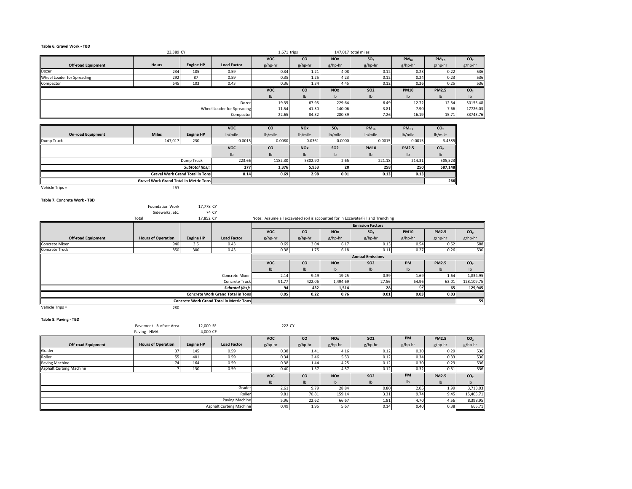#### **Table 6. Gravel Work ‐ TBD**

|                            | 23,389 CY    |                  |                            | 1,671 trips               |                           |                       | 147,017 total miles |                           |                           |                 |
|----------------------------|--------------|------------------|----------------------------|---------------------------|---------------------------|-----------------------|---------------------|---------------------------|---------------------------|-----------------|
|                            |              |                  |                            | <b>VOC</b>                | <b>CO</b>                 | <b>NO<sub>x</sub></b> | SO <sub>2</sub>     | $PM_{10}$                 | $PM_{2.5}$                | CO <sub>2</sub> |
| <b>Off-road Equipment</b>  | <b>Hours</b> | <b>Engine HP</b> | <b>Load Factor</b>         | g/hp-hr                   | g/hp-hr                   | g/hp-hr               | g/hp-hr             | g/hp-hr                   | g/hp-hr                   | g/hp-hr         |
| Dozer                      | 234          | 185              | 0.59                       | 0.34                      | 1.21                      | 4.08                  | 0.12                | 0.23                      | 0.22                      | 536             |
| Wheel Loader for Spreading | 292          | 87               | 0.59                       | 0.35                      | 1.25                      | 4.23                  | 0.12                | 0.24                      | 0.23                      | 536             |
| Compactor                  | 645          | 103              | 0.43                       | 0.36                      | 1.34                      | 4.45                  | 0.12                | 0.26                      | 0.25                      | 536             |
|                            |              |                  |                            | <b>VOC</b>                | <b>CO</b>                 | <b>NO<sub>x</sub></b> | <b>SO2</b>          | <b>PM10</b>               | <b>PM2.5</b>              | CO <sub>2</sub> |
|                            |              |                  |                            | $\mathsf{I}^{\mathsf{b}}$ | $\mathsf{I}^{\mathsf{b}}$ | I <sub>b</sub>        | Ib                  | $\mathsf{I}^{\mathsf{b}}$ | $\mathsf{I}^{\mathsf{b}}$ | $\mathsf{lb}$   |
|                            |              |                  | Dozer                      | 19.35                     | 67.95                     | 229.64                | 6.49                | 12.72                     | 12.34                     | 30155.48        |
|                            |              |                  | Wheel Loader for Spreading | 11.54                     | 41.30                     | 140.06                | 3.81                | 7.90                      | 7.66                      | 17726.03        |
|                            |              |                  | Compactor                  | 22.65                     | 84.32                     | 280.39                | 7.26                | 16.19                     | 15.71                     | 33743.76        |
|                            |              |                  |                            |                           |                           |                       |                     |                           |                           |                 |

|                          |                                               |                                        | <b>VOC</b> | CO            | <b>NOx</b>    | SO <sub>2</sub> | $PM_{10}$   | PM <sub>2.5</sub>         | CO <sub>2</sub>           |
|--------------------------|-----------------------------------------------|----------------------------------------|------------|---------------|---------------|-----------------|-------------|---------------------------|---------------------------|
| <b>On-road Equipment</b> | <b>Miles</b>                                  | <b>Engine HP</b>                       | lb/mile    | lb/mile       | lb/mile       | lb/mile         | lb/mile     | lb/mile                   | lb/mile                   |
| Dump Truck               | 147,017                                       | 230                                    | 0.0015     | 0.0080        | 0.0361        | 0.0000          | 0.0015      | 0.0015                    | 3.4385                    |
|                          |                                               |                                        | <b>VOC</b> | <b>CO</b>     | <b>NOx</b>    | <b>SO2</b>      | <b>PM10</b> | <b>PM2.5</b>              | CO <sub>2</sub>           |
|                          |                                               |                                        | lb         | $\mathsf{lb}$ | $\mathsf{lb}$ | $\mathsf{lb}$   | Ib          | $\mathsf{I}^{\mathsf{b}}$ | $\mathsf{I}^{\mathsf{b}}$ |
|                          |                                               | Dump Truck                             | 223.66     | 1182.30       | 5302.90       | 2.65            | 221.18      | 214.31                    | 505,523                   |
|                          |                                               | Subtotal (lbs):                        | 277        | 1,376         | 5,953         |                 | 258         | 250                       | 587,148                   |
|                          |                                               | <b>Gravel Work Grand Total in Tons</b> | 0.14       | 0.69          | 2.98          | 0.01            | 0.13        | 0.13                      |                           |
|                          | <b>Gravel Work Grand Total in Metric Tons</b> |                                        |            |               |               |                 |             |                           | 266                       |
| Vehicle Trips =          | 183                                           |                                        |            |               |               |                 |             |                           |                           |

#### **Table 7. Concrete Work ‐ TBD**

### Foundation Work 17,778 CY<br>74 CY

Sidewalks, etc.

|                           | Total                     | 17,852 CY        |                                                 |              |                           |                       | Note: Assume all excavated soil is accounted for in Excavate/Fill and Trenching |             |              |                 |
|---------------------------|---------------------------|------------------|-------------------------------------------------|--------------|---------------------------|-----------------------|---------------------------------------------------------------------------------|-------------|--------------|-----------------|
|                           |                           |                  |                                                 |              |                           |                       | <b>Emission Factors</b>                                                         |             |              |                 |
|                           |                           |                  |                                                 | <b>VOC</b>   | <b>CO</b>                 | <b>NO<sub>x</sub></b> | SO <sub>2</sub>                                                                 | <b>PM10</b> | <b>PM2.5</b> | CO <sub>2</sub> |
| <b>Off-road Equipment</b> | <b>Hours of Operation</b> | <b>Engine HP</b> | <b>Load Factor</b>                              | g/hp-hr      | g/hp-hr                   | g/hp-hr               | g/hp-hr                                                                         | g/hp-hr     | g/hp-hr      | g/hp-hr         |
| Concrete Mixer            | 940                       | 3.5              | 0.43                                            | 0.69         | 3.04                      | 6.17                  | 0.13                                                                            | 0.54        | 0.52         | 588             |
| Concrete Truck            | 850                       | 300              | 0.43                                            | 0.38         | 1.75                      | 6.18                  | 0.11                                                                            | 0.27        | 0.26         | 530             |
|                           |                           |                  |                                                 |              |                           |                       | <b>Annual Emissions</b>                                                         |             |              |                 |
|                           |                           |                  |                                                 | <b>VOC</b>   | <b>CO</b>                 | <b>NO<sub>x</sub></b> | <b>SO2</b>                                                                      | <b>PM</b>   | <b>PM2.5</b> | CO <sub>2</sub> |
|                           |                           |                  |                                                 | $\mathsf{I}$ | $\mathsf{I}^{\mathsf{b}}$ | $\mathsf{I}$          | $\mathsf{I}^{\mathsf{b}}$                                                       | Ib          | Ib           | I <sub>b</sub>  |
|                           |                           |                  | Concrete Mixer                                  | 2.14         | 9.49                      | 19.25                 | 0.39                                                                            | 1.69        | 1.64         | 1,834.95        |
|                           |                           |                  | <b>Concrete Truck</b>                           | 91.77        | 422.06                    | 1,494.69              | 27.56                                                                           | 64.96       | 63.01        | 128,109.75      |
|                           |                           |                  | Subtotal (lbs):                                 | 94           | 432                       | 1,514                 | 28                                                                              | 67          | 65           | 129,945         |
|                           |                           |                  | <b>Concrete Work Grand Total in Tons</b>        | 0.05         | 0.22                      | 0.76                  | 0.01                                                                            | 0.03        | 0.03         |                 |
|                           |                           |                  | <b>Concrete Work Grand Total in Metric Tons</b> |              |                           |                       |                                                                                 |             |              | 59              |

Vehicle Trips <sup>=</sup> 280

#### **Table 8. Paving ‐ TBD**

|                                | Pavement - Surface Area<br>Paving - HMA | 12,000 SF<br>4,000 CF |                                | 222 CY                    |                |                       |               |           |                           |                 |
|--------------------------------|-----------------------------------------|-----------------------|--------------------------------|---------------------------|----------------|-----------------------|---------------|-----------|---------------------------|-----------------|
|                                |                                         |                       |                                | <b>VOC</b>                | CO             | <b>NO<sub>x</sub></b> | <b>SO2</b>    | <b>PM</b> | <b>PM2.5</b>              | CO <sub>2</sub> |
| <b>Off-road Equipment</b>      | <b>Hours of Operation</b>               | <b>Engine HP</b>      | <b>Load Factor</b>             | g/hp-hr                   | g/hp-hr        | g/hp-hr               | g/hp-hr       | g/hp-hr   | g/hp-hr                   | g/hp-hr         |
| Grader                         | 37                                      | 145                   | 0.59                           | 0.38                      | 1.41           | 4.16                  | 0.12          | 0.30      | 0.29                      | 536             |
| Roller                         | 55                                      | 401                   | 0.59                           | 0.34                      | 2.46           | 5.53                  | 0.12          | 0.34      | 0.33                      | 536             |
| Paving Machine                 | 74                                      | 164                   | 0.59                           | 0.38                      | 1.44           | 4.25                  | 0.12          | 0.30      | 0.29                      | 536             |
| <b>Asphalt Curbing Machine</b> |                                         | 130                   | 0.59                           | 0.40                      | 1.57           | 4.57                  | 0.12          | 0.32      | 0.31                      | 536             |
|                                |                                         |                       |                                | <b>VOC</b>                | <b>CO</b>      | <b>NO<sub>x</sub></b> | <b>SO2</b>    | <b>PM</b> | <b>PM2.5</b>              | CO <sub>2</sub> |
|                                |                                         |                       |                                | $\mathsf{I}^{\mathsf{b}}$ | I <sub>b</sub> | $\mathsf{lb}$         | $\mathsf{lb}$ | lb        | $\mathsf{I}^{\mathsf{b}}$ | $\mathsf{lb}$   |
|                                |                                         |                       | Grader                         | 2.61                      | 9.79           | 28.84                 | 0.80          | 2.05      | 1.99                      | 3,713.03        |
|                                |                                         |                       | Roller                         | 9.81                      | 70.81          | 159.14                | 3.31          | 9.74      | 9.45                      | 15,405.71       |
|                                |                                         |                       | Paving Machine                 | 5.96                      | 22.62          | 66.67                 | 1.81          | 4.70      | 4.56                      | 8,398.95        |
|                                |                                         |                       | <b>Asphalt Curbing Machine</b> | 0.49                      | 1.95           | 5.67                  | 0.14          | 0.40      | 0.38                      | 665.71          |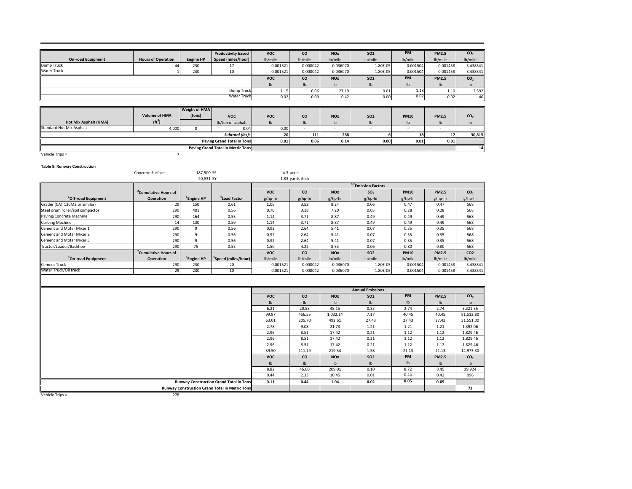|                          |                           |                  | <b>Productivity based</b> | <b>VOC</b> | CO        | <b>NOx</b>                | <b>SO2</b>                | <b>PM</b> | <b>PM2.5</b>              | CO <sub>2</sub> |
|--------------------------|---------------------------|------------------|---------------------------|------------|-----------|---------------------------|---------------------------|-----------|---------------------------|-----------------|
| <b>On-road Equipment</b> | <b>Hours of Operation</b> | <b>Engine HP</b> | Speed (miles/hour)        | lb/mile    | lb/mile   | lb/mile                   | lb/mile                   | lb/mile   | lb/mile                   | lb/mile         |
| Dump Truck               | 44 I                      | 230              |                           | 0.001521   | 0.008042  | 0.036070                  | 1.80E-05                  | 0.001504  | 0.001458                  | 3.438541        |
| <b>Water Truck</b>       |                           | 230              | 10                        | 0.001521   | 0.008042  | 0.036070                  | 1.80E-05                  | 0.001504  | 0.001458                  | 3.438541        |
|                          |                           |                  |                           | <b>VOC</b> | <b>CO</b> | <b>NOx</b>                | SO <sub>2</sub>           | <b>PM</b> | <b>PM2.5</b>              | CO <sub>2</sub> |
|                          |                           |                  |                           |            | lb        | $\mathsf{I}^{\mathsf{b}}$ | $\mathsf{I}^{\mathsf{b}}$ | Ib        | $\mathsf{I}^{\mathsf{b}}$ | Ib              |
|                          |                           |                  | Dump Truck                | 1.15       | 6.06      | 27.19                     | 0.01                      | 1.13      | 1.10                      | 2,592           |
|                          |                           |                  | <b>Water Truck</b>        | 0.02       | 0.09      | 0.42                      | 0.00                      | 0.02      | 0.02                      | 40              |

|                          |                      | <b>Weight of HMA</b> |                                          |            |      |                       |            |             |              |                 |
|--------------------------|----------------------|----------------------|------------------------------------------|------------|------|-----------------------|------------|-------------|--------------|-----------------|
|                          | <b>Volume of HMA</b> | (tons)               | <b>VOC</b>                               | <b>VOC</b> | co   | <b>NO<sub>x</sub></b> | <b>SO2</b> | <b>PM10</b> | <b>PM2.5</b> | CO <sub>2</sub> |
| Hot Mix Asphalt (HMA)    | (ft <sup>3</sup> )   |                      | lb/ton of asphalt                        |            | lb   |                       |            |             | Ib           | lb              |
| Standard Hot Mix Asphalt | 4,000                |                      | 0.04                                     | 0.00       |      |                       |            |             |              |                 |
|                          |                      |                      | <b>Subtotal (lbs):</b>                   | 20         | 111  | 288                   |            | 18          | 17           | 30,815          |
|                          |                      |                      | Paving Grand Total in Tons               | 0.01       | 0.06 | 0.14                  | 0.00       | 0.01        | 0.01         |                 |
|                          |                      |                      | <b>Paving Grand Total in Metric Tons</b> |            |      |                       |            |             |              | 14              |

Vehicle Trips <sup>=</sup> 7

**Table 9. Runway Construction**

|                                  | Concrete Surface                 | 187,500 SF             |                                 |                      | 4.3 acres               |                         |                                 |               |                        |                 |
|----------------------------------|----------------------------------|------------------------|---------------------------------|----------------------|-------------------------|-------------------------|---------------------------------|---------------|------------------------|-----------------|
|                                  |                                  | 20.831 SY              |                                 |                      | 1.83 yards thick        |                         |                                 |               |                        |                 |
|                                  |                                  |                        |                                 |                      |                         |                         | <sup>6,7</sup> Emission Factors |               |                        |                 |
|                                  | <sup>2</sup> Cumulative Hours of |                        |                                 | <b>VOC</b>           | CO                      | <b>NO<sub>x</sub></b>   | SO <sub>2</sub>                 | <b>PM10</b>   | <b>PM2.5</b>           | CO <sub>2</sub> |
| <sup>1</sup> Off-road Equipment  | Operation                        | <sup>3</sup> Engine HP | <sup>4</sup> Load Factor        | g/hp-hr              | g/hp-hr                 | g/hp-hr                 | g/hp-hr                         | g/hp-hr       | g/hp-hr                | g/hp-hr         |
| Grader (CAT 120M2 or similar)    | 29                               | 150                    | 0.61                            | 1.06                 | 3.52                    | 8.24                    | 0.06                            | 0.47          | 0.47                   | 568             |
| Steel drum roller/soil compactor | 290                              | 401                    | 0.56                            | 0.70                 | 3.18                    | 7.20                    | 0.05                            | 0.28          | 0.28                   | 568             |
| Paving/Concrete Machine          | 290                              | 164                    | 0.53                            | 1.14                 | 3.71                    | 8.87                    | 0.49                            | 0.49          | 0.49                   | 568             |
| <b>Curbing Machine</b>           | 14                               | 130                    | 0.59                            | 1.14                 | 3.71                    | 8.87                    | 0.49                            | 0.49          | 0.49                   | 568             |
| Cement and Motar Mixer 1         | 290                              | 9                      | 0.56                            | 0.92                 | 2.64                    | 5.41                    | 0.07                            | 0.35          | 0.35                   | 568             |
| Cement and Motar Mixer 2         | 290                              | 9                      | 0.56                            | 0.92                 | 2.64                    | 5.41                    | 0.07                            | 0.35          | 0.35                   | 568             |
| Cement and Motar Mixer 3         | 290                              | 9                      | 0.56                            | 0.92                 | 2.64                    | 5.41                    | 0.07                            | 0.35          | 0.35                   | 568             |
| Tractor/Loader/Backhoe           | 290                              | 75                     | 0.55                            | 1.50                 | 4.22                    | 8.33                    | 0.06                            | 0.80          | 0.80                   | 568             |
|                                  | <sup>2</sup> Cumulative Hours of |                        |                                 | <b>VOC</b>           | CO                      | <b>NO<sub>x</sub></b>   | <b>SO2</b>                      | <b>PM10</b>   | <b>PM2.5</b>           | CO <sub>2</sub> |
| <sup>1</sup> On-road Equipment   | Operation                        | <sup>3</sup> Engine HP | <sup>5</sup> Speed (miles/hour) | lb/mile              | lb/mile                 | lb/mile                 | lb/mile                         | lb/mile       | lb/mile                | lb/mile         |
| <b>Cement Truck</b>              | 290                              | 230                    | 20                              | 0.001521             | 0.008042                | 0.036070                | 1.80E-05                        | 0.001504      | 0.001458               | 3.438541        |
| Water Truck/Oil truck            | 29                               | 230                    | 10                              | 0.001521             | 0.008042                | 0.036070                | 1.80E-05                        | 0.001504      | 0.001458               | 3.438541        |
|                                  |                                  |                        |                                 |                      |                         |                         |                                 |               |                        |                 |
|                                  |                                  |                        |                                 |                      |                         |                         | <b>Annual Emissions</b>         |               |                        |                 |
|                                  |                                  |                        |                                 |                      |                         |                         |                                 | PM            |                        |                 |
|                                  |                                  |                        |                                 | <b>VOC</b>           | co                      | <b>NO<sub>x</sub></b>   | <b>SO2</b>                      |               | <b>PM2.5</b>           | CO <sub>2</sub> |
|                                  |                                  |                        |                                 | $\mathsf{I}$<br>6.21 | I <sub>b</sub><br>20.58 | I <sub>b</sub><br>48.15 | I <sub>b</sub><br>0.33          | Ib<br>2.74    | I <sub>b</sub><br>2.74 | $\mathsf{lb}$   |
|                                  |                                  |                        |                                 |                      |                         |                         |                                 |               |                        | 3,321.35        |
|                                  |                                  |                        |                                 | 99.97                | 456.55                  | 1,032.14                | 7.17                            | 40.45         | 40.45                  | 81,512.80       |
|                                  |                                  |                        |                                 | 63.01                | 205.70                  | 492.61                  | 27.43                           | 27.43         | 27.43                  | 31,551.00       |
|                                  |                                  |                        |                                 | 2.78                 | 9.08                    | 21.73                   | 1.21                            | 1.21          | 1.21                   | 1,392.06        |
|                                  |                                  |                        |                                 | 2.96                 | 8.51                    | 17.42                   | 0.21                            | 1.12          | 1.12                   | 1,829.46        |
|                                  |                                  |                        |                                 | 2.96                 | 8.51                    | 17.42                   | 0.21                            | 1.12          | 1.12                   | 1,829.46        |
|                                  |                                  |                        |                                 | 2.96                 | 8.51                    | 17.42                   | 0.21                            | 1.12          | 1.12                   | 1,829.46        |
|                                  |                                  |                        |                                 | 39.50                | 111.19                  | 219.34                  | 1.58                            | 21.13         | 21.13                  | 14,973.30       |
|                                  |                                  |                        |                                 | <b>VOC</b>           | <b>CO</b>               | <b>NO<sub>x</sub></b>   | <b>SO2</b>                      | PM            | <b>PM2.5</b>           | CO <sub>2</sub> |
|                                  |                                  |                        |                                 | Ib                   | Ib                      | Ib                      | Ib                              | $\mathsf{lb}$ | $\mathsf{lb}$          | $\mathsf{lb}$   |

8.82 46.60 209.01 0.10

0.44 2.33 10.45

**Runway Construction Grand Total in Tons 0.11 0.44 1.04 0.02 0.05 0.05 Runway Construction Grand Total in Metric Tons 72**

0.10 8.72 8.45 19,924<br>0.01 0.44 0.42 996

 $0.42$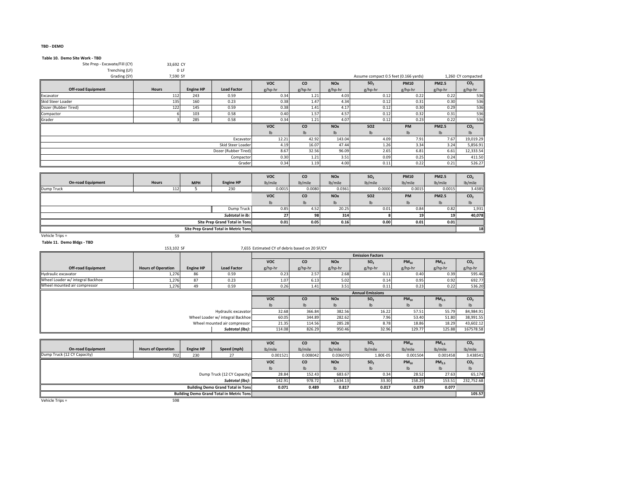### **TBD ‐ DEMO**

#### **Table 10. Demo Site Work ‐ TBD**

| Site Prep - Excavate/Fill (CY) | 33,692 CY       |                  |                                      |                           |               |                       |                                       |                           |                           |                           |
|--------------------------------|-----------------|------------------|--------------------------------------|---------------------------|---------------|-----------------------|---------------------------------------|---------------------------|---------------------------|---------------------------|
| Trenching (LF)                 | 0 <sub>LF</sub> |                  |                                      |                           |               |                       |                                       |                           |                           |                           |
| Grading (SY)                   | 7,590 SY        |                  |                                      |                           |               |                       | Assume compact 0.5 feet (0.166 yards) |                           |                           | 1,260 CY compacted        |
|                                |                 |                  |                                      | <b>VOC</b>                | co            | <b>NO<sub>x</sub></b> | SO <sub>2</sub>                       | <b>PM10</b>               | <b>PM2.5</b>              | CO <sub>2</sub>           |
| <b>Off-road Equipment</b>      | <b>Hours</b>    | <b>Engine HP</b> | <b>Load Factor</b>                   | g/hp-hr                   | g/hp-hr       | g/hp-hr               | $g/hp-hr$                             | g/hp-hr                   | g/hp-hr                   | g/hp-hr                   |
| Excavator                      | 112             | 243              | 0.59                                 | 0.34                      | 1.21          | 4.03                  | 0.12                                  | 0.22                      | 0.22                      | 536                       |
| Skid Steer Loader              | 135             | 160              | 0.23                                 | 0.38                      | 1.47          | 4.34                  | 0.12                                  | 0.31                      | 0.30                      | 536                       |
| Dozer (Rubber Tired)           | 122             | 145              | 0.59                                 | 0.38                      | 1.41          | 4.17                  | 0.12                                  | 0.30                      | 0.29                      | 536                       |
| Compactor                      |                 | 103              | 0.58                                 | 0.40                      | 1.57          | 4.57                  | 0.12                                  | 0.32                      | 0.31                      | 536                       |
| Grader                         |                 | 285              | 0.58                                 | 0.34                      | 1.21          | 4.07                  | 0.12                                  | 0.23                      | 0.22                      | 536                       |
|                                |                 |                  |                                      | <b>VOC</b>                | co            | <b>NO<sub>x</sub></b> | <b>SO2</b>                            | PM                        | <b>PM2.5</b>              | CO <sub>2</sub>           |
|                                |                 |                  |                                      | $\mathsf{I}^{\mathsf{b}}$ | $\mathsf{lb}$ | Ib                    | $\mathsf{lb}$                         | $\mathsf{I}^{\mathsf{b}}$ | $\mathsf{I}^{\mathsf{b}}$ | $\mathsf{lb}$             |
|                                |                 |                  | Excavator                            | 12.21                     | 42.92         | 143.04                | 4.09                                  | 7.91                      | 7.67                      | 19,019.29                 |
|                                |                 |                  | Skid Steer Loader                    | 4.19                      | 16.07         | 47.44                 | 1.26                                  | 3.34                      | 3.24                      | 5,856.91                  |
|                                |                 |                  | Dozer (Rubber Tired)                 | 8.67                      | 32.56         | 96.09                 | 2.65                                  | 6.81                      | 6.61                      | 12,333.54                 |
|                                |                 |                  | Compactor                            | 0.30                      | 1.21          | 3.51                  | 0.09                                  | 0.25                      | 0.24                      | 411.50                    |
|                                |                 |                  | Grader                               | 0.34                      | 1.19          | 4.00                  | 0.11                                  | 0.22                      | 0.21                      | 526.27                    |
|                                |                 |                  |                                      |                           |               |                       |                                       |                           |                           |                           |
|                                |                 |                  |                                      | <b>VOC</b>                | <b>CO</b>     | <b>NO<sub>x</sub></b> | SO <sub>2</sub>                       | <b>PM10</b>               | <b>PM2.5</b>              | CO <sub>2</sub>           |
| <b>On-road Equipment</b>       | <b>Hours</b>    | <b>MPH</b>       | <b>Engine HP</b>                     | lb/mile                   | lb/mile       | lb/mile               | lb/mile                               | lb/mile                   | lb/mile                   | lb/mile                   |
| Dump Truck                     | 112             | 5                | 230                                  | 0.0015                    | 0.0080        | 0.0361                | 0.0000                                | 0.0015                    | 0.0015                    | 3.4385                    |
|                                |                 |                  |                                      | <b>VOC</b>                | co            | <b>NO<sub>x</sub></b> | <b>SO2</b>                            | <b>PM</b>                 | <b>PM2.5</b>              | CO <sub>2</sub>           |
|                                |                 |                  |                                      | $\mathsf{I}^{\mathsf{b}}$ | $\mathsf{lb}$ | $\mathsf{lb}$         | $\mathsf{I}^{\mathsf{b}}$             | $\mathsf{I}^{\mathsf{b}}$ | $\mathsf{I}^{\mathsf{b}}$ | $\mathsf{I}^{\mathsf{b}}$ |
|                                |                 |                  | Dump Truck                           | 0.85                      | 4.52          | 20.25                 | 0.01                                  | 0.84                      | 0.82                      | 1,931                     |
|                                |                 |                  | Subtotal in lb:                      | 27                        | 98            | 314                   |                                       | 19                        | 19                        | 40,078                    |
|                                |                 |                  | <b>Site Prep Grand Total in Tons</b> | 0.01                      | 0.05          | 0.16                  | 0.00                                  | 0.01                      | 0.01                      |                           |
|                                |                 |                  | Site Prep Grand Total in Metric Tons |                           |               |                       |                                       |                           |                           | 18                        |

Vehicle Trips <sup>=</sup> 59

**Table 11. Demo Bldgs ‐ TBD**

153,102 SF 7,655 Estimated CY of debris based on 20 SF/CY

|                                  |                           |                  |                                  | <b>Emission Factors</b>   |               |                       |                         |                |                   |                 |
|----------------------------------|---------------------------|------------------|----------------------------------|---------------------------|---------------|-----------------------|-------------------------|----------------|-------------------|-----------------|
|                                  |                           |                  |                                  | <b>VOC</b>                | <b>CO</b>     | <b>NO<sub>x</sub></b> | SO <sub>2</sub>         | $PM_{10}$      | $PM_{2.5}$        | CO <sub>2</sub> |
| <b>Off-road Equipment</b>        | <b>Hours of Operation</b> | <b>Engine HP</b> | <b>Load Factor</b>               | g/hp-hr                   | g/hp-hr       | g/hp-hr               | g/hp-hr                 | g/hp-hr        | g/hp-hr           | g/hp-hr         |
| Hydraulic excavator              | 1,276                     | 86               | 0.59                             | 0.23                      | 2.57          | 2.68                  | 0.11                    | 0.40           | 0.39              | 595.46          |
| Wheel Loader w/ integral Backhoe | 1,276                     | 87               | 0.23                             | 1.07                      | 6.13          | 5.02                  | 0.14                    | 0.95           | 0.92              | 692.77          |
| Wheel mounted air compressor     | 1,276                     | 49               | 0.59                             | 0.26                      | 1.41          | 3.51                  | 0.11                    | 0.23           | 0.22              | 536.20          |
|                                  |                           |                  |                                  |                           |               |                       | <b>Annual Emissions</b> |                |                   |                 |
|                                  |                           |                  |                                  | <b>VOC</b>                | <b>CO</b>     | <b>NO<sub>x</sub></b> | SO <sub>2</sub>         | $PM_{10}$      | PM <sub>2.5</sub> | CO <sub>2</sub> |
|                                  |                           |                  |                                  | $\mathsf{I}^{\mathsf{b}}$ | $\mathsf{lb}$ | $\mathsf{lb}$         | $\mathsf{lb}$           | I <sub>b</sub> | Ib                | Ib              |
|                                  |                           |                  | Hydraulic excavator              | 32.68                     | 366.84        | 382.56                | 16.22                   | 57.51          | 55.79             | 84,984.91       |
|                                  |                           |                  | Wheel Loader w/ integral Backhoe | 60.05                     | 344.89        | 282.62                | 7.96                    | 53.40          | 51.80             | 38,991.55       |
|                                  |                           |                  | Wheel mounted air compressor     | 21.35                     | 114.56        | 285.28                | 8.78                    | 18.86          | 18.29             | 43,602.12       |
|                                  |                           |                  | Subtotal (lbs):                  | 114.08                    | 826.29        | 950.46                | 32.96                   | 129.77         | 125.88            | 167578.58       |
|                                  |                           |                  |                                  |                           |               |                       |                         |                |                   |                 |

|                             |                                                   |                  |                             | <b>VOC</b> | CO                        | <b>NO<sub>x</sub></b> | SO <sub>2</sub> | $PM_{10}$                 | $PM_{2.5}$ | CO <sub>2</sub> |
|-----------------------------|---------------------------------------------------|------------------|-----------------------------|------------|---------------------------|-----------------------|-----------------|---------------------------|------------|-----------------|
| <b>On-road Equipment</b>    | <b>Hours of Operation</b>                         | <b>Engine HP</b> | Speed (mph)                 | lb/mile    | lb/mile                   | lb/mile               | lb/mile         | lb/mile                   | lb/mile    | lb/mile         |
| Dump Truck (12 CY Capacity) | 702                                               | 230              | $\epsilon$                  | 0.001521   | 0.008042                  | 0.036070              | 1.80E-05        | 0.001504                  | 0.001458   | 3.438541        |
|                             |                                                   |                  |                             | <b>VOC</b> | CO                        | <b>NO<sub>x</sub></b> | SO <sub>2</sub> | $PM_{10}$                 | $PM_{2.5}$ | CO <sub>2</sub> |
|                             |                                                   |                  |                             |            | $\mathsf{I}^{\mathsf{b}}$ | Ib                    |                 | $\mathsf{I}^{\mathsf{b}}$ | lh.        |                 |
|                             |                                                   |                  | Dump Truck (12 CY Capacity) | 28.84      | 152.43                    | 683.67                | 0.34            | 28.52                     | 27.63      | 65.174          |
|                             |                                                   |                  | Subtotal (lbs):             | 142.91     | 978.72                    | 1,634.13              | 33.30           | 158.29                    | 153.51     | 232,752.68      |
|                             | <b>Building Demo Grand Total in Tons</b><br>0.071 | 0.489            | 0.817                       | 0.017      | 0.079                     | 0.077                 |                 |                           |            |                 |
|                             | <b>Building Demo Grand Total in Metric Tons</b>   |                  |                             |            |                           |                       |                 | 105.57                    |            |                 |
| .                           |                                                   |                  |                             |            |                           |                       |                 |                           |            |                 |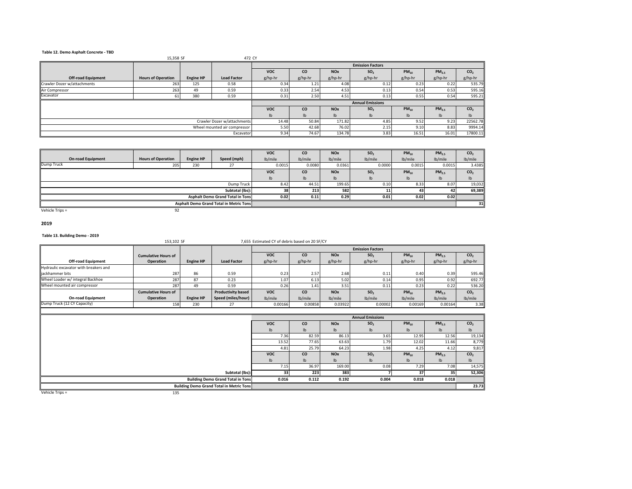#### **Table 12. Demo Asphalt Concrete ‐ TBD**

|                             | 15,358 SF                    |                  | 472 CY                      |                           |           |                       |                         |               |                           |                 |
|-----------------------------|------------------------------|------------------|-----------------------------|---------------------------|-----------|-----------------------|-------------------------|---------------|---------------------------|-----------------|
|                             |                              |                  |                             |                           |           |                       | <b>Emission Factors</b> |               |                           |                 |
|                             |                              |                  |                             | <b>VOC</b>                | <b>CO</b> | <b>NO<sub>x</sub></b> | SO <sub>2</sub>         | $PM_{10}$     | PM <sub>2.5</sub>         | CO <sub>2</sub> |
| <b>Off-road Equipment</b>   | <b>Hours of Operation</b>    | <b>Engine HP</b> | <b>Load Factor</b>          | g/hp-hr                   | g/hp-hr   | g/hp-hr               | g/hp-hr                 | g/hp-hr       | g/hp-hr                   | g/hp-hr         |
| Crawler Dozer w/attachments | 263                          | 125              | 0.58                        | 0.34                      | 1.21      | 4.08                  | 0.12                    | 0.23          | 0.22                      | 535.79          |
| Air Compressor              | 263                          | 49               | 0.59                        | 0.33                      | 2.54      | 4.53                  | 0.13                    | 0.54          | 0.53                      | 595.16          |
| Excavator                   | 61                           | 380              | 0.59                        | 0.31                      | 2.50      | 4.51                  | 0.13                    | 0.55          | 0.54                      | 595.21          |
|                             |                              |                  |                             |                           |           |                       | <b>Annual Emissions</b> |               |                           |                 |
|                             |                              |                  |                             | <b>VOC</b>                | <b>CO</b> | <b>NO<sub>x</sub></b> | SO <sub>2</sub>         | $PM_{10}$     | PM <sub>2.5</sub>         | CO <sub>2</sub> |
|                             |                              |                  |                             | $\mathsf{I}^{\mathsf{b}}$ | Ib        | <b>lb</b>             |                         | $\mathsf{lb}$ | $\mathsf{I}^{\mathsf{b}}$ | $\mathsf{lb}$   |
|                             |                              |                  | Crawler Dozer w/attachments | 14.48                     | 50.84     | 171.82                | 4.85                    | 9.52          | 9.23                      | 22562.78        |
|                             | Wheel mounted air compressor | 5.50             | 42.68                       | 76.02                     | 2.15      | 9.10                  | 8.83                    | 9994.14       |                           |                 |
| Excavator                   |                              |                  |                             | 9.34                      | 74.67     | 134.78                | 3.83                    | 16.51         | 16.01                     | 17800.11        |

|                          |                           |                  |                                         | <b>VOC</b>                | CO            | <b>NO<sub>x</sub></b> | SO <sub>2</sub>           | $PM_{10}$                 | PM <sub>2.5</sub> | CO <sub>2</sub> |
|--------------------------|---------------------------|------------------|-----------------------------------------|---------------------------|---------------|-----------------------|---------------------------|---------------------------|-------------------|-----------------|
| <b>On-road Equipment</b> | <b>Hours of Operation</b> | <b>Engine HP</b> | Speed (mph)                             | lb/mile                   | lb/mile       | lb/mile               | lb/mile                   | lb/mile                   | lb/mile           | lb/mile         |
| Dump Truck               | 205                       | 230              | 27                                      | 0.0015                    | 0.0080        | 0.0361                | 0.0000                    | 0.0015                    | 0.0015            | 3.4385          |
|                          |                           |                  |                                         | <b>VOC</b>                | <b>CO</b>     | <b>NO<sub>x</sub></b> | SO <sub>2</sub>           | $PM_{10}$                 | PM <sub>2.5</sub> | CO <sub>2</sub> |
|                          |                           |                  |                                         | $\mathsf{I}^{\mathsf{b}}$ | $\mathsf{lb}$ | I <sub>b</sub>        | $\mathsf{I}^{\mathsf{b}}$ | $\mathsf{I}^{\mathsf{b}}$ |                   | lb              |
|                          |                           |                  | Dump Truck                              | 8.42                      | 44.51         | 199.65                | 0.10                      | 8.33                      | 8.07              | 19,032          |
|                          |                           |                  | Subtotal (lbs):                         |                           | 213           | 582                   |                           | 43                        |                   | 69,389          |
|                          |                           |                  | <b>Asphalt Demo Grand Total in Tons</b> | 0.02                      | 0.11          | 0.29                  | 0.01                      | 0.02                      | 0.02              |                 |
|                          |                           |                  | Asphalt Demo Grand Total in Metric Tons |                           |               |                       |                           |                           |                   |                 |
| Vehicle Trips =          | $\Omega$                  |                  |                                         |                           |               |                       |                           |                           |                   |                 |

**2019**

**Table 13. Building Demo ‐ 2019**

|                                       | 153,102 SF                 |                  |                           | 7.655 Estimated CY of debris based on 20 SF/CY                                                        |                           |                           |                           |           |                   |                 |  |
|---------------------------------------|----------------------------|------------------|---------------------------|-------------------------------------------------------------------------------------------------------|---------------------------|---------------------------|---------------------------|-----------|-------------------|-----------------|--|
|                                       |                            |                  |                           |                                                                                                       |                           |                           | <b>Emission Factors</b>   |           |                   |                 |  |
|                                       | <b>Cumulative Hours of</b> |                  |                           | <b>VOC</b><br><b>CO</b><br><b>NO<sub>x</sub></b><br>PM <sub>2.5</sub><br>SO <sub>2</sub><br>$PM_{10}$ |                           |                           |                           |           |                   |                 |  |
| <b>Off-road Equipment</b>             | <b>Operation</b>           | <b>Engine HP</b> | <b>Load Factor</b>        | g/hp-hr                                                                                               | g/hp-hr                   | g/hp-hr                   | g/hp-hr                   | g/hp-hr   | g/hp-hr           | g/hp-hr         |  |
| Hydraulic excavator with breakers and |                            |                  |                           |                                                                                                       |                           |                           |                           |           |                   |                 |  |
| iackhammer bits                       | 287                        | 86               | 0.59                      | 0.23                                                                                                  | 2.57                      | 2.68                      | 0.11                      | 0.40      | 0.39              | 595.46          |  |
| Wheel Loader w/ integral Backhoe      | 287                        | 87               | 0.23                      | 1.07                                                                                                  | 6.13                      | 5.02                      | 0.14                      | 0.95      | 0.92              | 692.77          |  |
| Wheel mounted air compressor          | 287                        | 49               | 0.59                      | 0.26                                                                                                  | 1.41                      | 3.51                      | 0.11                      | 0.23      | 0.22              | 536.20          |  |
|                                       | <b>Cumulative Hours of</b> |                  | <b>Productivity based</b> | <b>VOC</b>                                                                                            | CO                        | <b>NO<sub>x</sub></b>     | SO <sub>2</sub>           | $PM_{10}$ | PM <sub>2.5</sub> | CO <sub>2</sub> |  |
| <b>On-road Equipment</b>              | Operation                  | <b>Engine HP</b> | Speed (miles/hour)        | lb/mile                                                                                               | lb/mile                   | lb/mile                   | lb/mile                   | lb/mile   | lb/mile           | lb/mile         |  |
| Dump Truck (12 CY Capacity)           | 158                        | 230              | 27                        | 0.00166                                                                                               | 0.00858                   | 0.03922                   | 0.00002                   | 0.00169   | 0.00164           | 3.38            |  |
|                                       |                            |                  |                           |                                                                                                       |                           |                           |                           |           |                   |                 |  |
|                                       |                            |                  |                           | <b>Annual Emissions</b>                                                                               |                           |                           |                           |           |                   |                 |  |
|                                       |                            |                  |                           | <b>VOC</b>                                                                                            | CO                        | <b>NO<sub>x</sub></b>     | SO <sub>2</sub>           | $PM_{10}$ | PM <sub>2.5</sub> | CO <sub>2</sub> |  |
|                                       |                            |                  |                           | $\mathsf{I}$                                                                                          | $\mathsf{I}^{\mathsf{b}}$ | $\mathsf{I}^{\mathsf{b}}$ | $\mathsf{I}^{\mathsf{b}}$ | Ib        | Ib                | I <sub>b</sub>  |  |
|                                       |                            |                  |                           | 8259<br>19 134<br>736<br>86.13<br>12.95<br>1255<br>3.65                                               |                           |                           |                           |           |                   |                 |  |

|                                                 | <b>VOC</b>                | <b>CO</b>                 | <b>NO<sub>x</sub></b> | SO <sub>2</sub>           | $PM_{10}$ | PM <sub>2.5</sub>         | CO <sub>2</sub> |
|-------------------------------------------------|---------------------------|---------------------------|-----------------------|---------------------------|-----------|---------------------------|-----------------|
|                                                 | $\mathsf{I}^{\mathsf{b}}$ | $\mathsf{I}^{\mathsf{b}}$ | $\mathsf{lb}$         | $\mathsf{lb}$             |           | $\mathsf{I}^{\mathsf{b}}$ | lb              |
|                                                 | 7.36                      | 82.59                     | 86.13                 | 3.65                      | 12.95     | 12.56                     | 19,134          |
|                                                 | 13.52                     | 77.65                     | 63.63                 | 1.79                      | 12.02     | 11.66                     | 8,779           |
|                                                 | 4.81                      | 25.79                     | 64.23                 | 1.98                      | 4.25      | 4.12                      | 9,817           |
|                                                 | <b>VOC</b>                | <b>CO</b>                 | <b>NOx</b>            | SO <sub>2</sub>           | $PM_{10}$ | PM <sub>2.5</sub>         | CO <sub>2</sub> |
|                                                 | lb                        | $\mathsf{I}^{\mathsf{b}}$ | $\mathsf{lb}$         | $\mathsf{I}^{\mathsf{b}}$ | Ib        | Ib                        | lb              |
|                                                 | 7.15                      | 36.97                     | 169.00                | 0.08                      | 7.29      | 7.08                      | 14,575          |
| Subtotal (lbs):                                 | 33                        | 223                       | 383                   |                           | 37        | 35                        | 52,306          |
| <b>Building Demo Grand Total in Tons</b>        | 0.016                     | 0.112                     | 0.192                 | 0.004                     | 0.018     | 0.018                     |                 |
| <b>Building Demo Grand Total in Metric Tons</b> |                           |                           |                       |                           |           |                           | 23.73           |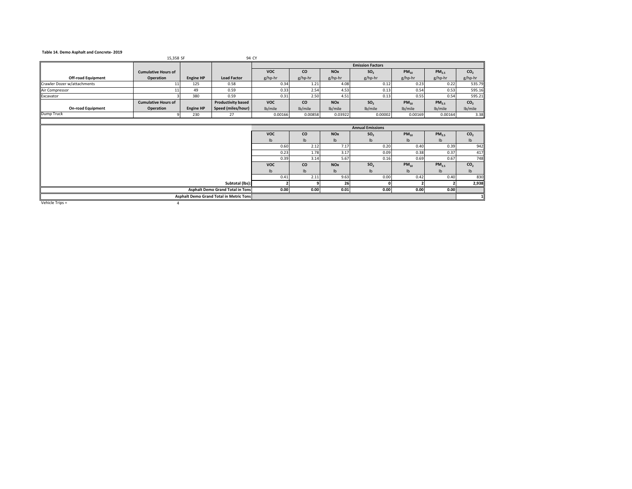#### **Table 14. Demo Asphalt and Concrete‐ 2019**

|                             |                            |                  |                           | <b>Emission Factors</b> |           |                       |                 |           |            |                 |
|-----------------------------|----------------------------|------------------|---------------------------|-------------------------|-----------|-----------------------|-----------------|-----------|------------|-----------------|
|                             | <b>Cumulative Hours of</b> |                  |                           | <b>VOC</b>              | <b>CO</b> | <b>NO<sub>x</sub></b> | SO <sub>2</sub> | $PM_{10}$ | $PM_{2.5}$ | CO <sub>2</sub> |
| <b>Off-road Equipment</b>   | Operation                  | <b>Engine HP</b> | <b>Load Factor</b>        | g/hp-hr                 | g/hp-hr   | g/hp-hr               | g/hp-hr         | g/hp-hr   | g/hp-hr    | g/hp-hr         |
| Crawler Dozer w/attachments | --                         | 125              | 0.58                      | 0.34                    | 1.21      | 4.08                  | 0.12            | 0.23      | 0.22       | 535.79          |
| Air Compressor              |                            | 49               | 0.59                      | 0.33                    | 2.54      | 4.53                  | 0.13            | 0.54      | 0.53       | 595.16          |
| Excavator                   |                            | 380              | 0.59                      | 0.31                    | 2.50      | 4.51                  | 0.13            | 0.55      | 0.54       | 595.21          |
|                             | <b>Cumulative Hours of</b> |                  | <b>Productivity based</b> | <b>VOC</b>              | <b>CO</b> | <b>NO<sub>x</sub></b> | SO <sub>2</sub> | $PM_{10}$ | $PM_{2.5}$ | CO <sub>2</sub> |
| <b>On-road Equipment</b>    | Operation                  | <b>Engine HP</b> | Speed (miles/hour)        | lb/mile                 | lb/mile   | lb/mile               | lb/mile         | lb/mile   | lb/mile    | lb/mile         |
| Dump Truck                  |                            | 230              | 27                        | 0.00166                 | 0.00858   | 0.03922               | 0.00002         | 0.00169   | 0.00164    | 3.38            |
|                             |                            |                  |                           |                         |           |                       |                 |           |            |                 |

|                                         |            |               |                       | <b>Annual Emissions</b> |           |                   |                 |
|-----------------------------------------|------------|---------------|-----------------------|-------------------------|-----------|-------------------|-----------------|
|                                         | <b>VOC</b> | <b>CO</b>     | <b>NO<sub>x</sub></b> | SO <sub>2</sub>         | $PM_{10}$ | PM <sub>2.5</sub> | CO <sub>2</sub> |
|                                         | Ib         | $\mathsf{lb}$ | $\mathsf{lb}$         | m                       | lb        | I <sub>b</sub>    | lb.             |
|                                         | 0.60       | 2.12          | 7.17                  | 0.20                    | 0.40      | 0.39              | 942             |
|                                         | 0.23       | 1.78          | 3.17                  | 0.09                    | 0.38      | 0.37              | 417             |
|                                         | 0.39       | 3.14          | 5.67                  | 0.16                    | 0.69      | 0.67              | 748             |
|                                         | <b>VOC</b> | <b>CO</b>     | <b>NOx</b>            | SO <sub>2</sub>         | $PM_{10}$ | PM <sub>2.5</sub> | CO <sub>2</sub> |
|                                         | lb         | Ib            | Ib                    | ıb                      | lb        | $\mathsf{lb}$     | Ib              |
|                                         | 0.41       | 2.11          | 9.63                  | 0.00                    | 0.42      | 0.40              | 830             |
| Subtotal (lbs):                         |            |               |                       |                         |           |                   | 2,938           |
| <b>Asphalt Demo Grand Total in Tons</b> | 0.00       | 0.00          | 0.01                  | 0.00                    | 0.00      | 0.00              |                 |
| Asphalt Demo Grand Total in Metric Tons |            |               |                       |                         |           |                   |                 |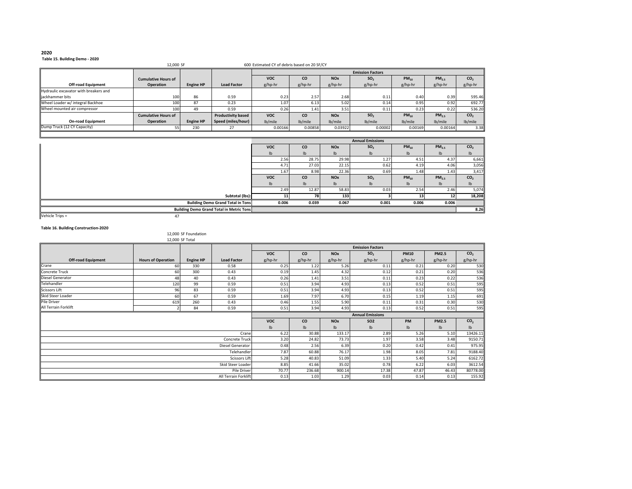### **2020**

### **Table 15. Building Demo ‐ 2020**

|                                       | 12,000 SF                  |                  |                           | 600 Estimated CY of debris based on 20 SF/CY                              |           |                       |                         |           |            |                 |
|---------------------------------------|----------------------------|------------------|---------------------------|---------------------------------------------------------------------------|-----------|-----------------------|-------------------------|-----------|------------|-----------------|
|                                       |                            |                  |                           |                                                                           |           |                       | <b>Emission Factors</b> |           |            |                 |
|                                       | <b>Cumulative Hours of</b> |                  |                           | <b>VOC</b>                                                                | <b>CO</b> | <b>NO<sub>x</sub></b> | SO <sub>2</sub>         | $PM_{10}$ | $PM_{2.5}$ | CO <sub>2</sub> |
| <b>Off-road Equipment</b>             | <b>Operation</b>           | <b>Engine HP</b> | <b>Load Factor</b>        | g/hp-hr                                                                   | g/hp-hr   | g/hp-hr               | g/hp-hr                 | g/hp-hr   | g/hp-hr    | g/hp-hr         |
| Hydraulic excavator with breakers and |                            |                  |                           |                                                                           |           |                       |                         |           |            |                 |
| jackhammer bits                       | 100                        | 86               | 0.59                      | 0.23                                                                      | 2.57      | 2.68                  | 0.11                    | 0.40      | 0.39       | 595.46          |
| Wheel Loader w/ integral Backhoe      | 100                        | 87               | 0.23                      | 1.07                                                                      | 6.13      | 5.02                  | 0.14                    | 0.95      | 0.92       | 692.77          |
| Wheel mounted air compressor          | 100                        | 49               | 0.59                      | 0.26                                                                      | 1.41      | 3.51                  | 0.11                    | 0.23      | 0.22       | 536.20          |
|                                       | <b>Cumulative Hours of</b> |                  | <b>Productivity based</b> | <b>VOC</b>                                                                | <b>CO</b> | <b>NO<sub>x</sub></b> | SO <sub>2</sub>         | $PM_{10}$ | $PM_{2.5}$ | CO <sub>2</sub> |
| <b>On-road Equipment</b>              | <b>Operation</b>           | <b>Engine HP</b> | Speed (miles/hour)        | lb/mile<br>Ib/mile<br>lb/mile<br>lb/mile<br>lb/mile<br>lb/mile<br>lb/mile |           |                       |                         |           |            |                 |
| Dump Truck (12 CY Capacity)           |                            | 230              | 27                        | 0.03922<br>0.00858<br>0.00169<br>0.00166<br>0.00002<br>0.00164<br>3.38    |           |                       |                         |           |            |                 |
|                                       |                            |                  |                           |                                                                           |           |                       |                         |           |            |                 |

|                 |                                                 |                           |                           |                           | <b>Annual Emissions</b>   |                           |                   |                 |
|-----------------|-------------------------------------------------|---------------------------|---------------------------|---------------------------|---------------------------|---------------------------|-------------------|-----------------|
|                 |                                                 | <b>VOC</b>                | <b>CO</b>                 | <b>NO<sub>x</sub></b>     | SO <sub>2</sub>           | $PM_{10}$                 | PM <sub>2.5</sub> | CO <sub>2</sub> |
|                 |                                                 | $\mathsf{I}^{\mathsf{b}}$ | $\mathsf{I}^{\mathsf{b}}$ | $\mathsf{I}^{\mathsf{b}}$ | $\mathsf{I}^{\mathsf{b}}$ | $\mathsf{lb}$             | $\mathsf{lb}$     | $\mathsf{lb}$   |
|                 |                                                 | 2.56                      | 28.75                     | 29.98                     | 1.27                      | 4.51                      | 4.37              | 6,661           |
|                 |                                                 | 4.71                      | 27.03                     | 22.15                     | 0.62                      | 4.19                      | 4.06              | 3,056           |
|                 |                                                 | 1.67                      | 8.98                      | 22.36                     | 0.69                      | 1.48                      | 1.43              | 3,417           |
|                 |                                                 | <b>VOC</b>                | <b>CO</b>                 | <b>NO<sub>x</sub></b>     | SO <sub>2</sub>           | $PM_{10}$                 | PM <sub>2.5</sub> | CO <sub>2</sub> |
|                 |                                                 | $\mathsf{I}$              | $\mathsf{I}^{\mathsf{b}}$ | $\mathsf{I}^{\mathsf{b}}$ | $\mathsf{I}^{\mathsf{b}}$ | $\mathsf{I}^{\mathsf{b}}$ | $\mathsf{lb}$     | $\mathsf{lb}$   |
|                 |                                                 | 2.49                      | 12.87                     | 58.83                     | 0.03                      | 2.54                      | 2.46              | 5,074           |
|                 | Subtotal (lbs):                                 |                           | 78                        | 133                       |                           | 13                        |                   | 18,208          |
|                 | <b>Building Demo Grand Total in Tons</b>        | 0.006                     | 0.039                     | 0.067                     | 0.001                     | 0.006                     | 0.006             |                 |
|                 | <b>Building Demo Grand Total in Metric Tons</b> |                           |                           |                           |                           |                           |                   | 8.26            |
| Vehicle Trips = | 47                                              |                           |                           |                           |                           |                           |                   |                 |

**Table 16. Building Construction‐2020**

12,000 SF Foundation 12,000 SF Total

|                           | 12,000 SF TOLAT           |                  |                    |                         |                           |                       |                         |                           |                |                 |
|---------------------------|---------------------------|------------------|--------------------|-------------------------|---------------------------|-----------------------|-------------------------|---------------------------|----------------|-----------------|
|                           |                           |                  |                    |                         |                           |                       | <b>Emission Factors</b> |                           |                |                 |
|                           |                           |                  |                    | <b>VOC</b>              | co                        | <b>NO<sub>x</sub></b> | SO <sub>2</sub>         | <b>PM10</b>               | <b>PM2.5</b>   | CO <sub>2</sub> |
| <b>Off-road Equipment</b> | <b>Hours of Operation</b> | <b>Engine HP</b> | <b>Load Factor</b> | g/hp-hr                 | g/hp-hr                   | g/hp-hr               | g/hp-hr                 | g/hp-hr                   | g/hp-hr        | g/hp-hr         |
| Crane                     | 60                        | 330              | 0.58               | 0.25                    | 1.22                      | 5.26                  | 0.11                    | 0.21                      | 0.20           | 530             |
| <b>Concrete Truck</b>     | 60                        | 300              | 0.43               | 0.19                    | 1.45                      | 4.32                  | 0.12                    | 0.21                      | 0.20           | 536             |
| <b>Diesel Generator</b>   | 48                        | 40               | 0.43               | 0.26                    | 1.41                      | 3.51                  | 0.11                    | 0.23                      | 0.22           | 536             |
| Telehandler               | 120                       | 99               | 0.59               | 0.51                    | 3.94                      | 4.93                  | 0.13                    | 0.52                      | 0.51           | 595             |
| <b>Scissors Lift</b>      | 96                        | 83               | 0.59               | 0.51                    | 3.94                      | 4.93                  | 0.13                    | 0.52                      | 0.51           | 595             |
| Skid Steer Loader         | 60                        | 67               | 0.59               | 1.69                    | 7.97                      | 6.70                  | 0.15                    | 1.19                      | 1.15           | 691             |
| Pile Driver               | 619                       | 260              | 0.43               | 0.46                    | 1.55                      | 5.90                  | 0.11                    | 0.31                      | 0.30           | 530             |
| All Terrain Forklift      |                           | 84               | 0.59               | 0.51                    | 3.94                      | 4.93                  | 0.13                    | 0.52                      | 0.51           | 595             |
|                           |                           |                  |                    | <b>Annual Emissions</b> |                           |                       |                         |                           |                |                 |
|                           |                           |                  |                    | <b>VOC</b>              | co                        | <b>NO<sub>x</sub></b> | <b>SO2</b>              | <b>PM</b>                 | <b>PM2.5</b>   | CO <sub>2</sub> |
|                           |                           |                  |                    | $\mathsf{lb}$           | $\mathsf{I}^{\mathsf{b}}$ | $\mathsf{lb}$         | $\mathsf{lb}$           | $\mathsf{I}^{\mathsf{b}}$ | I <sub>b</sub> | Ib              |
|                           |                           |                  | Crane              | 6.22                    | 30.88                     | 133.17                | 2.89                    | 5.26                      | 5.10           | 13426.11        |
|                           |                           |                  | Concrete Truck     | 3.20                    | 24.82                     | 73.73                 | 1.97                    | 3.58                      | 3.48           | 9150.71         |
|                           |                           |                  | Diesel Generator   | 0.48                    | 2.56                      | 6.39                  | 0.20                    | 0.42                      | 0.41           | 975.95          |
|                           |                           |                  | Telehandler        | 7.87                    | 60.88                     | 76.17                 | 1.98                    | 8.05                      | 7.81           | 9188.40         |
|                           |                           |                  | Scissors Lift      | 5.28                    | 40.83                     | 51.09                 | 1.33                    | 5.40                      | 5.24           | 6162.72         |
| Skid Steer Loader         |                           |                  | 8.85               | 41.66                   | 35.02                     | 0.78                  | 6.22                    | 6.03                      | 3612.54        |                 |
| Pile Driver               |                           |                  | 70.77              | 236.68                  | 900.14                    | 17.38                 | 47.87                   | 46.43                     | 80778.00       |                 |
| All Terrain Forklift      |                           |                  | 0.13               | 1.03                    | 1.29                      | 0.03                  | 0.14                    | 0.13                      | 155.92         |                 |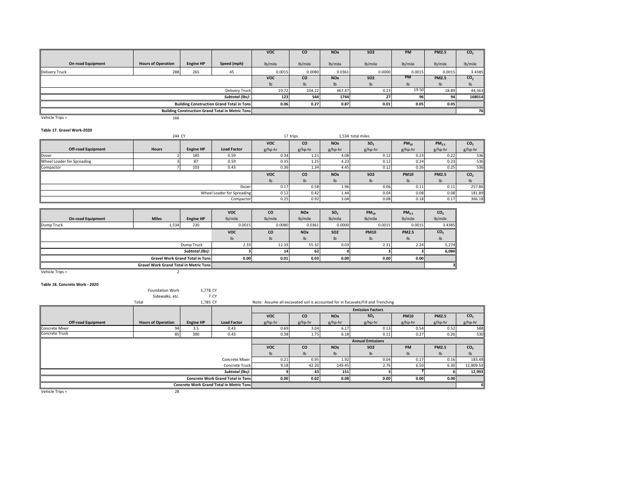|                          |                           |                  |                                                  | <b>VOC</b>     | <b>CO</b> | <b>NO<sub>x</sub></b>     | <b>SO2</b>    | <b>PM</b> | <b>PM2.5</b> | CO <sub>2</sub> |
|--------------------------|---------------------------|------------------|--------------------------------------------------|----------------|-----------|---------------------------|---------------|-----------|--------------|-----------------|
| <b>On-road Equipment</b> | <b>Hours of Operation</b> | <b>Engine HP</b> | Speed (mph)                                      | lb/mile        | lb/mile   | lb/mile                   | lb/mile       | lb/mile   | lb/mile      | lb/mile         |
| <b>Delivery Truck</b>    | 288                       | 265              | 45                                               | 0.0015         | 0.0080    | 0.0361                    | 0.0000        | 0.0015    | 0.0015       | 3.4385          |
|                          |                           |                  |                                                  | <b>VOC</b>     | <b>CO</b> | <b>NO<sub>x</sub></b>     | <b>SO2</b>    | <b>PM</b> | <b>PM2.5</b> | CO <sub>2</sub> |
|                          |                           |                  |                                                  | I <sub>b</sub> | lb        | $\mathsf{I}^{\mathsf{b}}$ | $\mathsf{lb}$ | Ib        | $\mathsf{I}$ |                 |
|                          |                           |                  | Delivery Truck                                   | 19.72          | 104.22    | 467.47                    | 0.23          | 19.50     | 18.89        | 44,563          |
|                          |                           |                  | Subtotal (lbs):                                  | 123            | 544       | 1744                      |               | 96        | 94           | 168014          |
|                          |                           |                  | <b>Building Construction Grand Total in Tons</b> | 0.06           | 0.27      | 0.87                      | 0.01          | 0.05      | 0.05         |                 |
|                          |                           |                  | Building Construction Grand Total in Metric Tons |                |           |                           |               |           |              | 76              |
| Vehicle Trips =          | 166                       |                  |                                                  |                |           |                           |               |           |              |                 |

### **Table 17. Gravel Work‐2020**

|                            | 244 CY<br>17 trips         |                  |                    |               |                          | 1,534 total miles         |                           |             |              |                 |
|----------------------------|----------------------------|------------------|--------------------|---------------|--------------------------|---------------------------|---------------------------|-------------|--------------|-----------------|
|                            |                            |                  |                    | <b>VOC</b>    | <b>CO</b>                | <b>NO<sub>x</sub></b>     | SO <sub>2</sub>           | $PM_{10}$   | $PM_{2.5}$   | CO <sub>2</sub> |
| <b>Off-road Equipment</b>  | <b>Hours</b>               | <b>Engine HP</b> | <b>Load Factor</b> | g/hp-hr       | g/hp-hr                  | g/hp-hr                   | g/hp-hr                   | g/hp-hr     | g/hp-hr      | g/hp-hr         |
| Dozer                      |                            | 185              | 0.59               | 0.34          | 1.21                     | 4.08                      | 0.12                      | 0.23        | 0.22         | 536             |
| Wheel Loader for Spreading |                            | 87               | 0.59               | 0.35          | 1.25                     | 4.23                      | 0.12                      | 0.24        | 0.23         | 536             |
| Compactor                  |                            | 103              | 0.43               | 0.36          | 1.34                     | 4.45                      | 0.12                      | 0.26        | 0.25         | 536             |
|                            |                            |                  |                    | <b>VOC</b>    | <b>CO</b>                | <b>NO<sub>x</sub></b>     | <b>SO2</b>                | <b>PM10</b> | <b>PM2.5</b> | CO <sub>2</sub> |
|                            |                            |                  |                    | $\mathsf{lb}$ | Ib                       | $\mathsf{I}^{\mathsf{b}}$ | $\mathsf{I}^{\mathsf{b}}$ | It          | Ib           | $\mathsf{lb}$   |
|                            |                            |                  | Dozer              | 0.17          | 0.58                     | 1.96                      | 0.06                      | 0.11        | 0.11         | 257.86          |
|                            | Wheel Loader for Spreading |                  |                    | 0.12          | 0.42                     | 1.44                      | 0.04                      | 0.08        | 0.08         | 181.89          |
|                            |                            |                  | Compactor          | 0.25          | 0.92                     | 3.04                      | 0.08                      | 0.18        | 0.17         | 366.18          |
|                            |                            |                  |                    |               |                          |                           |                           |             |              |                 |
|                            | $\cdots$                   |                  |                    | $\sim$        | $\overline{\phantom{a}}$ | $\sim$                    | $\sim$                    | $\sim$      | $\sim$       |                 |

|                          |                                               |                                        | <b>VOC</b>                | <b>CO</b>                 | <b>NOx</b>                | SO <sub>2</sub>           | $PM_{10}$   | PM <sub>2.5</sub> | CO <sub>2</sub>           |
|--------------------------|-----------------------------------------------|----------------------------------------|---------------------------|---------------------------|---------------------------|---------------------------|-------------|-------------------|---------------------------|
| <b>On-road Equipment</b> | <b>Miles</b>                                  | <b>Engine HP</b>                       | lb/mile                   | lb/mile                   | lb/mile                   | lb/mile                   | lb/mile     | lb/mile           | lb/mile                   |
| Dump Truck               | 1,534                                         | 230                                    | 0.0015                    | 0.0080                    | 0.0361                    | 0.0000                    | 0.0015      | 0.0015            | 3.4385                    |
|                          |                                               |                                        | <b>VOC</b>                | CO                        | <b>NOx</b>                | <b>SO2</b>                | <b>PM10</b> | <b>PM2.5</b>      | CO <sub>2</sub>           |
|                          |                                               |                                        | $\mathsf{I}^{\mathsf{b}}$ | $\mathsf{I}^{\mathsf{b}}$ | $\mathsf{I}^{\mathsf{b}}$ | $\mathsf{I}^{\mathsf{b}}$ | lb          | lb                | $\mathsf{I}^{\mathsf{b}}$ |
|                          |                                               | Dump Truck                             | 2.33                      | 12.33                     | 55.32                     | 0.03                      | 2.31        | 2.24              | 5,274                     |
|                          |                                               | Subtotal (lbs):                        |                           |                           | 62                        |                           |             |                   | 6,080                     |
|                          |                                               | <b>Gravel Work Grand Total in Tons</b> | 0.00                      | 0.01                      | 0.03                      | 0.00                      | 0.00        | 0.00              |                           |
|                          | <b>Gravel Work Grand Total in Metric Tons</b> |                                        |                           |                           |                           |                           |             |                   |                           |

Vehicle Trips <sup>=</sup> 2

#### **Table 18. Concrete Work ‐ 2020**

| <b>Foundation Work</b> | 1,778 CY |      |
|------------------------|----------|------|
| Sidewalks, etc.        |          | 7 CY |
| Total                  | 1,785 CY |      |
|                        |          |      |

## Note: Assume all excavated soil is accounted for in Excavate/Fill and Trenching

|                           |                           |                  |                                                 | <b>Emission Factors</b> |                           |                       |                 |             |              |                 |
|---------------------------|---------------------------|------------------|-------------------------------------------------|-------------------------|---------------------------|-----------------------|-----------------|-------------|--------------|-----------------|
|                           |                           |                  |                                                 | <b>VOC</b>              | <b>CO</b>                 | <b>NO<sub>x</sub></b> | SO <sub>2</sub> | <b>PM10</b> | <b>PM2.5</b> | CO <sub>2</sub> |
| <b>Off-road Equipment</b> | <b>Hours of Operation</b> | <b>Engine HP</b> | <b>Load Factor</b>                              | g/hp-hr                 | g/hp-hr                   | g/hp-hr               | g/hp-hr         | g/hp-hr     | g/hp-hr      | g/hp-hr         |
| <b>Concrete Mixer</b>     |                           | 3.5              | 0.43                                            | 0.69                    | 3.04                      | 6.17                  | 0.13            | 0.54        | 0.52         | 588             |
| <b>Concrete Truck</b>     | 85                        | 300              | 0.43                                            | 0.38                    | 1.75                      | 6.18                  | 0.11            | 0.27        | 0.26         | 530             |
|                           |                           |                  |                                                 | <b>Annual Emissions</b> |                           |                       |                 |             |              |                 |
|                           |                           |                  |                                                 | <b>VOC</b>              | <b>CO</b>                 | <b>NO<sub>x</sub></b> | <b>SO2</b>      | <b>PM</b>   | <b>PM2.5</b> | CO <sub>2</sub> |
|                           |                           |                  |                                                 | Ib                      | $\mathsf{I}^{\mathsf{b}}$ | $\mathsf{lb}$         | $\mathsf{I}$    | Ib          | Ib           | $\mathsf{lb}$   |
|                           |                           |                  | Concrete Mixer                                  | 0.21                    | 0.95                      | 1.92                  | 0.04            | 0.17        | 0.16         | 183.48          |
|                           |                           |                  | <b>Concrete Truck</b>                           | 9.18                    | 42.20                     | 149.45                | 2.76            | 6.50        | 6.30         | 12,809.54       |
|                           |                           |                  | Subtotal (lbs):                                 |                         | 43                        | 151                   |                 |             |              | 12,993          |
|                           |                           |                  | <b>Concrete Work Grand Total in Tons</b>        | 0.00                    | 0.02                      | 0.08                  | 0.00            | 0.00        | 0.00         |                 |
|                           |                           |                  | <b>Concrete Work Grand Total in Metric Tons</b> |                         |                           |                       |                 |             |              |                 |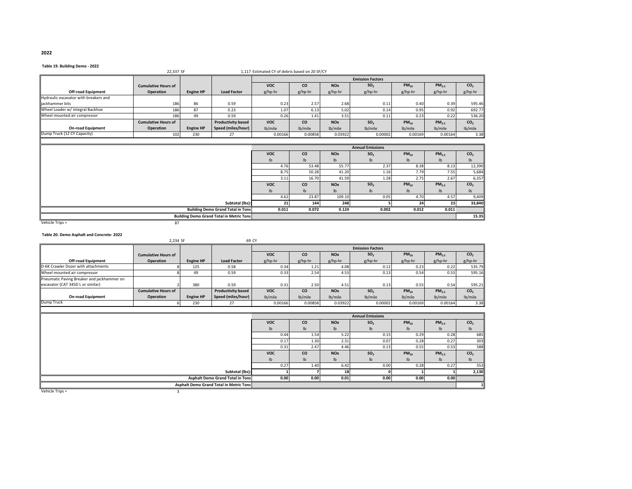#### **Table 19. Building Demo ‐ 2022**

| rabic 19: Danamg Denio - 2022         |                            |                  |                           |                                                |           |                       |                         |           |                   |                 |
|---------------------------------------|----------------------------|------------------|---------------------------|------------------------------------------------|-----------|-----------------------|-------------------------|-----------|-------------------|-----------------|
|                                       | 22.337 SF                  |                  |                           | 1.117 Estimated CY of debris based on 20 SF/CY |           |                       |                         |           |                   |                 |
|                                       |                            |                  |                           |                                                |           |                       | <b>Emission Factors</b> |           |                   |                 |
|                                       | <b>Cumulative Hours of</b> |                  |                           | <b>VOC</b>                                     | <b>CO</b> | <b>NO<sub>x</sub></b> | SO <sub>2</sub>         | $PM_{10}$ | PM <sub>2.5</sub> | CO <sub>2</sub> |
| <b>Off-road Equipment</b>             | Operation                  | <b>Engine HP</b> | <b>Load Factor</b>        | g/hp-hr                                        | g/hp-hr   | g/hp-hr               | g/hp-hr                 | g/hp-hr   | g/hp-hr           | g/hp-hr         |
| Hydraulic excavator with breakers and |                            |                  |                           |                                                |           |                       |                         |           |                   |                 |
| iackhammer bits                       | 186                        | 86               | 0.59                      | 0.23                                           | 2.57      | 2.68                  | 0.11                    | 0.40      | 0.39              | 595.46          |
| Wheel Loader w/ integral Backhoe      | 186                        | 87               | 0.23                      | 1.07                                           | 6.13      | 5.02                  | 0.14                    | 0.95      | 0.92              | 692.77          |
| Wheel mounted air compressor          | 186                        | 49               | 0.59                      | 0.26                                           | 1.41      | 3.51                  | 0.11                    | 0.23      | 0.22              | 536.20          |
|                                       | <b>Cumulative Hours of</b> |                  | <b>Productivity based</b> | <b>VOC</b>                                     | <b>CO</b> | <b>NO<sub>x</sub></b> | SO <sub>2</sub>         | $PM_{10}$ | $PM_{2.5}$        | CO <sub>2</sub> |
| <b>On-road Equipment</b>              | Operation                  | <b>Engine HP</b> | Speed (miles/hour)        | lb/mile                                        | lb/mile   | lb/mile               | lb/mile                 | lb/mile   | lb/mile           | lb/mile         |
| Dump Truck (12 CY Capacity)           | 102                        | 230              | 27                        | 0.00166                                        | 0.00858   | 0.03922               | 0.00002                 | 0.00169   | 0.00164           | 3.38            |

|                                                 | <b>Annual Emissions</b> |               |                       |                 |                           |                           |                 |  |  |
|-------------------------------------------------|-------------------------|---------------|-----------------------|-----------------|---------------------------|---------------------------|-----------------|--|--|
|                                                 | <b>VOC</b>              | <b>CO</b>     | <b>NO<sub>x</sub></b> | SO <sub>2</sub> | $PM_{10}$                 | PM <sub>2.5</sub>         | CO <sub>2</sub> |  |  |
|                                                 | lb                      | $\mathsf{lb}$ | $\mathsf{lb}$         | $\mathsf{lb}$   | $\mathsf{I}^{\mathsf{b}}$ | $\mathsf{I}^{\mathsf{b}}$ | $\mathsf{lb}$   |  |  |
|                                                 | 4.76                    | 53.48         | 55.77                 | 2.37            | 8.38                      | 8.13                      | 12,390          |  |  |
|                                                 | 8.75                    | 50.28         | 41.20                 | 1.16            | 7.79                      | 7.55                      | 5,684           |  |  |
|                                                 | 3.11                    | 16.70         | 41.59                 | 1.28            | 2.75                      | 2.67                      | 6,357           |  |  |
|                                                 | <b>VOC</b>              | <b>CO</b>     | <b>NO<sub>x</sub></b> | SO <sub>2</sub> | $PM_{10}$                 | PM <sub>2.5</sub>         | CO <sub>2</sub> |  |  |
|                                                 | ١ŀ                      | $\mathsf{lb}$ | $\mathsf{lb}$         | I <sub>b</sub>  | $\mathsf{I}^{\mathsf{b}}$ | $\mathsf{I}^{\mathsf{b}}$ | $\mathsf{lb}$   |  |  |
|                                                 | 4.62                    | 23.87         | 109.10                | 0.05            | 4.70                      | 4.57                      | 9,409           |  |  |
| Subtotal (lbs):                                 |                         | 144           | 248                   |                 | 24                        | 23                        | 33,840          |  |  |
| <b>Building Demo Grand Total in Tons</b>        | 0.011                   | 0.072         | 0.124                 | 0.002           | 0.012                     | 0.011                     |                 |  |  |
| <b>Building Demo Grand Total in Metric Tons</b> |                         |               |                       |                 |                           |                           | 15.35           |  |  |
| Vehicle Trips =<br>87                           |                         |               |                       |                 |                           |                           |                 |  |  |

#### **Table 20. Demo Asphalt and Concrete‐ 2022**

|                                            |                            |                  |                           |            |           |                       | <b>Emission Factors</b> |           |            |                 |
|--------------------------------------------|----------------------------|------------------|---------------------------|------------|-----------|-----------------------|-------------------------|-----------|------------|-----------------|
|                                            | <b>Cumulative Hours of</b> |                  |                           | <b>VOC</b> | <b>CO</b> | <b>NO<sub>x</sub></b> | SO <sub>2</sub>         | $PM_{10}$ | $PM_{2.5}$ | CO <sub>2</sub> |
| <b>Off-road Equipment</b>                  | Operation                  | <b>Engine HP</b> | <b>Load Factor</b>        | g/hp-hr    | g/hp-hr   | g/hp-hr               | g/hp-hr                 | g/hp-hr   | g/hp-hr    | g/hp-hr         |
| D-6K Crawler Dozer with attachments        |                            | 125              | 0.58                      | 0.34       | 1.21      | 4.08                  | 0.12                    | 0.23      | 0.22       | 535.79          |
| Wheel mounted air compressor               |                            | 49               | 0.59                      | 0.33       | 2.54      | 4.53                  | 0.13                    | 0.54      | 0.53       | 595.16          |
| Pneumatic Paving Breaker and jackhammer on |                            |                  |                           |            |           |                       |                         |           |            |                 |
| excavator (CAT 345D L or similar)          |                            | 380              | 0.59                      | 0.31       | 2.50      | 4.51                  | 0.13                    | 0.55      | 0.54       | 595.21          |
|                                            | <b>Cumulative Hours of</b> |                  | <b>Productivity based</b> | <b>VOC</b> | <b>CO</b> | <b>NO<sub>x</sub></b> | SO <sub>2</sub>         | $PM_{10}$ | $PM_{2.5}$ | CO <sub>2</sub> |
| <b>On-road Equipment</b>                   | Operation                  | <b>Engine HP</b> | Speed (miles/hour)        | lb/mile    | lb/mile   | lb/mile               | lb/mile                 | lb/mile   | lb/mile    | lb/mile         |
| Dump Truck                                 |                            | 230              |                           | 0.00166    | 0.00858   | 0.03922               | 0.00002                 | 0.00169   | 0.00164    | 3.38            |

|                                                |                           |                           |                       | <b>Annual Emissions</b> |                           |                   |                 |
|------------------------------------------------|---------------------------|---------------------------|-----------------------|-------------------------|---------------------------|-------------------|-----------------|
|                                                | <b>VOC</b>                | <b>CO</b>                 | <b>NOx</b>            | SO <sub>2</sub>         | $PM_{10}$                 | PM <sub>2.5</sub> | CO <sub>2</sub> |
|                                                | $\mathsf{I}^{\mathsf{b}}$ | $\mathsf{I}^{\mathsf{b}}$ | Ib                    | Ib                      | $\mathsf{I}^{\mathsf{b}}$ | $\mathsf{lb}$     | $\mathsf{lb}$   |
|                                                | 0.44                      | 1.54                      | 5.22                  | 0.15                    | 0.29                      | 0.28              | 685             |
|                                                | 0.17                      | 1.30                      | 2.31                  | 0.07                    | 0.28                      | 0.27              | 303             |
|                                                | 0.31                      | 2.47                      | 4.46                  | 0.13                    | 0.55                      | 0.53              | 588             |
|                                                | <b>VOC</b>                | <b>CO</b>                 | <b>NO<sub>x</sub></b> | SO <sub>2</sub>         | $PM_{10}$                 | $PM_{2.5}$        | CO <sub>2</sub> |
|                                                | b                         | $\mathsf{I}^{\mathsf{b}}$ | $\mathsf{lb}$         | lb.                     | lb                        | $\mathsf{lb}$     | $\mathsf{lb}$   |
|                                                | 0.27                      | 1.40                      | 6.42                  | 0.00                    | 0.28                      | 0.27              | 553             |
| Subtotal (lbs):                                |                           |                           |                       |                         |                           |                   | 2,130           |
| <b>Asphalt Demo Grand Total in Tons</b>        | 0.00                      | 0.00                      | 0.01                  | 0.00                    | 0.00                      | 0.00              |                 |
| <b>Asphalt Demo Grand Total in Metric Tons</b> |                           |                           |                       |                         |                           |                   |                 |

Vehicle Trips <sup>=</sup> 3

**2022**

Iī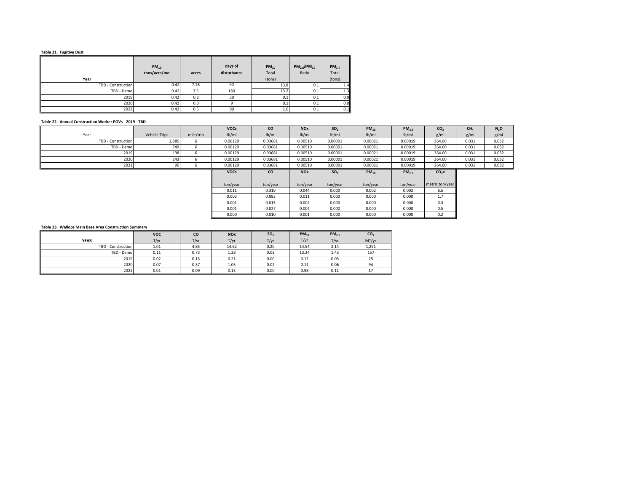#### **Table 21. Fugitive Dust**

| Year               | $PM_{10}$<br>tons/acre/mo | acres | days of<br>disturbance | $PM_{10}$<br>Total<br>(tons) | $PM_{2.5}/PM_{10}$<br>Ratio | PM <sub>2.5</sub><br>Total<br>(tons) |
|--------------------|---------------------------|-------|------------------------|------------------------------|-----------------------------|--------------------------------------|
| TBD - Construction | 0.42                      | 7.28  | 90                     | 13.8                         | 0.1                         | 1.4                                  |
| TBD - Demo         | 0.42                      | 3.5   | 180                    | 13.2                         | 0.1                         | 1.3                                  |
| 2019               | 0.42                      | 0.2   | 30                     | 0.1                          | 0.1                         | 0.0                                  |
| 2020               | 0.42                      | 0.3   | a                      | 0.1                          | 0.1                         | 0.0                                  |
| 2022               | 0.42                      | 0.5   | 90                     | 1.0                          | 0.1                         | 0.1                                  |

#### **Table 22. Annual Construction Worker POVs ‐ 2019 ‐ TBD**

|                           |               |           | <b>VOCs</b> | <b>CO</b> | <b>NOx</b>            | SO <sub>2</sub> | $PM_{10}$ | $PM_{2.5}$        | CO <sub>2</sub>   | CH <sub>a</sub> | N <sub>2</sub> O |
|---------------------------|---------------|-----------|-------------|-----------|-----------------------|-----------------|-----------|-------------------|-------------------|-----------------|------------------|
| Year                      | Vehicle Trips | mile/trip | lb/mi       | lb/mi     | lb/mi                 | $lb$ /mi        | $lb$ /mi  | lb/mi             | g/mi              | g/mi            | g/mi             |
| <b>TBD - Construction</b> | 2,885         |           | 0.00129     | 0.03681   | 0.00510               | 0.00001         | 0.00021   | 0.00019           | 364.00            | 0.031           | 0.032            |
| TBD - Demo                | 749           | 6.        | 0.00129     | 0.03681   | 0.00510               | 0.00001         | 0.00021   | 0.00019           | 364.00            | 0.031           | 0.032            |
| 2019                      | 138           |           | 0.00129     | 0.03681   | 0.00510               | 0.00001         | 0.00021   | 0.00019           | 364.00            | 0.031           | 0.032            |
| 2020                      | 243           | 6.        | 0.00129     | 0.03681   | 0.00510               | 0.00001         | 0.00021   | 0.00019           | 364.00            | 0.031           | 0.032            |
| 2022                      | 90            |           | 0.00129     | 0.03681   | 0.00510               | 0.00001         | 0.00021   | 0.00019           | 364.00            | 0.031           | 0.032            |
|                           |               |           | <b>VOCs</b> | <b>CO</b> | <b>NO<sub>x</sub></b> | SO <sub>2</sub> | $PM_{10}$ | PM <sub>2.5</sub> | CO <sub>2</sub> e |                 |                  |
|                           |               |           |             |           |                       |                 |           |                   |                   |                 |                  |
|                           |               |           | ton/year    | ton/year  | ton/year              | ton/year        | ton/year  | ton/year          | metric ton/year   |                 |                  |
|                           |               |           | 0.011       | 0.319     | 0.044                 | 0.000           | 0.002     | 0.002             | 6.5               |                 |                  |
|                           |               |           | 0.003       | 0.083     | 0.011                 | 0.000           | 0.000     | 0.000             | 1.7               |                 |                  |
|                           |               |           | 0.001       | 0.015     | 0.002                 | 0.000           | 0.000     | 0.000             | 0.3               |                 |                  |
|                           |               |           | 0.001       | 0.027     | 0.004                 | 0.000           | 0.000     | 0.000             | 0.5               |                 |                  |
|                           |               |           | 0.000       | 0.010     | 0.001                 | 0.000           | 0.000     | 0.000             | 0.2               |                 |                  |

#### **Table 23. Wallops Main Base Area Construction Summary**

|                    | <b>VOC</b> | <b>CO</b> | <b>NO<sub>x</sub></b> | SO <sub>2</sub> | $PM_{10}$ | PM <sub>2.5</sub> | CO <sub>2</sub> |
|--------------------|------------|-----------|-----------------------|-----------------|-----------|-------------------|-----------------|
| <b>YEAR</b>        | T/yr       | T/yr      | T/yr                  | T/yr            | T/yr      | T/yr              | MT/yr           |
| TBD - Construction | 1.01       | 4.85      | 14.62                 | 0.20            | 14.54     | 2.14              | 1,291           |
| TBD - Demol        | 0.11       | 0.73      | 1.28                  | 0.03            | 13.34     | 1.43              | 157             |
| 2019               | 0.02       | 0.13      | 0.21                  | 0.00            | 0.12      | 0.03              | 25              |
| 2020               | 0.07       | 0.37      | 1.05                  | 0.02            | 0.11      | 0.06              | 94              |
| 2022               | 0.01       | 0.09      | 0.13                  | 0.00            | 0.98      | 0.11              | 17              |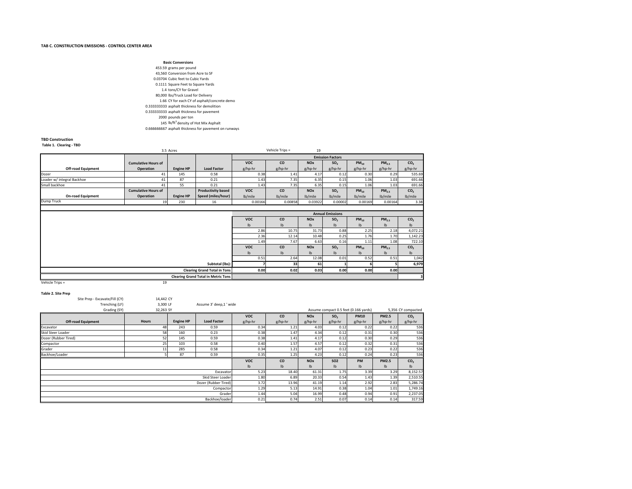#### **TAB C. CONSTRUCTION EMISSIONS ‐ CONTROL CENTER AREA**

453.59 grams per pound 43,560 Conversion from Acre to SF 0.03704 Cubic feet to Cubic Yards 0.1111 Square Feet to Square Yards 1.4 tons/CY for Gravel 80,000 lbs/Truck Load for Delivery 1.66 CY for each CY of asphalt/concrete demo 0.333333333 asphalt thickness for demolition 0.333333333 asphalt thickness for pavement 2000 pounds per ton 145 lb/ft<sup>3</sup> density of Hot Mix Asphalt 0.666666667 asphalt thickness for pavement on runways **Basic Conversions**

#### **TBD Construction**

**Table 1. Clearing ‐ TBD**

3.5 AcresVehicle Trips = 19 **VOC CO NOx SO2 PM10 PM2.5 CO2** g/hp‐hr g/hp‐hr g/hp‐hr g/hp‐hr g/hp‐hr g/hp‐hr g/hp‐hr Dozer 41 145 0.58 0.38 1.41 4.17 0.12 0.30 0.29 535.69 ader w/integral Backhoe w/ integral Backhoe 41 87 0.21 1.43 7.35 6.35 0.15 1.06 1.03 691.66 andysed liem l backhoe 41 55 0.21 1.43 7.35 6.35 0.15 1.06 1.03 691.66 **VOC CO NOx SO2 PM10 PM2.5 CO2** lb/mile lb/mile lb/mile lb/mile lb/mile lb/mile lb/mile Dump Truck 19 230 16 0.00166 0.00858 0.03922 0.00002 0.00169 0.001640.00164 3.38 **VOC CO NOx SO2PM<sub>10</sub> PM**<sub>2.5</sub> **CO<sub>2</sub> lb lb lb** lb lb lb lb lb lb lb lb 4,072.2 2.86 10.75 31.73 0.88 2.25 2.18 4,072.21 2.36 12.14 10.48 0.25 1.76 1.70 1,142.23 1.49 7.67 6.63 0.16 1.11 1.08 722.10**VOC CO NOx SO2PM<sub>10</sub> PM<sub>2.5</sub> CO<sub>2</sub>** lb lb lb lb lb lb lb lb 0.51 2.64 12.08 0.01 0.52 0.51 1,042 **Subtotal (lbs): 7 33 61 1 6 5 6,979 Clearing Grand Total in Tons 0.00 0.02 0.03 0.00 0.00 0.00 Clearing Grand Total in Metric Tons 3** Vehicle Trips <sup>=</sup> 19 **Off‐road Equipment Cumulative Hours of Operation Engine HP Load Factor Emission Factors On‐road Equipment Cumulative Hours of Operation Engine HP Productivity based Speed (miles/hour) Annual Emissions**

 $rac{536}{536}$ 

 $531$ 

Compactor 1.29 5.13 14.91 0.38 1.04 1.01 1,749.16 Grader 1.44 5.04 16.99 0.48 0.94 0.91 2,237.05 Backhoe/loader 0.21 0.74 2.51 0.07 0.14 0.14 317.59

**Table 2. Site Prep**

Site Prep - Excavate/Fill (CY) 14,442 CY Trenching (LF) 3,300 LF<br>Grading (SY) 32,263 SY Grading (SY) 32,263 SY 32,263 SY 32,263 SY 32,263 SY 33,263 SY Assume compact 0.5 feet (0.166 yards) 5,356 CY compacted **VOC CO NOx SO2PM10 PM2.5 CO<sub>2</sub>** g/hp‐hr g/hp‐hr g/hp‐hr g/hp‐hr g/hp‐hr g/hp‐hr g/hp‐hr Excavator 48 243 0.59 0.34 1.21 4.03 0.12 0.22 0.22 536kid Steer Loader d Steer Loader 58 | 160 | 0.23 | 0.38 | 1.47 | 4.34 | 0.12 | 0.31 | 0.30 | 536 ozer (Rubber Tired) r (Rubber Tired) 52 | 145 | 0.59 | 0.38 1.41 | 4.17 | 0.12 | 0.29 | 536 Compactor 25 103 0.58 0.40 1.57 4.57 0.12 0.32 0.31 536 Grader 11 285 0.58 0.34 1.21 4.07 0.12 0.23 0.22 536Backhoe/Loader 5 87 0.59 0.35 1.25 4.23 0.12 0.24 0.23 536 **VOC CO NOx SO2 PM PM2.5 CO2**lb lb lb lb lb lb lbExcavator 5.23 18.40 61.31 1.75 3.39 3.29 8,152.57 Skid Steer Loader 1.80 6.89 20.33 0.54 1.43 1.39 2,510.55 Dozer (Rubber Tired) 3.72 13.96 41.19 1.14 2.92 2.83 5,286.74 Assume 3' deep,1 ' wide **Off‐roadEquipment Hours Engine HP Load Factor**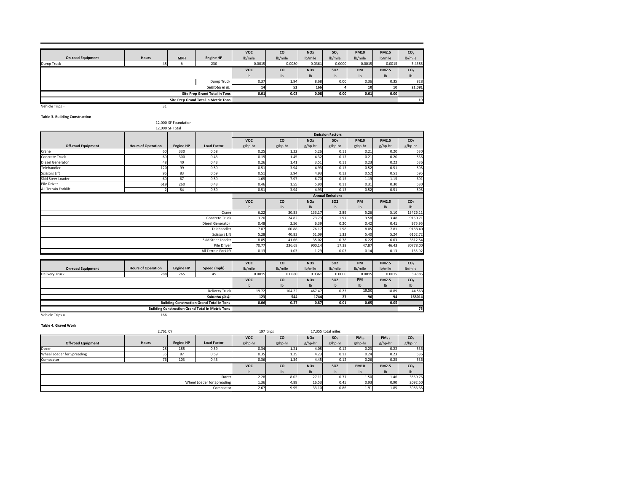|                          |              |            |                                      | <b>VOC</b> | <sub>co</sub> | <b>NO<sub>x</sub></b> | SO <sub>2</sub> | <b>PM10</b> | <b>PM2.5</b>              | CO <sub>2</sub> |
|--------------------------|--------------|------------|--------------------------------------|------------|---------------|-----------------------|-----------------|-------------|---------------------------|-----------------|
| <b>On-road Equipment</b> | <b>Hours</b> | <b>MPH</b> | <b>Engine HP</b>                     | lb/mile    | lb/mile       | lb/mile               | lb/mile         | lb/mile     | lb/mile                   | lb/mile         |
| Dump Truck               | 48           |            | 230                                  | 0.0015     | 0.0080        | 0.0361                | 0.0000          | 0.0015      | 0.0015                    | 3.4385          |
|                          |              |            |                                      | <b>VOC</b> | <sub>co</sub> | <b>NO<sub>x</sub></b> | SO <sub>2</sub> | PM          | <b>PM2.5</b>              | CO <sub>2</sub> |
|                          |              |            |                                      | <b>Ih</b>  | $\mathsf{lb}$ | I <sub>b</sub>        | $\mathsf{lb}$   | Ib          | $\mathsf{I}^{\mathsf{b}}$ | lb.             |
|                          |              |            | Dump Truck                           | 0.37       | 1.94          | 8.68                  | 0.00            | 0.36        | 0.35                      | 828             |
|                          |              |            | Subtotal in Ib:                      | 14         | 52            | 166                   |                 | 10          | 10                        | 21,081          |
|                          |              |            | Site Prep Grand Total in Tons        | 0.01       | 0.03          | 0.08                  | 0.00            | 0.01        | 0.00                      |                 |
|                          |              |            | Site Prep Grand Total in Metric Tons |            |               |                       |                 |             |                           | 10              |
| Vehicle Trips =          | 31           |            |                                      |            |               |                       |                 |             |                           |                 |

**Table 3. Building Construction**

#### 12,000 SF Foundation 12,000 SF Total

|                           | 1.1                       |                  |                      |                           |               |                       |                         |               |               |                           |
|---------------------------|---------------------------|------------------|----------------------|---------------------------|---------------|-----------------------|-------------------------|---------------|---------------|---------------------------|
|                           |                           |                  |                      |                           |               |                       | <b>Emission Factors</b> |               |               |                           |
|                           |                           |                  |                      | <b>VOC</b>                | <b>CO</b>     | <b>NOx</b>            | SO <sub>2</sub>         | <b>PM10</b>   | <b>PM2.5</b>  | CO <sub>2</sub>           |
| <b>Off-road Equipment</b> | <b>Hours of Operation</b> | <b>Engine HP</b> | <b>Load Factor</b>   | g/hp-hr                   | g/hp-hr       | g/hp-hr               | g/hp-hr                 | g/hp-hr       | g/hp-hr       | g/hp-hr                   |
| Crane                     | 60                        | 330              | 0.58                 | 0.25                      | 1.22          | 5.26                  | 0.11                    | 0.21          | 0.20          | 530                       |
| <b>Concrete Truck</b>     | 60                        | 300              | 0.43                 | 0.19                      | 1.45          | 4.32                  | 0.12                    | 0.21          | 0.20          | 536                       |
| Diesel Generator          | 48                        | 40               | 0.43                 | 0.26                      | 1.41          | 3.51                  | 0.11                    | 0.23          | 0.22          | 536                       |
| Telehandler               | 120                       | 99               | 0.59                 | 0.51                      | 3.94          | 4.93                  | 0.13                    | 0.52          | 0.51          | 595                       |
| <b>Scissors Lift</b>      | 96                        | 83               | 0.59                 | 0.51                      | 3.94          | 4.93                  | 0.13                    | 0.52          | 0.51          | 595                       |
| Skid Steer Loader         | 60                        | 67               | 0.59                 | 1.69                      | 7.97          | 6.70                  | 0.15                    | 1.19          | 1.15          | 691                       |
| Pile Driver               | 619                       | 260              | 0.43                 | 0.46                      | 1.55          | 5.90                  | 0.11                    | 0.31          | 0.30          | 530                       |
| All Terrain Forklift      |                           | 84               | 0.59                 | 0.51                      | 3.94          | 4.93                  | 0.13                    | 0.52          | 0.51          | 595                       |
|                           |                           |                  |                      |                           |               |                       | <b>Annual Emissions</b> |               |               |                           |
|                           |                           |                  |                      | <b>VOC</b>                | <b>CO</b>     | <b>NO<sub>x</sub></b> | <b>SO2</b>              | <b>PM</b>     | <b>PM2.5</b>  | CO <sub>2</sub>           |
|                           |                           |                  |                      | $\mathsf{I}^{\mathsf{b}}$ | $\mathsf{lb}$ | $\mathsf{lb}$         | $\mathsf{lb}$           | $\mathsf{lb}$ | $\mathsf{lb}$ | $\mathsf{I}^{\mathsf{b}}$ |
|                           |                           |                  | Crane                | 6.22                      | 30.88         | 133.17                | 2.89                    | 5.26          | 5.10          | 13426.11                  |
|                           |                           |                  | Concrete Truck       | 3.20                      | 24.82         | 73.73                 | 1.97                    | 3.58          | 3.48          | 9150.71                   |
|                           |                           |                  | Diesel Generator     | 0.48                      | 2.56          | 6.39                  | 0.20                    | 0.42          | 0.41          | 975.95                    |
|                           |                           |                  | Telehandler          | 7.87                      | 60.88         | 76.17                 | 1.98                    | 8.05          | 7.81          | 9188.40                   |
|                           |                           |                  |                      |                           |               |                       |                         |               |               |                           |
|                           |                           |                  | <b>Scissors Lift</b> | 5.28                      | 40.83         | 51.09                 | 1.33                    | 5.40          | 5.24          |                           |
|                           |                           |                  | Skid Steer Loader    | 8.85                      | 41.66         | 35.02                 | 0.78                    | 6.22          | 6.03          | 6162.72<br>3612.54        |
|                           |                           |                  | Pile Driver          | 70.77                     | 236.68        | 900.14                | 17.38                   | 47.87         | 46.43         | 80778.00                  |

|                          |                                                         |                                                  |                       | <b>VOC</b>    | <b>CO</b> | <b>NOx</b> | SO <sub>2</sub> | PM            | <b>PM2.5</b>   | CO <sub>2</sub> |
|--------------------------|---------------------------------------------------------|--------------------------------------------------|-----------------------|---------------|-----------|------------|-----------------|---------------|----------------|-----------------|
| <b>On-road Equipment</b> | <b>Hours of Operation</b>                               | <b>Engine HP</b>                                 | Speed (mph)           | lb/mile       | lb/mile   | lb/mile    | lb/mile         | Ib/mile       | lb/mile        | lb/mile         |
| <b>Delivery Truck</b>    | 288                                                     | 265                                              | 45                    | 0.0015        | 0.0080    | 0.0361     | 0.0000          | 0.0015        | 0.0015         | 3.4385          |
|                          |                                                         |                                                  |                       | <b>VOC</b>    | CO        | <b>NOx</b> | SO <sub>2</sub> | <b>PM</b>     | <b>PM2.5</b>   | CO <sub>2</sub> |
|                          |                                                         |                                                  |                       | $\mathsf{lb}$ |           | Ib         | Ib              | $\mathsf{lb}$ | I <sub>b</sub> | Ib              |
|                          |                                                         |                                                  | <b>Delivery Truck</b> | 19.72         | 104.22    | 467.47     | 0.23            | 19.50         | 18.89          | 44,563          |
|                          |                                                         |                                                  | Subtotal (lbs):       | 123           | 544       | 1744       |                 | 96            |                | 168014          |
|                          |                                                         | <b>Building Construction Grand Total in Tons</b> | 0.06                  | 0.27          | 0.87      | 0.01       | 0.05            | 0.05          |                |                 |
|                          | <b>Building Construction Grand Total in Metric Tons</b> |                                                  |                       |               |           |            |                 | 76            |                |                 |

**Table 4. Gravel Work**

|                            | 2.761 CY     |                  |                            | 197 trips  | 17,355 total miles |                |                 |             |              |                 |
|----------------------------|--------------|------------------|----------------------------|------------|--------------------|----------------|-----------------|-------------|--------------|-----------------|
|                            |              |                  |                            | <b>VOC</b> | <b>CO</b>          | <b>NOx</b>     | SO <sub>2</sub> | $PM_{10}$   | $PM_{2.5}$   | CO <sub>2</sub> |
| <b>Off-road Equipment</b>  | <b>Hours</b> | <b>Engine HP</b> | <b>Load Factor</b>         | g/hp-hr    | g/hp-hr            | g/hp-hr        | g/hp-hr         | g/hp-hr     | g/hp-hr      | g/hp-hr         |
| Dozer                      | 28           | 185              | 0.59                       | 0.34       | 1.21               | 4.08           | 0.12            | 0.23        | 0.22         | 536             |
| Wheel Loader for Spreading |              | 87               | 0.59                       | 0.35       | 1.25               | 4.23           | 0.12            | 0.24        | 0.23         | 536             |
| Compactor                  | 76           | 103              | 0.43                       | 0.36       | 1.34               | 4.45           | 0.12            | 0.26        | 0.25         | 536             |
|                            |              |                  |                            | <b>VOC</b> | <b>CO</b>          | <b>NOx</b>     | SO <sub>2</sub> | <b>PM10</b> | <b>PM2.5</b> | CO <sub>2</sub> |
|                            |              |                  |                            | Ib         | lb.                | I <sub>b</sub> | $\mathsf{lb}$   | Ib          | Ib           | Ib              |
|                            |              |                  | Dozer                      | 2.28       | 8.02               | 27.11          | 0.77            | 1.50        | 1.46         | 3559.76         |
|                            |              |                  | Wheel Loader for Spreading | 1.36       | 4.88               | 16.53          | 0.45            | 0.93        | 0.90         | 2092.50         |
|                            |              |                  | Compactor                  | 2.67       | 9.95               | 33.10          | 0.86            | 1.91        | 1.85         | 3983.35         |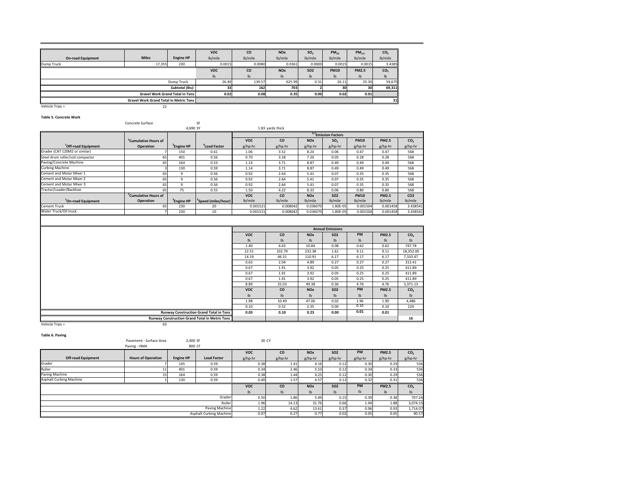|                          |                                               |                        | <b>VOC</b> | CO            | <b>NO<sub>x</sub></b> | SO <sub>2</sub>           | $PM_{10}$     | PM <sub>2.5</sub> | CO <sub>2</sub> |
|--------------------------|-----------------------------------------------|------------------------|------------|---------------|-----------------------|---------------------------|---------------|-------------------|-----------------|
| <b>On-road Equipment</b> | <b>Miles</b>                                  | <b>Engine HP</b>       | lb/mile    | lb/mile       | lb/mile               | lb/mile                   | lb/mile       | lb/mile           | lb/mile         |
| Dump Truck               | 17,355                                        | 230                    | 0.0015     | 0.0080        | 0.0361                | 0.0000                    | 0.0015        | 0.0015            | 3.4385          |
|                          |                                               |                        | <b>VOC</b> | CО            | <b>NO<sub>x</sub></b> | SO <sub>2</sub>           | <b>PM10</b>   | <b>PM2.5</b>      | CO <sub>2</sub> |
|                          |                                               |                        | Ib         | $\mathsf{lb}$ | $\mathsf{lb}$         | $\mathsf{I}^{\mathsf{b}}$ | $\mathsf{lb}$ | $\mathsf{lb}$     | Ib              |
|                          |                                               | Dump Truck             | 26.40      | 139.57        | 625.99                | 0.31                      | 26.11         | 25.30             | 59,675          |
|                          |                                               | <b>Subtotal (lbs):</b> | 33         | 162           | 703                   |                           | 30            | 30                | 69,311          |
|                          | <b>Gravel Work Grand Total in Tons</b>        |                        | 0.02       | 0.08          | 0.35                  | 0.00                      | 0.02          | 0.01              |                 |
|                          | <b>Gravel Work Grand Total in Metric Tons</b> |                        |            |               |                       |                           |               |                   |                 |
| Vehicle Trips =          | 22                                            |                        |            |               |                       |                           |               |                   |                 |

**Table 5. Concrete Work**

Concrete Surface Services SF

4,690 SY 1.83 yards thick

|                                  |                                  |                        |                                |            |           |                       | <sup>6,7</sup> Emission Factors |             |              |                 |
|----------------------------------|----------------------------------|------------------------|--------------------------------|------------|-----------|-----------------------|---------------------------------|-------------|--------------|-----------------|
|                                  | <sup>2</sup> Cumulative Hours of |                        |                                | <b>VOC</b> | <b>CO</b> | <b>NO<sub>x</sub></b> | SO <sub>2</sub>                 | <b>PM10</b> | <b>PM2.5</b> | CO <sub>2</sub> |
| <sup>1</sup> Off-road Equipment  | Operation                        | <sup>3</sup> Engine HP | <sup>4</sup> Load Factor       | g/hp-hr    | g/hp-hr   | g/hp-hr               | g/hp-hr                         | g/hp-hr     | g/hp-hr      | g/hp-hr         |
| Grader (CAT 120M2 or similar)    |                                  | 150                    | 0.61                           | 1.06       | 3.52      | 8.24                  | 0.06                            | 0.47        | 0.47         | 568             |
| Steel drum roller/soil compactor | 65                               | 401                    | 0.56                           | 0.70       | 3.18      | 7.20                  | 0.05                            | 0.28        | 0.28         | 568             |
| Paving/Concrete Machine          | 65                               | 164                    | 0.53                           | 1.14       | 3.71      | 8.87                  | 0.49                            | 0.49        | 0.49         | 568             |
| <b>Curbing Machine</b>           |                                  | 130                    | 0.59                           | 1.14       | 3.71      | 8.87                  | 0.49                            | 0.49        | 0.49         | 568             |
| Cement and Motar Mixer 1         | 65                               | 9                      | 0.56                           | 0.92       | 2.64      | 5.41                  | 0.07                            | 0.35        | 0.35         | 568             |
| Cement and Motar Mixer 2         | 65                               | q                      | 0.56                           | 0.92       | 2.64      | 5.41                  | 0.07                            | 0.35        | 0.35         | 568             |
| Cement and Motar Mixer 3         | 65                               | 9                      | 0.56                           | 0.92       | 2.64      | 5.41                  | 0.07                            | 0.35        | 0.35         | 568             |
| Tractor/Loader/Backhoe           | 65                               | 75                     | 0.55                           | 1.50       | 4.22      | 8.33                  | 0.06                            | 0.80        | 0.80         | 568             |
|                                  | <sup>2</sup> Cumulative Hours of |                        |                                | <b>VOC</b> | <b>CO</b> | <b>NO<sub>x</sub></b> | <b>SO2</b>                      | <b>PM10</b> | <b>PM2.5</b> | CO <sub>2</sub> |
| <sup>1</sup> On-road Equipment   | Operation                        | <sup>3</sup> Engine HP | <sup>S</sup> peed (miles/hour) | lb/mile    | lb/mile   | lb/mile               | lb/mile                         | lb/mile     | lb/mile      | lb/mile         |
| <b>Cement Truck</b>              | 65                               | 230                    | 20                             | 0.001521   | 0.008042  | 0.036070              | 1.80E-05                        | 0.001504    | 0.001458     | 3.438541        |
| Water Truck/Oil truck            |                                  | 230                    | 10                             | 0.001521   | 0.008042  | 0.036070              | 1.80E-05                        | 0.001504    | 0.001458     | 3.438541        |

**VOC CO NOx SO2 PM PM2.5 CO2** $\mathsf{lb}$ lb lb lb lb lb lb lb lb 1.40 4.63 10.84 0.08 0.62 0.62 747.78 22.51 102.79 232.38 1.61 9.11 9.11 18,352.00  $\begin{array}{cccccccccccc} 14.19 & \hspace{1.5cm} 46.31 & \hspace{1.5cm} 110.91 & \hspace{1.5cm} 6.17 & \hspace{1.5cm} 6.17 & \hspace{1.5cm} 7,103.47 \\ 0.63 & \hspace{1.5cm} 2.04 & \hspace{1.5cm} 4.89 & \hspace{1.5cm} 0.27 & \hspace{1.5cm} 0.27 & \hspace{1.5cm} 313.41 \end{array}$ 0.63 2.04 4.89 0.27 0.27 0.27 313.41313.41 0.67 1.91 3.92 0.05 0.25 0.25 411.89411.89 0.67 1.91 3.92 0.05 0.25 0.25 411.89411.89 0.67 1.91 3.92 0.05 0.25 0.25 411.89411.89 8.89 25.03 49.38 0.36 4.76 4.76 3,371.13 **VOC CO NOx SO2PM PM2.5 CO<sub>2</sub>**<br> **lb lb lb lb lb**  $\mathsf{lb}$ lb lb lb lb lb lb lb 1.98 10.49 47.06 0.020.02 1.96 1.90 4,486<br>0.00 0.10 0.10 224 0.10 0.52 2.35  $0.10$ **Runway Construction Grand Total in Tons 0.03 0.10 0.23 0.00 0.01 0.01 Runway Construction Grand Total in Metric Tons 16 Annual Emissions**

| Table 6. Paving                |                           |                  |                         |               |               |                       |                 |               |               |                 |
|--------------------------------|---------------------------|------------------|-------------------------|---------------|---------------|-----------------------|-----------------|---------------|---------------|-----------------|
|                                | Pavement - Surface Area   | 2.400 SF         |                         | 30 CY         |               |                       |                 |               |               |                 |
|                                | Paving - HMA              | 800 CF           |                         |               |               |                       |                 |               |               |                 |
|                                |                           |                  |                         | <b>VOC</b>    | <b>CO</b>     | <b>NO<sub>x</sub></b> | <b>SO2</b>      | PM            | <b>PM2.5</b>  | CO <sub>2</sub> |
| <b>Off-road Equipment</b>      | <b>Hours of Operation</b> | <b>Engine HP</b> | <b>Load Factor</b>      | g/hp-hr       | g/hp-hr       | g/hp-hr               | g/hp-hr         | g/hp-hr       | g/hp-hr       | g/hp-hr         |
| Grader                         |                           | 145              | 0.59                    | 0.38          | 1.41          | 4.16                  | 0.12            | 0.30          | 0.29          | 536             |
| Roller                         |                           | 401              | 0.59                    | 0.34          | 2.46          | 5.53                  | 0.12            | 0.34          | 0.33          | 536             |
| Paving Machine                 |                           | 164              | 0.59                    | 0.38          | 1.44          | 4.25                  | 0.12            | 0.30          | 0.29          | 536             |
| <b>Asphalt Curbing Machine</b> |                           | 130              | 0.59                    | 0.40          | 1.57          | 4.57                  | 0.12            | 0.32          | 0.31          | 536             |
|                                |                           |                  |                         | <b>VOC</b>    | <b>CO</b>     | <b>NO<sub>x</sub></b> | SO <sub>2</sub> | <b>PM</b>     | <b>PM2.5</b>  | CO <sub>2</sub> |
|                                |                           |                  |                         | $\mathsf{lb}$ | $\mathsf{lb}$ | $\mathsf{lb}$         | lb              | $\mathsf{lb}$ | $\mathsf{lb}$ | Ib              |
|                                |                           |                  | Grader                  | 0.50          | 1.86          | 5.49                  | 0.15            | 0.39          | 0.38          | 707.24          |
|                                |                           |                  | Roller                  | 1.96          | 14.13         | 31.76                 | 0.66            | 1.94          | 1.88          | 3,074.15        |
|                                |                           |                  | Paving Machine          | 1.22          | 4.62          | 13.61                 | 0.37            | 0.96          | 0.93          | 1,714.07        |
|                                |                           |                  | Asphalt Curbing Machine | 0.07          | 0.27          | 0.77                  | 0.02            | 0.05          | 0.05          | 90.57           |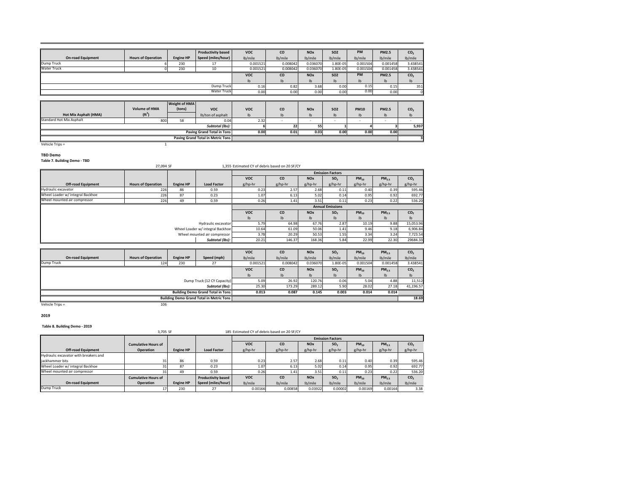|                                 |                           |                      | <b>Productivity based</b>         | <b>VOC</b>    | <b>CO</b>     | <b>NO<sub>x</sub></b> | SO <sub>2</sub> | PM             | <b>PM2.5</b>             | CO <sub>2</sub> |
|---------------------------------|---------------------------|----------------------|-----------------------------------|---------------|---------------|-----------------------|-----------------|----------------|--------------------------|-----------------|
| <b>On-road Equipment</b>        | <b>Hours of Operation</b> | <b>Engine HP</b>     | Speed (miles/hour)                | lb/mile       | lb/mile       | lb/mile               | lb/mile         | lb/mile        | lb/mile                  | lb/mile         |
| Dump Truck                      |                           | 230                  | 17                                | 0.001521      | 0.008042      | 0.036070              | 1.80E-05        | 0.001504       | 0.001458                 | 3.438541        |
| <b>Water Truck</b>              |                           | 230                  | 10                                | 0.001521      | 0.008042      | 0.036070              | 1.80E-05        | 0.001504       | 0.001458                 | 3.438541        |
|                                 |                           |                      |                                   | <b>VOC</b>    | <b>CO</b>     | <b>NO<sub>x</sub></b> | SO <sub>2</sub> | <b>PM</b>      | <b>PM2.5</b>             | CO <sub>2</sub> |
|                                 |                           |                      |                                   | $\mathsf{lb}$ | $\mathsf{lb}$ | Ib                    | $\mathsf{lb}$   | I <sub>b</sub> | $\mathsf{lb}$            | Ib              |
|                                 |                           |                      | Dump Truck                        | 0.16          | 0.82          | 3.68                  | 0.00            | 0.15           | 0.15                     | 351             |
|                                 |                           |                      | <b>Water Truck</b>                | 0.00          | 0.00          | 0.00                  | 0.00            | 0.00           | 0.00                     | O               |
|                                 |                           |                      |                                   |               |               |                       |                 |                |                          |                 |
|                                 |                           | <b>Weight of HMA</b> |                                   |               |               |                       |                 |                |                          |                 |
|                                 | <b>Volume of HMA</b>      | (tons)               | <b>VOC</b>                        | <b>VOC</b>    | <b>CO</b>     | <b>NOx</b>            | SO <sub>2</sub> | <b>PM10</b>    | <b>PM2.5</b>             | CO <sub>2</sub> |
| Hot Mix Asphalt (HMA)           | (tf <sup>3</sup> )        |                      | lb/ton of asphalt                 | $\mathsf{lb}$ | $\mathsf{lb}$ | I <sub>b</sub>        | $\mathsf{lb}$   | Ib             | I <sub>b</sub>           | I <sub>b</sub>  |
| <b>Standard Hot Mix Asphalt</b> | 800                       | 58                   | 0.04                              | 2.32          |               | $\sim$                | $\sim$          | $\sim$         | $\overline{\phantom{a}}$ |                 |
|                                 |                           |                      | Subtotal (lbs):                   |               | 22            | 55                    |                 |                |                          | 5,937           |
|                                 |                           |                      | <b>Paving Grand Total in Tons</b> | 0.00          | 0.01          | 0.03                  | 0.00            | 0.00           | 0.00                     |                 |
|                                 |                           |                      | Paving Grand Total in Metric Tons |               |               |                       |                 |                |                          |                 |

Vehicle Trips <sup>=</sup> 1

#### **TBD Demo**

**Table 7. Building Demo ‐ TBD**

|                                  | 27.094 SF                 |                  |                                  | 1.355 Estimated CY of debris based on 20 SF/CY |               |                       |                         |                           |                           |                                               |
|----------------------------------|---------------------------|------------------|----------------------------------|------------------------------------------------|---------------|-----------------------|-------------------------|---------------------------|---------------------------|-----------------------------------------------|
|                                  |                           |                  |                                  |                                                |               |                       | <b>Emission Factors</b> |                           |                           |                                               |
|                                  |                           |                  |                                  | <b>VOC</b>                                     | <b>CO</b>     | <b>NO<sub>x</sub></b> | SO <sub>2</sub>         | $PM_{10}$                 | $PM_{2.5}$                | CO <sub>2</sub>                               |
| <b>Off-road Equipment</b>        | <b>Hours of Operation</b> | <b>Engine HP</b> | <b>Load Factor</b>               | g/hp-hr                                        | g/hp-hr       | g/hp-hr               | g/hp-hr                 | g/hp-hr                   | g/hp-hr                   | g/hp-hr                                       |
| Hydraulic excavator              | 226                       | 86               | 0.59                             | 0.23                                           | 2.57          | 2.68                  | 0.11                    | 0.40                      | 0.39                      | 595.46                                        |
| Wheel Loader w/ integral Backhoe | 226                       | 87               | 0.23                             | 1.07                                           | 6.13          | 5.02                  | 0.14                    | 0.95                      | 0.92                      | 692.77                                        |
| Wheel mounted air compressor     | 226                       | 49               | 0.59                             | 0.26                                           | 1.41          | 3.51                  | 0.11                    | 0.23                      | 0.22                      | 536.20                                        |
|                                  |                           |                  |                                  |                                                |               |                       |                         |                           |                           |                                               |
|                                  |                           |                  |                                  |                                                |               |                       | <b>Annual Emissions</b> |                           |                           |                                               |
|                                  |                           |                  |                                  | <b>VOC</b>                                     | co            | <b>NO<sub>x</sub></b> | SO <sub>2</sub>         | $PM_{10}$                 | PM <sub>2.5</sub>         | CO <sub>2</sub>                               |
|                                  |                           |                  |                                  | lb.                                            | $\mathsf{lb}$ | <b>Ib</b>             | $\mathsf{lb}$           | $\mathsf{I}^{\mathsf{b}}$ | $\mathsf{I}^{\mathsf{b}}$ | lb.                                           |
|                                  |                           |                  | Hydraulic excavator              | 5.79                                           | 64.98         | 67.76                 | 2.87                    | 10.19                     | 9.88                      |                                               |
|                                  |                           |                  | Wheel Loader w/ integral Backhoe | 10.64                                          | 61.09         | 50.06                 | 1.41                    | 9.46                      | 9.18                      |                                               |
|                                  |                           |                  | Wheel mounted air compressor     | 3.78                                           | 20.29         | 50.53                 | 1.55                    | 3.34                      | 3.24                      |                                               |
|                                  |                           |                  | Subtotal (lbs):                  | 20.21                                          | 146.37        | 168.36                | 5.84                    | 22.99                     | 22.30                     | 15,053.96<br>6,906.84<br>7,723.54<br>29684.33 |

|                          |                           |                  |                                                 | <b>VOC</b> | <sub>co</sub> | <b>NO<sub>x</sub></b> | SO <sub>2</sub> | $PM_{10}$ | PM <sub>2.5</sub> | CO <sub>2</sub> |
|--------------------------|---------------------------|------------------|-------------------------------------------------|------------|---------------|-----------------------|-----------------|-----------|-------------------|-----------------|
| <b>On-road Equipment</b> | <b>Hours of Operation</b> | <b>Engine HP</b> | Speed (mph)                                     | lb/mile    | lb/mile       | lb/mile               | lb/mile         | lb/mile   | lb/mile           | lb/mile         |
| Dump Truck               | 124                       | 230              | 27                                              | 0.001521   | 0.008042      | 0.036070              | 1.80E-05        | 0.001504  | 0.001458          | 3.438541        |
|                          |                           |                  |                                                 | <b>VOC</b> | <b>CO</b>     | <b>NO<sub>x</sub></b> | SO <sub>2</sub> | $PM_{10}$ | PM <sub>2.5</sub> | CO <sub>2</sub> |
|                          |                           |                  |                                                 | lb         | $\mathsf{lb}$ | I <sub>b</sub>        | $\mathsf{lb}$   | Ib        | $\mathsf{lb}$     | lb.             |
|                          |                           |                  | Dump Truck (12 CY Capacity)                     | 5.09       | 26.92         | 120.76                | 0.06            | 5.04      | 4.88              | 11,512          |
|                          |                           |                  | Subtotal (lbs):                                 | 25.30      | 173.29        | 289.12                | 5.90            | 28.02     | 27.18             | 41,196.57       |
|                          |                           |                  | <b>Building Demo Grand Total in Tons</b>        | 0.013      | 0.087         | 0.145                 | 0.003           | 0.014     | 0.014             |                 |
|                          |                           |                  | <b>Building Demo Grand Total in Metric Tons</b> |            |               |                       |                 |           |                   | 18.69           |

Vehicle Trips <sup>=</sup> 106

### **2019**

**Table 8. Building Demo ‐ 2019**

|                                       | 3.705 SF                   |                  |                           | 185 Estimated CY of debris based on 20 SF/CY |         |            |                         |           |                   |                 |
|---------------------------------------|----------------------------|------------------|---------------------------|----------------------------------------------|---------|------------|-------------------------|-----------|-------------------|-----------------|
|                                       |                            |                  |                           |                                              |         |            | <b>Emission Factors</b> |           |                   |                 |
|                                       | <b>Cumulative Hours of</b> |                  |                           | <b>VOC</b>                                   | CO      | <b>NOx</b> | SO <sub>2</sub>         | $PM_{10}$ | $PM_{2.5}$        | CO <sub>2</sub> |
| <b>Off-road Equipment</b>             | Operation                  | <b>Engine HP</b> | <b>Load Factor</b>        | g/hp-hr                                      | g/hp-hr | g/hp-hr    | g/hp-hr                 | g/hp-hr   | g/hp-hr           | g/hp-hr         |
| Hydraulic excavator with breakers and |                            |                  |                           |                                              |         |            |                         |           |                   |                 |
| jackhammer bits                       | 31                         | 86               | 0.59                      | 0.23                                         | 2.57    | 2.68       | 0.11                    | 0.40      | 0.39              | 595.46          |
| Wheel Loader w/ integral Backhoe      |                            | 87               | 0.23                      | 1.07                                         | 6.13    | 5.02       | 0.14                    | 0.95      | 0.92              | 692.77          |
| Wheel mounted air compressor          |                            | 49               | 0.59                      | 0.26                                         | 1.41    | 3.51       | 0.11                    | 0.23      | 0.22              | 536.20          |
|                                       | <b>Cumulative Hours of</b> |                  | <b>Productivity based</b> | <b>VOC</b>                                   | CO      | <b>NOx</b> | SO <sub>2</sub>         | $PM_{10}$ | PM <sub>2.5</sub> | CO <sub>2</sub> |
| <b>On-road Equipment</b>              | Operation                  | <b>Engine HP</b> | Speed (miles/hour)        | lb/mile                                      | lb/mile | lb/mile    | lb/mile                 | lb/mile   | lb/mile           | lb/mile         |
| Dump Truck                            |                            | 230              |                           | 0.00166                                      | 0.00858 | 0.03922    | 0.00002                 | 0.00169   | 0.00164           | 3.38            |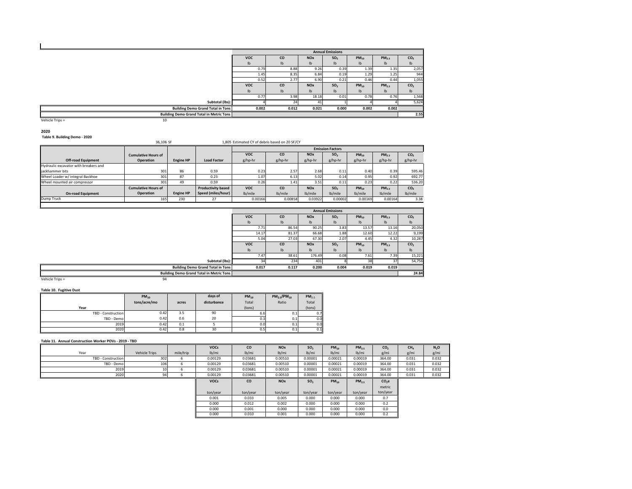|                                                 |               |               |                           | <b>Annual Emissions</b> |               |                   |                           |
|-------------------------------------------------|---------------|---------------|---------------------------|-------------------------|---------------|-------------------|---------------------------|
|                                                 | <b>VOC</b>    | co            | <b>NOx</b>                | SO <sub>2</sub>         | $PM_{10}$     | PM <sub>2.5</sub> | CO <sub>2</sub>           |
|                                                 | $\mathsf{lb}$ | $\mathsf{lb}$ | $\mathsf{I}^{\mathsf{b}}$ | $\mathsf{lb}$           | $\mathsf{lb}$ | $\mathsf{lb}$     | lb.                       |
|                                                 | 0.79          | 8.88          | 9.26                      | 0.39                    | 1.39          | 1.35              | 2,057                     |
|                                                 | 1.45          | 8.35          | 6.84                      | 0.19                    | 1.29          | 1.25              | 944                       |
|                                                 | 0.52          | 2.77          | 6.90                      | 0.21                    | 0.46          | 0.44              | 1,055                     |
|                                                 | <b>VOC</b>    | co            | <b>NO<sub>x</sub></b>     | SO <sub>2</sub>         | $PM_{10}$     | PM <sub>2.5</sub> | CO <sub>2</sub>           |
|                                                 | $\mathsf{lb}$ | $\mathsf{lb}$ | $\mathsf{I}^{\mathsf{b}}$ | $\mathsf{lb}$           | $\mathsf{lb}$ | $\mathsf{lb}$     | $\mathsf{I}^{\mathsf{b}}$ |
|                                                 | 0.77          | 3.98          | 18.18                     | 0.01                    | 0.78          | 0.76              | 1,568                     |
| Subtotal (lbs):                                 |               | 24            | 4                         |                         |               |                   | 5,624                     |
| <b>Building Demo Grand Total in Tons</b>        | 0.002         | 0.012         | 0.021                     | 0.000                   | 0.002         | 0.002             |                           |
| <b>Building Demo Grand Total in Metric Tons</b> |               |               |                           |                         |               |                   | 2.55                      |
| Vehicle Trips =<br>10                           |               |               |                           |                         |               |                   |                           |

**2020**

**Table 9. Building Demo ‐ 2020**

36,106 SF 1,805 Estimated CY of debris based on 20 SF/CY

|                                       |                            |                  |                           | <b>Emission Factors</b> |         |                       |                 |           |            |                 |
|---------------------------------------|----------------------------|------------------|---------------------------|-------------------------|---------|-----------------------|-----------------|-----------|------------|-----------------|
|                                       | <b>Cumulative Hours of</b> |                  |                           | <b>VOC</b>              | CO      | <b>NO<sub>x</sub></b> | SO <sub>2</sub> | $PM_{10}$ | $PM_{2.5}$ | CO <sub>2</sub> |
| <b>Off-road Equipment</b>             | Operation                  | <b>Engine HP</b> | <b>Load Factor</b>        | g/hp-hr                 | g/hp-hr | g/hp-hr               | g/hp-hr         | g/hp-hr   | g/hp-hr    | g/hp-hr         |
| Hydraulic excavator with breakers and |                            |                  |                           |                         |         |                       |                 |           |            |                 |
| iackhammer bits                       | 301                        | 86               | 0.59                      | 0.23                    | 2.57    | 2.68                  | 0.11            | 0.40      | 0.39       | 595.46          |
| Wheel Loader w/ integral Backhoe      | 301                        | 87               | 0.23                      | 1.07                    | 6.13    | 5.02                  | 0.14            | 0.95      | 0.92       | 692.77          |
| Wheel mounted air compressor          | 301                        | 49               | 0.59                      | 0.26                    | 1.41    | 3.51                  | 0.11            | 0.23      | 0.22       | 536.20          |
|                                       | <b>Cumulative Hours of</b> |                  | <b>Productivity based</b> | <b>VOC</b>              | CO      | <b>NO<sub>x</sub></b> | SO <sub>2</sub> | $PM_{10}$ | $PM_{2.5}$ | CO <sub>2</sub> |
| <b>On-road Equipment</b>              | <b>Operation</b>           | <b>Engine HP</b> | Speed (miles/hour)        | lb/mile                 | lb/mile | lb/mile               | lb/mile         | lb/mile   | lb/mile    | lb/mile         |
| Dump Truck                            | 165                        | 230              |                           | 0.00166                 | 0.00858 | 0.03922               | 0.00002         | 0.00169   | 0.00164    | 3.38            |
|                                       |                            |                  |                           |                         |         |                       |                 |           |            |                 |

|                                                 |               |               |                           | <b>Annual Emissions</b>   |               |                   |                           |
|-------------------------------------------------|---------------|---------------|---------------------------|---------------------------|---------------|-------------------|---------------------------|
|                                                 | <b>VOC</b>    | CO            | <b>NO<sub>x</sub></b>     | SO <sub>2</sub>           | $PM_{10}$     | PM <sub>2.5</sub> | CO <sub>2</sub>           |
|                                                 | $\mathsf{lb}$ | $\mathsf{lb}$ | $\mathsf{I}^{\mathsf{b}}$ | $\mathsf{lb}$             | $\mathsf{lb}$ | $\mathsf{lb}$     | $\mathsf{I}^{\mathsf{b}}$ |
|                                                 | 7.71          | 86.54         | 90.25                     | 3.83                      | 13.57         | 13.16             | 20,050                    |
|                                                 | 14.17         | 81.37         | 66.68                     | 1.88                      | 12.60         | 12.22             | 9,199                     |
|                                                 | 5.04          | 27.03         | 67.30                     | 2.07                      | 4.45          | 4.32              | 10,287                    |
|                                                 | <b>VOC</b>    | <b>CO</b>     | <b>NO<sub>x</sub></b>     | SO <sub>2</sub>           | $PM_{10}$     | PM <sub>2.5</sub> | CO <sub>2</sub>           |
|                                                 | $\mathsf{lb}$ | $\mathsf{lb}$ | $\mathsf{I}^{\mathsf{b}}$ | $\mathsf{I}^{\mathsf{b}}$ | $\mathsf{lb}$ | $\mathsf{lb}$     | $\mathsf{I}^{\mathsf{b}}$ |
|                                                 | 7.47          | 38.61         | 176.49                    | 0.08                      | 7.61          | 7.39              | 15,221                    |
| Subtotal (lbs):                                 | 34            | 234           | 401                       |                           | 38            |                   | 54,756                    |
| <b>Building Demo Grand Total in Tons</b>        | 0.017         | 0.117         | 0.200                     | 0.004                     | 0.019         | 0.019             |                           |
| <b>Building Demo Grand Total in Metric Tons</b> |               |               |                           |                           |               |                   | 24.84                     |

**Table 10. Fugitive Dust**

|                           | $PM_{10}$    |       | days of     | $PM_{10}$ | $PM_{2.5}$ /PM <sub>10</sub> | PM <sub>2.5</sub> |
|---------------------------|--------------|-------|-------------|-----------|------------------------------|-------------------|
|                           | tons/acre/mo | acres | disturbance | Total     | Ratio                        | Total             |
| Year                      |              |       |             | (tons)    |                              | (tons)            |
| <b>TBD - Construction</b> | 0.42         | 3.5   | 90          | 6.6       | 0.1                          | 0.7               |
| TBD - Demo                | 0.42         | 0.6   | 20          | 0.31      | 0.1                          | 0.0               |
| 2019                      | 0.42         | 0.1   |             | 0.01      | 0.1                          | 0.0               |
| 2020                      | 0.42         | 0.8   | 30          | 0.5       | 0.1                          | 0.1               |

#### **Table 11. Annual Construction Worker POVs ‐ 2019 ‐ TBD**

|                           |                      |           | <b>VOCs</b> | <b>CO</b> | <b>NO<sub>x</sub></b> | SO <sub>2</sub> | $PM_{10}$ | $PM_{2.5}$ | CO <sub>2</sub>   | CH <sub>4</sub> | $N_2O$ |
|---------------------------|----------------------|-----------|-------------|-----------|-----------------------|-----------------|-----------|------------|-------------------|-----------------|--------|
| Year                      | <b>Vehicle Trips</b> | mile/trip | lb/mi       | lb/mi     | lb/mi                 | lb/mi           | lb/min    | lb/mi      | g/mi              | g/mi            | g/mi   |
| <b>TBD - Construction</b> | 302                  | ь         | 0.00129     | 0.03681   | 0.00510               | 0.00001         | 0.00021   | 0.00019    | 364.00            | 0.031           | 0.032  |
| TBD - Demo                | 106                  | h         | 0.00129     | 0.03681   | 0.00510               | 0.00001         | 0.00021   | 0.00019    | 364.00            | 0.031           | 0.032  |
| 2019                      | 10                   | ь         | 0.00129     | 0.03681   | 0.00510               | 0.00001         | 0.00021   | 0.00019    | 364.00            | 0.031           | 0.032  |
| 2020                      | 94                   |           | 0.00129     | 0.03681   | 0.00510               | 0.00001         | 0.00021   | 0.00019    | 364.00            | 0.031           | 0.032  |
|                           |                      |           | <b>VOCs</b> | <b>CO</b> | <b>NO<sub>x</sub></b> | SO <sub>2</sub> | $PM_{10}$ | $PM_{2.5}$ | CO <sub>2</sub> e |                 |        |
|                           |                      |           |             |           |                       |                 |           |            |                   |                 |        |
|                           |                      |           |             |           |                       |                 |           |            | metric            |                 |        |
|                           |                      |           | ton/year    | ton/year  | ton/year              | ton/year        | ton/year  | ton/year   | ton/year          |                 |        |
|                           |                      |           | 0.001       | 0.033     | 0.005                 | 0.000           | 0.000     | 0.000      | 0.7               |                 |        |
|                           |                      |           | 0.000       | 0.012     | 0.002                 | 0.000           | 0.000     | 0.000      | 0.2               |                 |        |
|                           |                      |           | 0.000       | 0.001     | 0.000                 | 0.000           | 0.000     | 0.000      | 0.0               |                 |        |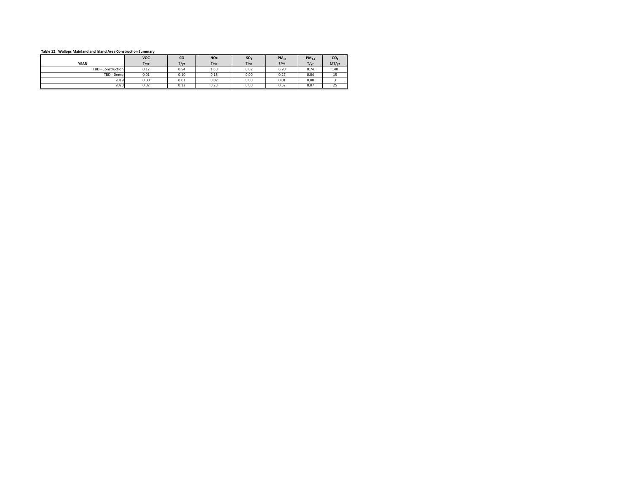#### **Table 12. Wallops Mainland and Island Area Construction Summary**

|                    | <b>VOC</b> | CO   | <b>NO<sub>x</sub></b> | SO <sub>2</sub> | $PM_{10}$ | PM <sub>2.5</sub> | CO <sub>2</sub> |
|--------------------|------------|------|-----------------------|-----------------|-----------|-------------------|-----------------|
| <b>YEAR</b>        | T/yr       | T/yr | T/yr                  | T/yr            | T/yr      | T/yr              | MT/yr           |
| TBD - Construction | 0.12       | 0.54 | 1.60                  | 0.02            | 6.70      | 0.74              | 140             |
| TBD - Demo         | 0.01       | 0.10 | 0.15                  | 0.00            | 0.27      | 0.04              | 19              |
| 2019               | 0.00       | 0.01 | 0.02                  | 0.00            | 0.01      | 0.00              |                 |
| 2020               | 0.02       | 0.12 | 0.20                  | 0.00            | 0.52      | 0.07              | 25              |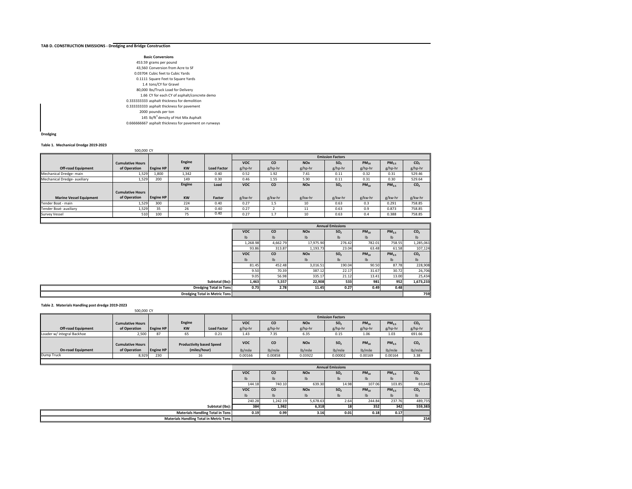#### **TAB D. CONSTRUCTION EMISSIONS ‐ Dredging and Bridge Construction**

|  | <b>Basic Conversions</b>                              |
|--|-------------------------------------------------------|
|  | 453.59 grams per pound                                |
|  | 43.560 Conversion from Acre to SF                     |
|  | 0.03704 Cubic feet to Cubic Yards                     |
|  | 0.1111 Square Feet to Square Yards                    |
|  | 1.4 tons/CY for Gravel                                |
|  | 80,000 lbs/Truck Load for Deliverv                    |
|  | 1.66 CY for each CY of asphalt/concrete demo          |
|  | 0.333333333 asphalt thickness for demolition          |
|  | 0.333333333 asphalt thickness for payement            |
|  | 2000 pounds per ton                                   |
|  | 145 lb/ft <sup>3</sup> density of Hot Mix Asphalt     |
|  | 0.666666667 asphalt thickness for pavement on runways |

### **Dredging**

#### **Table 1. Mechanical Dredge 2019‐2023**

|                                | 500,000 CY              |                  |           |                    |            |           |                       |                         |           |                   |                 |
|--------------------------------|-------------------------|------------------|-----------|--------------------|------------|-----------|-----------------------|-------------------------|-----------|-------------------|-----------------|
|                                |                         |                  |           |                    |            |           |                       | <b>Emission Factors</b> |           |                   |                 |
|                                | <b>Cumulative Hours</b> |                  | Engine    |                    | <b>VOC</b> | <b>CO</b> | <b>NO<sub>x</sub></b> | SO <sub>2</sub>         | $PM_{10}$ | PM <sub>2.5</sub> | CO <sub>2</sub> |
| <b>Off-road Equipment</b>      | of Operation            | <b>Engine HP</b> | <b>KW</b> | <b>Load Factor</b> | g/hp-hr    | g/hp-hr   | g/hp-hr               | g/hp-hr                 | g/hp-hr   | g/hp-hr           | g/hp-hr         |
| Mechanical Dredge-main         | 1,529                   | 1,800            | 1,342     | 0.40               | 0.52       | 1.92      | 7.41                  | 0.11                    | 0.32      | 0.31              | 529.46          |
| Mechanical Dredge- auxiliary   | 1,529                   | 200              | 149       | 0.30               | 0.46       | 1.55      | 5.90                  | 0.11                    | 0.31      | 0.30              | 529.64          |
|                                |                         |                  | Engine    | Load               | <b>VOC</b> | <b>CO</b> | <b>NOx</b>            | SO <sub>2</sub>         | $PM_{10}$ | $PM_{2.5}$        | CO <sub>2</sub> |
|                                | <b>Cumulative Hours</b> |                  |           |                    |            |           |                       |                         |           |                   |                 |
| <b>Marine Vessel Equipment</b> | of Operation            | <b>Engine HP</b> | <b>KW</b> | Factor             | g/kw-hr    | g/kw-hr   | g/kw-hr               | g/kw-hr                 | g/kw-hr   | g/kw-hr           | g/kw-hr         |
| Tender Boat - main             | 1,529                   | 300              | 224       | 0.40               | 0.27       | 1.5       | 10                    | 0.63                    | 0.3       | 0.291             | 758.85          |
| Tender Boat- auxiliary         | 1,529                   | 35               | 26        | 0.40               | 0.27       |           | 11                    | 0.63                    | 0.9       | 0.873             | 758.85          |
| <b>Survey Vessel</b>           | 510                     | 100              | 75        | 0.40               | 0.27       | 1.7       | 10                    | 0.63                    | 0.4       | 0.388             | 758.85          |
|                                |                         |                  |           |                    |            |           |                       |                         |           |                   |                 |

|                                      |               |                           |                       | <b>Annual Emissions</b> |               |                   |                 |
|--------------------------------------|---------------|---------------------------|-----------------------|-------------------------|---------------|-------------------|-----------------|
|                                      | <b>VOC</b>    | CO                        | <b>NO<sub>x</sub></b> | SO <sub>2</sub>         | $PM_{10}$     | PM <sub>2.5</sub> | CO <sub>2</sub> |
|                                      | $\mathsf{lb}$ | $\mathsf{lb}$             | $\mathsf{lb}$         | $\mathsf{lb}$           | $\mathsf{lb}$ | Ib                | Ib              |
|                                      | 1,268.98      | 4,662.79                  | 17,975.90             | 276.42                  | 782.01        | 758.55            | 1,285,061       |
|                                      | 93.86         | 313.87                    | 1,193.73              | 23.04                   | 63.48         | 61.58             | 107,124         |
|                                      | <b>VOC</b>    | CO                        | <b>NO<sub>x</sub></b> | SO <sub>2</sub>         | $PM_{10}$     | $PM_{2.5}$        | CO <sub>2</sub> |
|                                      | $\mathsf{lb}$ | $\mathsf{I}^{\mathsf{b}}$ | $\mathsf{lb}$         | Ib                      | $\mathsf{lb}$ | Ib                | Ib              |
|                                      | 81.45         | 452.48                    | 3,016.51              | 190.04                  | 90.50         | 87.78             | 228,908         |
|                                      | 9.50          | 70.39                     | 387.12                | 22.17                   | 31.67         | 30.72             | 26,706          |
|                                      | 9.05          | 56.98                     | 335.17                | 21.12                   | 13.41         | 13.00             | 25,434          |
| Subtotal (lbs):                      | 1,463         | 5,557                     | 22,908                | 533                     | 981           | 952               | 1,673,233       |
| Dredging Total in Tons               | 0.73          | 2.78                      | 11.45                 | 0.27                    | 0.49          | 0.48              |                 |
| <b>Dredging Total in Metric Tons</b> |               |                           |                       |                         |               |                   | 759             |

**Table 2. Materials Handling post dredge 2019‐2023**

| Table of thaterials handling post areage over comp | 500,000 CY              |                  |                                 |                    |                         |           |                       |                 |           |                   |                 |  |  |
|----------------------------------------------------|-------------------------|------------------|---------------------------------|--------------------|-------------------------|-----------|-----------------------|-----------------|-----------|-------------------|-----------------|--|--|
|                                                    |                         |                  |                                 |                    | <b>Emission Factors</b> |           |                       |                 |           |                   |                 |  |  |
|                                                    | <b>Cumulative Hours</b> |                  | Engine                          |                    | <b>VOC</b>              | <b>CO</b> | <b>NO<sub>x</sub></b> | SO <sub>2</sub> | $PM_{10}$ | $PM_{2.5}$        | CO <sub>2</sub> |  |  |
| <b>Off-road Equipment</b>                          | of Operation            | <b>Engine HP</b> | <b>KW</b>                       | <b>Load Factor</b> | g/hp-hr                 | g/hp-hr   | g/hp-hr               | g/hp-hr         | g/hp-hr   | g/hp-hr           | g/hp-hr         |  |  |
| Loader w/ integral Backhoe                         | 2,500                   | 87               | 65                              | 0.21               | 1.43                    | 7.35      | 6.35                  | 0.15            | 1.06      | 1.03              | 691.66          |  |  |
|                                                    | <b>Cumulative Hours</b> |                  | <b>Productivity based Speed</b> |                    | <b>VOC</b>              | <b>CO</b> | <b>NO<sub>x</sub></b> | SO <sub>2</sub> | $PM_{10}$ | PM <sub>2.5</sub> | CO <sub>2</sub> |  |  |
| <b>On-road Equipment</b>                           | of Operation            | <b>Engine HP</b> | (miles/hour)                    |                    | lb/mile                 | lb/mile   | lb/mile               | lb/mile         | lb/mile   | lb/mile           | lb/mile         |  |  |
| Dump Truck                                         | 8,929                   | 230              | 16                              |                    | 0.00166                 | 0.00858   | 0.03922               | 0.00002         | 0.00169   | 0.00164           | 3.38            |  |  |
|                                                    |                         |                  |                                 |                    |                         |           |                       |                 |           |                   |                 |  |  |

|                                         |                           |               |                       | <b>Annual Emissions</b> |               |                   |                           |
|-----------------------------------------|---------------------------|---------------|-----------------------|-------------------------|---------------|-------------------|---------------------------|
|                                         | <b>VOC</b>                | <b>CO</b>     | <b>NO<sub>x</sub></b> | SO <sub>2</sub>         | $PM_{10}$     | PM <sub>2.5</sub> | CO <sub>2</sub>           |
|                                         | $\mathsf{I}^{\mathsf{b}}$ | $\mathsf{lb}$ | $\mathsf{lb}$         | Ih                      | ⊪b.           | lb                | $\mathsf{lb}$             |
|                                         | 144.18                    | 740.10        | 639.30                | 14.98                   | 107.06        | 103.85            | 69,648                    |
|                                         | <b>VOC</b>                | co            | <b>NO<sub>x</sub></b> | SO <sub>2</sub>         | $PM_{10}$     | PM <sub>2.5</sub> | CO <sub>2</sub>           |
|                                         | $\mathsf{I}^{\mathsf{b}}$ | $\mathsf{lb}$ | $\mathsf{lb}$         | Ih                      | $\mathsf{lb}$ | lb                | $\mathsf{I}^{\mathsf{b}}$ |
|                                         | 240.28                    | 1,242.19      | 5,678.63              | 2.64                    | 244.84        | 237.76            | 489,735                   |
| Subtotal (lbs):                         | 384                       | 1,982         | 6,318                 | 18                      | 352           | 342               | 559,383                   |
| Materials Handling Total in Tons        | 0.19                      | 0.99          | 3.16                  | 0.01                    | 0.18          | 0.17              |                           |
| Materials Handling Total in Metric Tons |                           |               |                       |                         |               |                   | 254                       |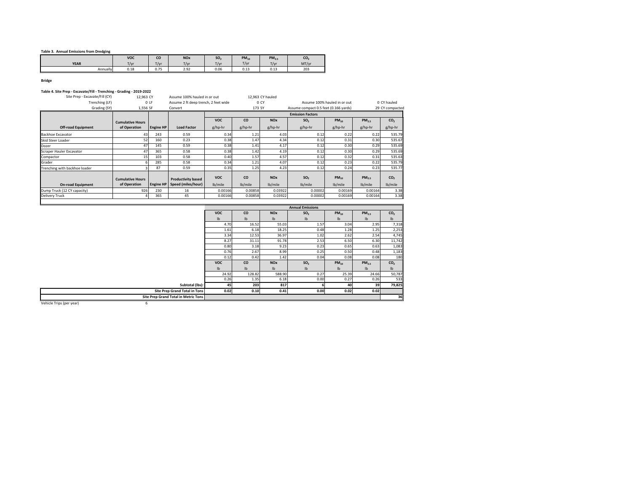#### **Table 3. Annual Emissions from Dredging**

|             | <b>VOC</b> | co        | <b>NOx</b> | SO.  | $PM_{10}$                    | PM <sub>2.5</sub> | CO    |
|-------------|------------|-----------|------------|------|------------------------------|-------------------|-------|
| <b>YEAR</b> | T/vr       | $T/\nu I$ | T/vr       | T/yr | T/vr                         | T/vr              | MT/yr |
| Annually    | 0.18       | 0.75      | 2.92       | 0.06 | $\sim$ $\sim$ $\sim$<br>0.13 | 0.13              | 203   |

### **Bridge**

#### **Table 4. Site Prep ‐ Excavate/Fill ‐ Trenching ‐ Grading ‐ 2019‐2022**

| Table 4. Site Prep - Excavate/Fill - Trenching - Grading - 2019-2022 |                         |                  |                                      |            |                         |                       |                                       |                              |                   |                 |  |
|----------------------------------------------------------------------|-------------------------|------------------|--------------------------------------|------------|-------------------------|-----------------------|---------------------------------------|------------------------------|-------------------|-----------------|--|
| Site Prep - Excavate/Fill (CY)                                       | 12.963 CY               |                  | Assume 100% hauled in or out         |            |                         | 12.963 CY hauled      |                                       |                              |                   |                 |  |
| Trenching (LF)                                                       |                         | 0 LF             | Assume 2 ft deep trench, 2 feet wide |            |                         | 0 CY                  |                                       | Assume 100% hauled in or out |                   | 0 CY hauled     |  |
| Grading (SY)                                                         | 1,556 SF                |                  | Convert                              |            | 173 SY                  |                       | Assume compact 0.5 feet (0.166 yards) |                              |                   | 29 CY compacted |  |
|                                                                      |                         |                  |                                      |            | <b>Emission Factors</b> |                       |                                       |                              |                   |                 |  |
|                                                                      | <b>Cumulative Hours</b> |                  |                                      |            | CO                      | <b>NO<sub>x</sub></b> | SO <sub>2</sub>                       | $PM_{10}$                    | PM <sub>2.5</sub> | CO <sub>2</sub> |  |
| <b>Off-road Equipment</b>                                            | of Operation            | <b>Engine HP</b> | <b>Load Factor</b>                   | $g/hp-hr$  | g/hp-hr                 | g/hp-hr               | g/hp-hr                               | g/hp-hr                      | g/hp-hr           | g/hp-hr         |  |
| Backhoe Excavator                                                    | 43                      | 243              | 0.59                                 | 0.34       | 1.21                    | 4.03                  | 0.12                                  | 0.22                         | 0.22              | 535.79          |  |
| Skid Steer Loader                                                    | 52                      | 160              | 0.23                                 | 0.38       | 1.47                    | 4.34                  | 0.12                                  | 0.31                         | 0.30              | 535.67          |  |
| Dozer                                                                | 47                      | 145              | 0.59                                 | 0.38       | 1.41                    | 4.17                  | 0.12                                  | 0.30                         | 0.29              | 535.69          |  |
| Scraper Hauler Excavator                                             | 47                      | 365              | 0.58                                 | 0.38       | 1.42                    | 4.19                  | 0.12                                  | 0.30                         | 0.29              | 535.69          |  |
| Compactor                                                            | 15                      | 103              | 0.58                                 | 0.40       | 1.57                    | 4.57                  | 0.12                                  | 0.32                         | 0.31              | 535.63          |  |
| Grader                                                               |                         | 285              | 0.58                                 | 0.34       | 1.21                    | 4.07                  | 0.12                                  | 0.23                         | 0.22              | 535.79          |  |
| Trenching with backhoe loader                                        |                         | 87               | 0.59                                 | 0.35       | 1.25                    | 4.23                  | 0.12                                  | 0.24                         | 0.23              | 535.77          |  |
|                                                                      | <b>Cumulative Hours</b> |                  | <b>Productivity based</b>            | <b>VOC</b> | CO                      | <b>NO<sub>x</sub></b> | SO <sub>2</sub>                       | $PM_{10}$                    | $PM_{2.5}$        | CO <sub>2</sub> |  |
| <b>On-road Equipment</b>                                             | of Operation            | <b>Engine HP</b> | Speed (miles/hour)                   | lb/mile    | lb/mile                 | lb/mile               | lb/mile                               | lb/mile                      | lb/mile           | lb/mile         |  |
| Dump Truck (12 CY capacity)                                          | 926                     | 230              | 16                                   | 0.00166    | 0.00858                 | 0.03922               | 0.00002                               | 0.00169                      | 0.00164           | 3.38            |  |
| <b>Delivery Truck</b>                                                |                         | 365              | 45                                   | 0.00166    | 0.00858                 | 0.03922               | 0.00002                               | 0.00169                      | 0.00164           | 3.38            |  |

|                                      |               |                           |               | <b>Annual Emissions</b> |                           |                   |                 |
|--------------------------------------|---------------|---------------------------|---------------|-------------------------|---------------------------|-------------------|-----------------|
|                                      | <b>VOC</b>    | <b>CO</b>                 | <b>NOx</b>    | SO <sub>2</sub>         | $PM_{10}$                 | PM <sub>2.5</sub> | CO <sub>2</sub> |
|                                      | $\mathsf{lb}$ | $\mathsf{I}^{\mathsf{b}}$ | $\mathsf{lb}$ | Ib                      | $\mathsf{lb}$             | Ib                | Ib              |
|                                      | 4.70          | 16.52                     | 55.03         | 1.57                    | 3.04                      | 2.95              | 7,318           |
|                                      | 1.61          | 6.18                      | 18.25         | 0.48                    | 1.28                      | 1.25              | 2,253           |
|                                      | 3.34          | 12.53                     | 36.97         | 1.02                    | 2.62                      | 2.54              | 4,745           |
|                                      | 8.27          | 31.11                     | 91.78         | 2.53                    | 6.50                      | 6.30              | 11,742          |
|                                      | 0.80          | 3.18                      | 9.23          | 0.23                    | 0.65                      | 0.63              | 1,083           |
|                                      | 0.76          | 2.67                      | 8.99          | 0.25                    | 0.50                      | 0.48              | 1,183           |
|                                      | 0.12          | 0.42                      | 1.42          | 0.04                    | 0.08                      | 0.08              | 180             |
|                                      | <b>VOC</b>    | <b>CO</b>                 | <b>NOx</b>    | SO <sub>2</sub>         | $PM_{10}$                 | PM <sub>2.5</sub> | CO <sub>2</sub> |
|                                      | $\mathsf{lb}$ | $\mathsf{I}^{\mathsf{b}}$ | $\mathsf{lb}$ | $\mathsf{lb}$           | $\mathsf{I}^{\mathsf{b}}$ | $\mathsf{lb}$     | Ib              |
|                                      | 24.92         | 128.82                    | 588.90        | 0.27                    | 25.39                     | 24.66             | 50,787          |
|                                      | 0.26          | 1.35                      | 6.18          | 0.00                    | 0.27                      | 0.26              | 533             |
| Subtotal (lbs):                      | 45            | 203                       | 817           |                         | 40                        | 39                | 79,825          |
| Site Prep Grand Total in Tons        | 0.02          | 0.10                      | 0.41          | 0.00                    | 0.02                      | 0.02              |                 |
| Site Prep Grand Total in Metric Tons |               |                           |               |                         |                           |                   | 36              |

Vehicle Trips (per year) 6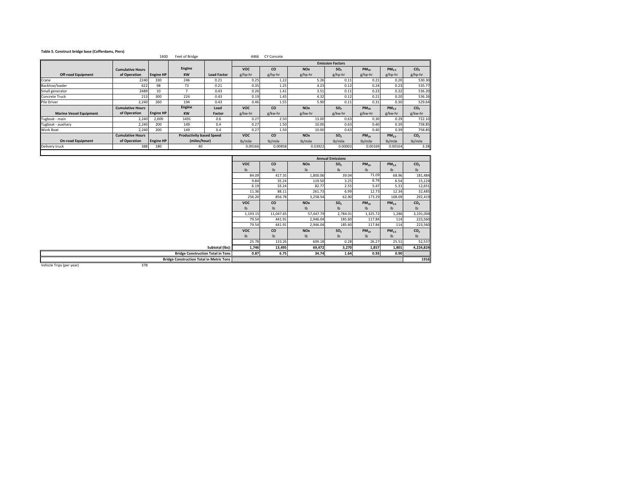#### **Table 5. Construct bridge base (Cofferdams, Piers)**

#### 1400 Feet of Bridge 4466 CY Concete

|                                |                         |                  |                                 |                    | <b>Emission Factors</b> |           |                       |                 |           |                   |                 |
|--------------------------------|-------------------------|------------------|---------------------------------|--------------------|-------------------------|-----------|-----------------------|-----------------|-----------|-------------------|-----------------|
|                                | <b>Cumulative Hours</b> |                  | Engine                          |                    | <b>VOC</b>              | <b>CO</b> | <b>NOx</b>            | SO <sub>2</sub> | $PM_{10}$ | $PM_{2.5}$        | CO <sub>2</sub> |
| <b>Off-road Equipment</b>      | of Operation            | <b>Engine HP</b> | <b>KW</b>                       | <b>Load Factor</b> | $g/hp-hr$               | g/hp-hr   | g/hp-hr               | g/hp-hr         | $g/hp-hr$ | g/hp-hr           | g/hp-hr         |
| Crane                          | 2240                    | 330              | 246                             | 0.21               | 0.25                    | 1.22      | 5.26                  | 0.1             | 0.21      | 0.20              | 530.30          |
| Backhoe/loader                 | 622                     | 98               | 73                              | 0.21               | 0.35                    | 1.25      | 4.23                  | 0.12            | 0.24      | 0.23              | 535.77          |
| Small generator                | 2489                    | 10               | ٠                               | 0.43               | 0.26                    | 1.41      | 3.51                  | 0.1             | 0.23      | 0.22              | 536.20          |
| <b>Concrete Truck</b>          | 213                     | 300              | 224                             | 0.43               | 0.19                    | 1.45      | 4.32                  | 0.12            | 0.21      | 0.20              | 536.26          |
| Pile Driver                    | 2,240                   | 260              | 194                             | 0.43               | 0.46                    | 1.55      | 5.90                  | 0.1             | 0.31      | 0.30              | 529.64          |
|                                | <b>Cumulative Hours</b> |                  | Engine                          | Load               | <b>VOC</b>              | CO        | <b>NO<sub>x</sub></b> | SO <sub>2</sub> | $PM_{10}$ | PM <sub>2.5</sub> | CO <sub>2</sub> |
| <b>Marine Vessel Equipment</b> | of Operation            | <b>Engine HP</b> | <b>KW</b>                       | Factor             | $g$ /kw-hr              | g/kw-hr   | g/kw-hr               | g/kw-hr         | g/kw-hr   | g/kw-hr           | g/kw-hr         |
| Tugboat - main                 | 2.240                   | 2,000            | 1491                            | 0.6                | 0.27                    | 2.50      | 13.00                 | 0.63            | 0.30      | 0.29              | 722.10          |
| Tugboat - auxiliary            | 2.240                   | 200              | 149                             | 0.4                | 0.27                    | 1.50      | 10.00                 | 0.63            | 0.40      | 0.39              | 758.85          |
| Work Boat                      | 2.240                   | 200              | 149                             | 0.4                | 0.27                    | 1.50      | 10.00                 | 0.63            | 0.40      | 0.39              | 758.85          |
|                                | <b>Cumulative Hours</b> |                  | <b>Productivity based Speed</b> |                    | <b>VOC</b>              | co        | <b>NOx</b>            | SO <sub>2</sub> | $PM_{10}$ | $PM_{2.5}$        | CO <sub>2</sub> |
| <b>On-road Equipment</b>       | of Operation            | <b>Engine HP</b> | (miles/hour)                    |                    | lb/mile                 | lb/mile   | lb/mile               | lb/mile         | lb/mile   | lb/mile           | lb/mile         |
| Delivery truck                 | 388                     | 180              | 40                              |                    | 0.00166                 | 0.00858   | 0.03922               | 0.00002         | 0.00169   | 0.00164           | 3.38            |
|                                |                         |                  |                                 |                    |                         |           |                       |                 |           |                   |                 |

|                                                 |               |               |                       | <b>Annual Emissions</b> |               |                           |                 |
|-------------------------------------------------|---------------|---------------|-----------------------|-------------------------|---------------|---------------------------|-----------------|
|                                                 | <b>VOC</b>    | CO            | <b>NO<sub>x</sub></b> | SO <sub>2</sub>         | $PM_{10}$     | PM <sub>2.5</sub>         | CO <sub>2</sub> |
|                                                 | $\mathsf{lb}$ | $\mathsf{lb}$ | $\mathsf{lb}$         | $\mathsf{lb}$           | $\mathsf{lb}$ | $\mathsf{I}^{\mathsf{b}}$ | $\mathsf{lb}$   |
|                                                 | 84.09         | 417.35        | 1,800.06              | 39.04                   | 71.09         | 68.96                     | 181,484         |
|                                                 | 9.84          | 35.24         | 119.50                | 3.25                    | 6.74          | 6.54                      | 15,124          |
|                                                 | 6.19          | 33.24         | 82.77                 | 2.55                    | 5.47          | 5.31                      | 12,651          |
|                                                 | 11.36         | 88.11         | 261.73                | 6.99                    | 12.73         | 12.34                     | 32,485          |
|                                                 | 256.20        | 856.78        | 3,258.54              | 62.90                   | 173.29        | 168.09                    | 292,419         |
|                                                 | <b>VOC</b>    | co            | <b>NOx</b>            | SO <sub>2</sub>         | $PM_{10}$     | PM <sub>2.5</sub>         | CO <sub>2</sub> |
|                                                 | $\mathsf{lb}$ | $\mathsf{lb}$ | I <sub>b</sub>        | $\mathsf{lb}$           | $\mathsf{lb}$ | $\mathsf{I}^{\mathsf{b}}$ | $\mathsf{lb}$   |
|                                                 | 1,193.15      | 11,047.65     | 57,447.79             | 2,784.01                | 1,325.72      | 1,286                     | 3,191,004       |
|                                                 | 79.54         | 441.91        | 2,946.04              | 185.60                  | 117.84        | 114                       | 223,560         |
|                                                 | 79.54         | 441.91        | 2,946.04              | 185.60                  | 117.84        | 114                       | 223,560         |
|                                                 | <b>VOC</b>    | <b>CO</b>     | <b>NO<sub>x</sub></b> | SO <sub>2</sub>         | $PM_{10}$     | PM <sub>2.5</sub>         | CO <sub>2</sub> |
|                                                 | $\mathsf{lb}$ | $\mathsf{lb}$ | I <sub>b</sub>        | $\mathsf{lb}$           | Ib            | $\mathsf{I}^{\mathsf{b}}$ | $\mathsf{lb}$   |
|                                                 | 25.78         | 133.26        | 609.18                | 0.28                    | 26.27         | 25.51                     | 52,537          |
| Subtotal (lbs):                                 | 1,746         | 13,495        | 69,472                | 3,270                   | 1,857         | 1,801                     | 4,224,824       |
| <b>Bridge Construction Total in Tons</b>        | 0.87          | 6.75          | 34.74                 | 1.64                    | 0.93          | 0.90                      |                 |
| <b>Bridge Construction Total in Metric Tons</b> |               |               |                       |                         |               |                           | 1916            |

Vehicle Trips (per year) 378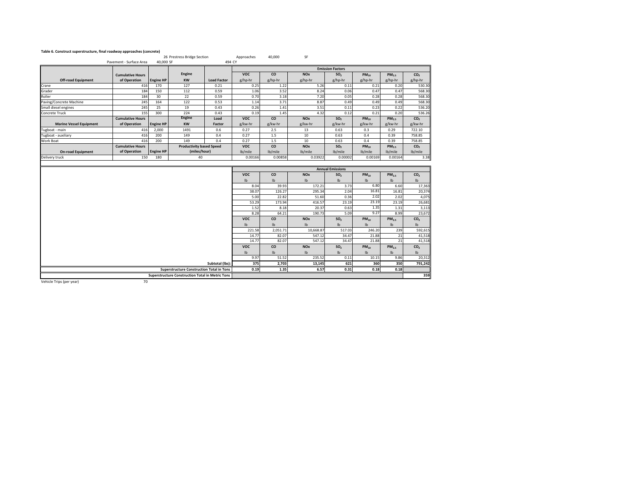## **Table 6. Construct superstructure, final roadway approaches (concrete)** 26 PrestressPavement ‐ Surface Area 40,000 SF 494 CY Approaches  $40,000$  SF

|                                |                         | $10,000$ Ji      |                                 | .                  |                           |                |                       |                         |               |                   |                 |
|--------------------------------|-------------------------|------------------|---------------------------------|--------------------|---------------------------|----------------|-----------------------|-------------------------|---------------|-------------------|-----------------|
|                                |                         |                  |                                 |                    |                           |                |                       | <b>Emission Factors</b> |               |                   |                 |
|                                | <b>Cumulative Hours</b> |                  | Engine                          |                    | <b>VOC</b>                | <b>CO</b>      | <b>NO<sub>x</sub></b> | SO <sub>2</sub>         | $PM_{10}$     | $PM_{2.5}$        | co,             |
| <b>Off-road Equipment</b>      | of Operation            | <b>Engine HP</b> | <b>KW</b>                       | <b>Load Factor</b> | g/hp-hr                   | g/hp-hr        | g/hp-hr               | g/hp-hr                 | g/hp-hr       | g/hp-hr           | g/hp-hr         |
| Crane                          | 416                     | 170              | 127                             | 0.21               | 0.25                      | 1.22           | 5.26                  | 0.11                    | 0.21          | 0.20              | 530.30          |
| Grader                         | 184                     | 150              | 112                             | 0.59               | 1.06                      | 3.52           | 8.24                  | 0.06                    | 0.47          | 0.47              | 568.30          |
| Roller                         | 184                     | 30               | 22                              | 0.59               | 0.70                      | 3.18           | 7.20                  | 0.05                    | 0.28          | 0.28              | 568.30          |
| Paving/Concrete Machine        | 245                     | 164              | 122                             | 0.53               | 1.14                      | 3.71           | 8.87                  | 0.49                    | 0.49          | 0.49              | 568.30          |
| Small diesel engines           | 245                     | 25               | 19                              | 0.43               | 0.26                      | 1.41           | 3.51                  | 0.11                    | 0.23          | 0.22              | 536.20          |
| Concrete Truck                 | 155                     | 300              | 224                             | 0.43               | 0.19                      | 1.45           | 4.32                  | 0.12                    | 0.21          | 0.20              | 536.26          |
|                                | <b>Cumulative Hours</b> |                  | Engine                          | Load               | <b>VOC</b>                | $\overline{c}$ | <b>NO<sub>x</sub></b> | SO <sub>2</sub>         | $PM_{10}$     | $PM_{2.5}$        | co,             |
| <b>Marine Vessel Equipment</b> | of Operation            | <b>Engine HP</b> | <b>KW</b>                       | Factor             | g/kw-hr                   | g/kw-hr        | g/kw-hr               | g/kw-hr                 | g/kw-hr       | g/kw-hr           | g/kw-hr         |
| Tugboat - main                 | 416                     | 2,000            | 1491                            | 0.6                | 0.27                      | 2.5            | 13                    | 0.63                    | 0.3           | 0.29              | 722.10          |
| Tugboat - auxiliary            | 416                     | 200              | 149                             | 0.4                | 0.27                      | 1.5            | 10                    | 0.63                    | 0.4           | 0.39              | 758.85          |
| Work Boat                      | 416                     | 200              | 149                             | 0.4                | 0.27                      | 1.5            | 10                    | 0.63                    | 0.4           | 0.39              | 758.85          |
|                                | <b>Cumulative Hours</b> |                  | <b>Productivity based Speed</b> |                    | <b>VOC</b>                | co             | <b>NO<sub>x</sub></b> | SO <sub>2</sub>         | $PM_{10}$     | PM <sub>2.5</sub> | CO <sub>2</sub> |
| <b>On-road Equipment</b>       | of Operation            | <b>Engine HP</b> | (miles/hour)                    |                    | lb/mile                   | lb/mile        | lb/mile               | lb/mile                 | lb/mile       | lb/mile           | lb/mile         |
| Delivery truck                 | 150                     | 180              | 40                              |                    | 0.00166                   | 0.00858        | 0.03922               | 0.00002                 | 0.00169       | 0.00164           | 3.38            |
|                                |                         |                  |                                 |                    |                           |                |                       |                         |               |                   |                 |
|                                |                         |                  |                                 |                    |                           |                |                       | <b>Annual Emissions</b> |               |                   |                 |
|                                |                         |                  |                                 |                    | <b>VOC</b>                | CO             | <b>NO<sub>x</sub></b> | SO <sub>2</sub>         | $PM_{10}$     | $PM_{2.5}$        | CO <sub>2</sub> |
|                                |                         |                  |                                 |                    | $\mathsf{I}^{\mathsf{b}}$ | $\mathsf{lb}$  | I <sub>b</sub>        | I <sub>b</sub>          | $\mathsf{lb}$ | Ib                | $\mathsf{lb}$   |
|                                |                         |                  |                                 |                    | 8.04                      | 39.93          | 172.21                | 3.73                    | 6.80          | 6.60              | 17,363          |
|                                |                         |                  |                                 |                    | 38.07                     | 126.27         | 295.34                | 2.04                    | 16.81         | 16.81             | 20,374          |
|                                |                         |                  |                                 |                    | 5.00                      | 22.82          | 51.60                 | 0.36                    | 2.02          | 2.02              | 4,075           |
|                                |                         |                  |                                 |                    | 53.29                     | 173.94         | 416.57                | 23.19                   | 23.19         | 23.19             | 26,681          |
|                                |                         |                  |                                 |                    | 1.52                      | 8.18           | 20.37                 | 0.63                    | 1.35          | 1.31              | 3,113           |
|                                |                         |                  |                                 |                    | 8.28                      | 64.21          | 190.73                | 5.09                    | 9.27          | 8.99              | 23,672          |
|                                |                         |                  |                                 |                    | <b>VOC</b>                | <b>CO</b>      | <b>NO<sub>x</sub></b> | SO <sub>2</sub>         | $PM_{10}$     | PM <sub>2.5</sub> | CO <sub>2</sub> |
|                                |                         |                  |                                 |                    | $\mathsf{I}^{\mathsf{b}}$ | $\mathsf{lb}$  | $\mathsf{lb}$         | Ib                      | $\mathsf{lb}$ | Ib                | $\mathsf{lb}$   |
|                                |                         |                  |                                 |                    | 221.58                    | 2,051.71       | 10,668.87             | 517.03                  | 246.20        | 239               | 592,615         |
|                                |                         |                  |                                 |                    | 1477                      | 82.07          | 54712                 | 34.47                   | 21.88         | 21                | 41 518          |

| 592,615         | 239        | 246.20        | 517.03                    | 10.668.87     | 2,051.71      | 221.58                    |                                                  |
|-----------------|------------|---------------|---------------------------|---------------|---------------|---------------------------|--------------------------------------------------|
| 41,518          |            | 21.88         | 34.47                     | 547.12        | 82.07         | 14.77                     |                                                  |
| 41,518          |            | 21.88         | 34.47                     | 547.12        | 82.07         | 14.77                     |                                                  |
| CO <sub>2</sub> | $PM_{2.5}$ | $PM_{10}$     | SO <sub>2</sub>           | <b>NOx</b>    | <b>CO</b>     | <b>VOC</b>                |                                                  |
| lb.             | Ib         | $\mathsf{lb}$ | $\mathsf{I}^{\mathsf{b}}$ | $\mathsf{lb}$ | $\mathsf{lb}$ | $\mathsf{I}^{\mathsf{b}}$ |                                                  |
| 20,312          | 9.86       | 10.15         | 0.11                      | 235.52        | 51.52         | 9.97                      |                                                  |
| 791.242         | 350        | 360           | 621                       | 13,145        | 2.703         | 375                       | Subtotal (lbs):                                  |
|                 | 0.18       | 0.18          | 0.31                      | 6.57          | 1.35          | 0.19                      | <b>Superstructure Construction Total in Tons</b> |
| 359             |            |               |                           |               |               |                           | Superstructure Construction Total in Metric Tons |

Vehicle Trips (per year) 70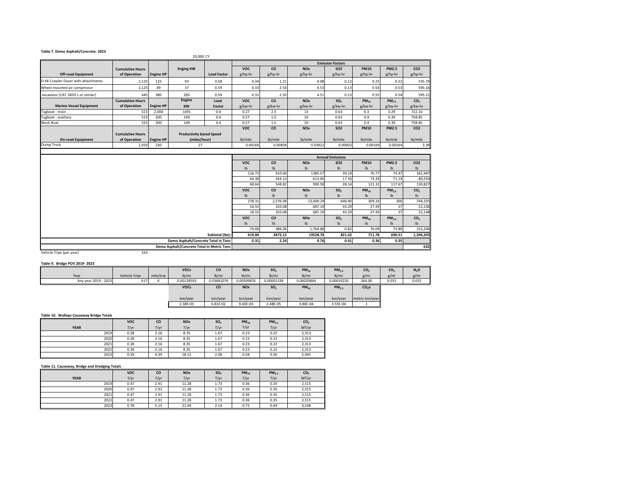#### **Table 7. Demo Asphalt/Concrete‐ 2023**

### 20,000 CY

|                                     |                         |                  |                                 |                    |            |           |                       | <b>Emission Factors</b> |             |                   |                 |
|-------------------------------------|-------------------------|------------------|---------------------------------|--------------------|------------|-----------|-----------------------|-------------------------|-------------|-------------------|-----------------|
|                                     | <b>Cumulative Hours</b> |                  | <b>Enging KW</b>                |                    | <b>VOC</b> | <b>CO</b> | <b>NO<sub>x</sub></b> | SO <sub>2</sub>         | <b>PM10</b> | <b>PM2.5</b>      | CO <sub>2</sub> |
| <b>Off-road Equipment</b>           | of Operation            | <b>Engine HP</b> |                                 | <b>Load Factor</b> | g/hp-hr    | g/hp-hr   | g/hp-hr               | g/hp-hr                 | $g/hp-hr$   | g/hp-hr           | g/hp-hr         |
| D-6K Crawler Dozer with attachments | 2,125                   | 125              | 93                              | 0.58               | 0.34       | 1.21      | 4.08                  | 0.12                    | 0.23        | 0.22              | 535.79          |
| Wheel mounted air compressor        | 2,125                   | 49               | 37                              | 0.59               | 0.33       | 2.54      | 4.53                  | 0.13                    | 0.54        | 0.53              | 595.16          |
| excavator (CAT 345D L or similar)   | 445                     | 380              | 283                             | 0.59               | 0.31       | 2.50      | 4.51                  | 0.13                    | 0.55        | 0.54              | 595.21          |
|                                     | <b>Cumulative Hours</b> |                  | Engine                          | Load               | <b>VOC</b> | co        | <b>NOx</b>            | SO <sub>2</sub>         | $PM_{10}$   | PM <sub>2.5</sub> | CO <sub>2</sub> |
| <b>Marine Vessel Equipment</b>      | of Operation            | <b>Engine HP</b> | <b>KW</b>                       | Factor             | g/kw-hr    | g/kw-hr   | g/kw-hr               | g/kw-hr                 | $g/kw-hr$   | g/kw-hr           | $g/kw-hr$       |
| Tugboat - main                      | 523                     | 2,000            | 1491                            | 0.6                | 0.27       | 2.5       | 13                    | 0.63                    | 0.3         | 0.29              | 722.10          |
| Tugboat - auxiliary                 | 523                     | 200              | 149                             | 0.4                | 0.27       | 1.5       | 10                    | 0.63                    | 0.4         | 0.39              | 758.85          |
| Work Boat                           | 523                     | 200              | 149                             | 0.4                | 0.27       | 1.5       | 10                    | 0.63                    | 0.4         | 0.39              | 758.85          |
|                                     |                         |                  |                                 |                    | <b>VOC</b> | co        | <b>NO<sub>x</sub></b> | SO <sub>2</sub>         | <b>PM10</b> | <b>PM2.5</b>      | CO <sub>2</sub> |
|                                     | <b>Cumulative Hours</b> |                  | <b>Productivity based Speed</b> |                    |            |           |                       |                         |             |                   |                 |
| <b>On-road Equipment</b>            | of Operation            | <b>Engine HP</b> | (miles/hour)                    |                    | lb/mile    | lb/mile   | lb/mile               | lb/mile                 | lb/mile     | lb/mile           | lb/mile         |
| Dump Truck                          | 1,650                   | 230              | 27                              |                    | 0.00166    | 0.00858   | 0.03922               | 0.00002                 | 0.00169     | 0.00164           | 3.38            |
|                                     |                         |                  |                                 |                    |            |           |                       |                         |             |                   |                 |

|                                            |               |                           |                       | <b>Annual Emissions</b> |               |                   |                 |
|--------------------------------------------|---------------|---------------------------|-----------------------|-------------------------|---------------|-------------------|-----------------|
|                                            | <b>VOC</b>    | CO                        | <b>NOx</b>            | <b>SO2</b>              | <b>PM10</b>   | <b>PM2.5</b>      | CO <sub>2</sub> |
|                                            | $\mathsf{lb}$ | $\mathsf{lb}$             | $\mathsf{lb}$         | Ib                      | $\mathsf{lb}$ | Ib                | Ib              |
|                                            | 116.73        | 410.00                    | 1385.57               | 39.14                   | 76.77         | 74.47             | 181,947         |
|                                            | 44.38         | 344.13                    | 613.06                | 17.34                   | 73.39         | 71.19             | 80,593          |
|                                            | 68.64         | 548.82                    | 990.58                | 28.14                   | 121.31        | 117.67            | 130,827         |
|                                            | <b>VOC</b>    | <b>CO</b>                 | <b>NO<sub>x</sub></b> | SO <sub>2</sub>         | $PM_{10}$     | PM <sub>2.5</sub> | CO <sub>2</sub> |
|                                            | $\mathsf{lb}$ | $\mathsf{lb}$             | $\mathsf{lb}$         | Ib                      | $\mathsf{lb}$ | Ib                | $\mathsf{lb}$   |
|                                            | 278.31        | 2,576.98                  | 13,400.29             | 649.40                  | 309.24        | 300               | 744,335         |
|                                            | 18.55         | 103.08                    | 687.19                | 43.29                   | 27.49         | 27                | 52,148          |
|                                            | 18.55         | 103.08                    | 687.19                | 43.29                   | 27.49         | 27                | 52,148          |
|                                            | <b>VOC</b>    | co                        | <b>NOx</b>            | SO <sub>2</sub>         | $PM_{10}$     | PM <sub>2.5</sub> | CO <sub>2</sub> |
|                                            | $\mathsf{lb}$ | $\mathsf{I}^{\mathsf{b}}$ | $\mathsf{lb}$         | lb.                     | $\mathsf{lb}$ | Ib                | $\mathsf{lb}$   |
|                                            | 74.68         | 386.06                    | 1,764.88              | 0.82                    | 76.09         | 73.89             | 152,206         |
| Subtotal (lbs):                            | 619.84        | 4472.15                   | 19528.78              | 821.42                  | 711.78        | 690.51            | 1,394,203       |
| Demo Asphalt/Concrete Total in Tons        | 0.31          | 2.24                      | 9.76                  | 0.41                    | 0.36          | 0.35              |                 |
| Demo Asphalt/Concrete Total in Metric Tons |               |                           |                       |                         |               |                   | 632             |
| 163<br>Vehicle Trips (per year)            |               |                           |                       |                         |               |                   |                 |

#### **Table 9. Bridge POV 2019‐ 2023**

|                      |                      |           | <b>VOCs</b> | CO         | <b>NO<sub>x</sub></b> | SO <sub>2</sub> | $PM_{10}$  | PM <sub>2.5</sub> | CO <sub>2</sub>   | CH <sub>4</sub> | N <sub>2</sub> O |
|----------------------|----------------------|-----------|-------------|------------|-----------------------|-----------------|------------|-------------------|-------------------|-----------------|------------------|
| Year                 | <b>Vehicle Trips</b> | mile/trip | lb/mi       | lb/mi      | lb/mi                 | lb/mi           | lb/min     | lb/mi             | g/mi              | g/mi            | g/mi             |
| Any year 2019 - 2023 | 617                  |           | 0.00128593  | 0.03681076 | 0.00509876            | 0.00001339      | 0.00020844 | 0.00019220        | 364.00            | 0.031           | 0.032            |
|                      |                      |           | <b>VOCs</b> | CO         | <b>NO<sub>x</sub></b> | SO <sub>2</sub> | $PM_{10}$  | PM <sub>2.5</sub> | CO <sub>2</sub> e |                 |                  |
|                      |                      |           |             |            |                       |                 |            |                   |                   |                 |                  |
|                      |                      |           | ton/year    | ton/year   | ton/year              | ton/year        | ton/year   | ton/year          | metric ton/year   |                 |                  |
|                      |                      |           | 2.38E-03    | 6.81E-02   | 9.43E-03              | 2.48E-05        | 3.86E-04   | 3.55E-04          |                   |                 |                  |

#### **Table 10. Wallops Causeway Bridge Totals**

|             | <b>VOC</b> | CO   | <b>NO<sub>x</sub></b> | SO <sub>2</sub> | $PM_{10}$ | PM <sub>2.5</sub> | CO <sub>2</sub> |
|-------------|------------|------|-----------------------|-----------------|-----------|-------------------|-----------------|
| <b>YEAR</b> | T/yr       | T/yr | T/yr                  | T/yr            | T/yr      | T/yr              | MT/yr           |
| 2019        | 0.28       | 2.16 | 8.35                  | 1.67            | 0.23      | 0.22              | 2,313           |
| 2020        | 0.28       | 2.16 | 8.35                  | 1.67            | 0.23      | 0.22              | 2,313           |
| 2021        | 0.28       | 2.16 | 8.35                  | 1.67            | 0.23      | 0.22              | 2,313           |
| 2022        | 0.28       | 2.16 | 8.35                  | 1.67            | 0.23      | 0.22              | 2,313           |
| 2023        | 0.59       | 4.39 | 18.12                 | 2.08            | 0.58      | 0.56              | 2,945           |

#### **Table 11. Causeway, Bridge and Dredging Totals**

|             | <b>VOC</b> | CO   | <b>NO<sub>x</sub></b> | SO <sub>2</sub> | $PM_{10}$ | PM <sub>2.5</sub> | CO <sub>2</sub> |
|-------------|------------|------|-----------------------|-----------------|-----------|-------------------|-----------------|
| <b>YEAR</b> | T/yr       | T/yr | T/yr                  | T/yr            | T/yr      | T/yr              | MT/yr           |
| 2019        | 0.47       | 2.91 | 11.28                 | 1.73            | 0.36      | 0.35              | 2,515           |
| 2020        | 0.47       | 2.91 | 11.28                 | 1.73            | 0.36      | 0.35              | 2,515           |
| 2021        | 0.47       | 2.91 | 11.28                 | 1.73            | 0.36      | 0.35              | 2,515           |
| 2022        | 0.47       | 2.91 | 11.28                 | 1.73            | 0.36      | 0.35              | 2,515           |
| 2023        | 0.78       | 5.15 | 21.04                 | 2.14            | 0.72      | 0.69              | 3,148           |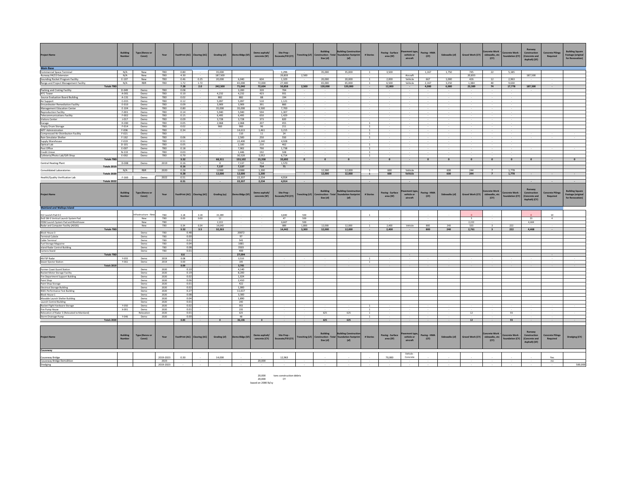| <b>Project Name</b>                                                                                                            | <b>Building</b><br>Number | <b>Type (Renov or</b><br>Const)        | Year              | FootPrint (AC) Clearing (AC)         |             | Grading (sf)     | Demo Bldgs (SF)          | Demo asphalt/<br>concrete (SF)          | Site Prep<br>Excavate/Fill (CY)                 |                       | <b>Building</b><br><b>Trenching (LF)</b> Construction - Total fou<br>Size (sf) | <b>Iding Construct</b><br>dation footprint<br>(sf) | # Stories                        | Paving - Surface<br>area (SF) | vehicle or<br>aircraft               | Paving - HMA<br>(CF) | Sidewalks (sf) | Gravel Work (CY) | ncrete Work<br>sidewalks, etc<br>(CY)       | Concrete Work<br>foundation (CY)        | Runway<br>Construction<br>(Concrete and<br>Asphalt) (SF) | <b>Concrete Pilings</b><br>Required | <b>Building Square</b><br><b>Footage (original</b><br>for Renovation] |
|--------------------------------------------------------------------------------------------------------------------------------|---------------------------|----------------------------------------|-------------------|--------------------------------------|-------------|------------------|--------------------------|-----------------------------------------|-------------------------------------------------|-----------------------|--------------------------------------------------------------------------------|----------------------------------------------------|----------------------------------|-------------------------------|--------------------------------------|----------------------|----------------|------------------|---------------------------------------------|-----------------------------------------|----------------------------------------------------------|-------------------------------------|-----------------------------------------------------------------------|
| <b>Main Base</b><br>Commercial Space Terminal                                                                                  | N/A                       | New                                    | TBD               | 0.80                                 |             | 35,000           |                          |                                         | 1,296                                           |                       | 35,000                                                                         | 35,000                                             | $\mathbf{1}$                     | 3,500                         |                                      | 1,167                | 1,750          | 745              | 22                                          | 5,185                                   |                                                          |                                     |                                                                       |
| Runway 04/22 Extension                                                                                                         | $N/\Delta$                | New                                    | TRD               | 4.30                                 |             | 187500           |                          |                                         | 20,833                                          | 2,500                 |                                                                                |                                                    |                                  |                               | Aircraft                             |                      |                | 20,833           |                                             |                                         | 187,500                                                  |                                     |                                                                       |
| Sounding Rocket Program Facility<br>Range and Project Management Facility                                                      | $E-107$                   | New                                    | TBD               | 0.46                                 | 0.25        | 20,000           | 6.040                    | 604                                     | 1,329                                           |                       | 20,000                                                                         | 20,000                                             | $\overline{1}$                   | 2,000                         | Vehicle                              | 667                  | 1,000          | 426              | 12                                          | 2.963                                   |                                                          |                                     |                                                                       |
| <b>Totals TRD</b>                                                                                                              | N/A                       | RBR                                    | TBD               | 1.72<br>7.28                         | 1.72<br>2.0 | 242,500          | 65,000<br>71,040         | 72,000<br>72.604                        | 27,400<br>50.858                                | 2,500                 | 65,000<br>120,000                                                              | 65,000<br>120,000                                  | <sup>1</sup>                     | 6,500<br>12,000               | Vehicle                              | 2,167<br>4.000       | 3,250<br>6.000 | 1,384<br>23,389  | 40<br>74                                    | 9,630<br>17,778                         | 187,500                                                  |                                     |                                                                       |
| Packing and Crating Facility                                                                                                   | D-049                     | Demo                                   | TBD               | 0.08                                 |             |                  | 3,200                    | 320                                     | 704                                             |                       |                                                                                |                                                    |                                  |                               |                                      |                      |                |                  |                                             |                                         |                                                          |                                     |                                                                       |
| ATC Tower                                                                                                                      | A-001                     | Demo                                   | TBD               | 0.10                                 |             | 4.232            | 4,232                    | 423                                     | 931                                             |                       |                                                                                |                                                    |                                  |                               |                                      |                      |                |                  |                                             |                                         |                                                          |                                     |                                                                       |
| <b>Source Evaluation Board Building</b>                                                                                        | A-131                     | Demo                                   | TBD               | 0.02                                 |             | 882              | 882                      | 88                                      | 194                                             |                       |                                                                                |                                                    |                                  |                               |                                      |                      |                |                  |                                             |                                         |                                                          |                                     |                                                                       |
| Air Support                                                                                                                    | $C-015$                   | Demo                                   | TBD               | 0.12                                 |             | 5,097            | 5,097                    | 510                                     | 1,121                                           |                       |                                                                                |                                                    |                                  |                               |                                      |                      |                |                  |                                             |                                         |                                                          |                                     |                                                                       |
|                                                                                                                                | E-010<br>$E-104$          | Demo<br>Demo                           | TBD<br><b>TBD</b> | 0.09<br>0.80                         |             | 3,909<br>35,000  | 3.909<br>35,000          | 391<br>3.500                            | 860<br>7.700                                    |                       |                                                                                |                                                    |                                  |                               |                                      |                      |                |                  |                                             |                                         |                                                          |                                     |                                                                       |
| sin<br>Sroundwater Remediation Facility<br>Management Education Center<br>Reproduction Facility<br>Telecommunications Facility | $F-001$                   | Demo                                   | TBD               | 0.14                                 |             | 5,940            | 5,940                    | 594                                     | 1,307                                           |                       |                                                                                |                                                    |                                  |                               |                                      |                      |                |                  |                                             |                                         |                                                          |                                     |                                                                       |
|                                                                                                                                | F-002                     | Demo                                   | TBD               | 0.15                                 |             | 6.495            | 6.495                    | 650                                     | 1,429                                           |                       |                                                                                |                                                    |                                  |                               |                                      |                      |                |                  |                                             |                                         |                                                          |                                     |                                                                       |
| Visitors Center<br>Garage                                                                                                      | $1-017$                   | Demo                                   | TBD               | 0.09                                 |             | 3,728            | 3,728                    | 373                                     | 820                                             |                       |                                                                                |                                                    |                                  |                               |                                      |                      |                |                  |                                             |                                         |                                                          |                                     |                                                                       |
|                                                                                                                                | $H-030$                   | Demo                                   | TBD               | 0.05                                 |             | 2.068            | 2.068                    | 207                                     | 455                                             |                       |                                                                                |                                                    | $\overline{1}$                   |                               |                                      |                      |                |                  |                                             |                                         |                                                          |                                     |                                                                       |
| <b>Empty Drum Storage</b>                                                                                                      | F-014<br>F-006            | Demo<br>Demo                           | TRD<br>TBD        | 0.02<br>0.34                         |             | 960              | 960<br>14,613            | 96<br>1,461                             | 211<br>3,215                                    |                       |                                                                                |                                                    | $\mathbf{1}$<br>$\mathbf{1}$     |                               |                                      |                      |                |                  |                                             |                                         |                                                          |                                     |                                                                       |
| WFF Administration<br>Compressed Air Distribution Facility                                                                     | F-021                     | Demo                                   | TRD               |                                      |             |                  | 110                      | 11                                      | 24                                              |                       |                                                                                |                                                    | $\overline{1}$                   |                               |                                      |                      |                |                  |                                             |                                         |                                                          |                                     |                                                                       |
| Rain Simulator Shelter                                                                                                         | $F-162$                   | Demo                                   | TBD               | 0.06                                 |             |                  | 2.500                    | 250                                     | 550                                             |                       |                                                                                |                                                    | $\overline{1}$                   |                               |                                      |                      |                |                  |                                             |                                         |                                                          |                                     |                                                                       |
| Supply Warehouse                                                                                                               | $F-019$                   | Demo                                   | TBD               | 0.51                                 |             |                  | 22,400                   | 2,240                                   | 4,928                                           |                       |                                                                                |                                                    |                                  |                               |                                      |                      |                |                  |                                             |                                         |                                                          |                                     |                                                                       |
| Optical Lab                                                                                                                    | $D-101$<br>F-007          | Demo<br>Demo                           | TBD<br>TBD        | 0.05<br>0.18                         |             |                  | 2.100<br>7.902           | 210<br>790                              | 462<br>1.738                                    |                       |                                                                                |                                                    | $\overline{1}$<br>$\overline{1}$ |                               |                                      |                      |                |                  |                                             |                                         |                                                          |                                     |                                                                       |
|                                                                                                                                | $N-133$                   | Demo                                   | TBD               | 0.03                                 |             |                  | 1,446                    | 192                                     | 328                                             |                       |                                                                                |                                                    | <sup>1</sup>                     |                               |                                      |                      |                |                  |                                             |                                         |                                                          |                                     |                                                                       |
| Post Office<br>Credit Union<br>Cafeteria/Photo Lab/Gift Shop                                                                   | F-002                     | Demo                                   | TBD               | 0.70                                 |             |                  | 30.520                   | 3.052                                   | 6.714                                           |                       |                                                                                |                                                    | $-1$                             |                               |                                      |                      |                |                  |                                             |                                         |                                                          |                                     |                                                                       |
| <b>Totals TB</b>                                                                                                               |                           |                                        |                   | 3.52                                 |             | 68,311           | 153,102                  | 15,358                                  | 33,692                                          | $\bullet$             | $\overline{0}$                                                                 | $\bullet$                                          |                                  | $\Omega$                      |                                      | $\bullet$            | $\circ$        | $\bullet$        | $\bullet$                                   | $\bullet$                               | $\Omega$                                                 |                                     | $\Omega$                                                              |
| <b>Central Heating Plant</b>                                                                                                   | D-008                     | Demo                                   | 2019              | 0.16                                 |             |                  | 7.137                    | 714                                     | 1.570                                           |                       |                                                                                |                                                    |                                  |                               |                                      |                      |                |                  |                                             |                                         |                                                          |                                     |                                                                       |
| Totals 201<br><b>Consolidated Laboratories</b>                                                                                 | N/A                       | RBR                                    | 2020              | 0.16<br>0.28                         |             | 7.137<br>12000   | 7,137<br>12000           | 714<br>1,200                            | 71                                              |                       | 12,000                                                                         | 12,000                                             | $\mathbf{1}$                     | 600                           | Vehicle                              |                      | 600            | 244              | $\overline{z}$                              | 1,778                                   |                                                          |                                     |                                                                       |
| Totals 2020                                                                                                                    |                           |                                        |                   | 0.28                                 |             | 12,000           | 12,000                   | 1.200                                   |                                                 |                       | 12,000                                                                         | 12,000                                             | $\overline{1}$                   | 600                           | Vehicle                              |                      | 600            | 244              | $\overline{7}$                              | 1,778                                   | $\sim$                                                   | $\sim$                              |                                                                       |
| Health/Quality Verification Lab                                                                                                | $F-160$                   | Demo                                   | 2022              | 0.51                                 |             |                  | 22.337                   | 2.234                                   | 4914                                            |                       |                                                                                |                                                    |                                  |                               |                                      |                      |                |                  |                                             |                                         |                                                          |                                     |                                                                       |
| Totals 2022<br><b>Project Name</b>                                                                                             | <b>Building</b><br>Number | <b>Type (Renov or</b><br><b>Constl</b> | Year              | 0.51<br>FootPrint (AC) Clearing (AC) |             | Grading (sy)     | 22,337<br>emo Bldgs (SF) | 2,234<br>Demo asphalt/<br>concrete (SF) | 4,914<br><b>Site Prep</b><br>Excavate/Fill (CY) | <b>Trenching (LF)</b> | <b>Building</b><br><b>Construction - Total</b><br>Size (sf)                    | ding Construct<br>ndation footorint<br>(st)        | # Stories                        | Paving - Surface<br>area (SF) | ement tyr<br>vehicle or<br>aircraft  | Paving - HMA<br>(CF) | Sidewalks (sf) | Gravel Work (CY) | <b>Icrete Work</b><br>sidewalks, etc<br>ICY | ncrete Work<br>oundation (CY)           | Runway<br>Construction<br>(Concrete and<br>Asphalt) (CY) | <b>Concrete Pilings</b><br>Required | <b>Building Square</b><br>Footage (original<br>for Renovation)        |
|                                                                                                                                |                           |                                        |                   |                                      |             |                  |                          |                                         |                                                 |                       |                                                                                |                                                    |                                  |                               |                                      |                      |                |                  |                                             |                                         |                                                          |                                     |                                                                       |
|                                                                                                                                |                           |                                        |                   |                                      |             |                  |                          |                                         |                                                 |                       |                                                                                |                                                    |                                  |                               |                                      |                      |                |                  |                                             |                                         |                                                          |                                     |                                                                       |
| <b>Mainland and Wallops Island</b>                                                                                             |                           |                                        |                   |                                      |             |                  |                          |                                         |                                                 |                       |                                                                                |                                                    |                                  |                               |                                      |                      |                |                  |                                             |                                         |                                                          |                                     |                                                                       |
| ELV Launch Pad 0-C                                                                                                             |                           | nfrastructure - N                      | TBD               | 3.18                                 | 3.18        | 15,389           |                          |                                         | 6,840                                           | 500                   |                                                                                |                                                    |                                  |                               |                                      |                      |                |                  |                                             |                                         |                                                          | 10                                  |                                                                       |
| DoD SM-3 Vertical Launch System Pad                                                                                            |                           | New                                    | TBD               | 0.00                                 | 0.00        | 12               |                          |                                         | 47                                              | 500                   |                                                                                |                                                    |                                  |                               |                                      |                      |                | $\sim$           |                                             |                                         | 23                                                       | 4                                   |                                                                       |
| ESSM Launch System Pad and Blockhouse                                                                                          |                           | New                                    | TBD               |                                      |             | 2,222            |                          |                                         | 6.667                                           | 500                   |                                                                                |                                                    |                                  |                               |                                      |                      | 240            | 2,222            |                                             |                                         | 4,444                                                    |                                     |                                                                       |
| Radar and Computer Facility (AEGIS)<br><b>Totals TBD</b>                                                                       |                           | New                                    | TBD               | 0.34<br>3.52                         | 0.34<br>3.5 | 14,640<br>32,263 |                          |                                         | 889<br>14,442                                   | 1,800<br>3,300        | 12,000<br>12,000                                                               | 12,000<br>12,000                                   |                                  | 2,400<br>2,400                | Vehicle                              | 800<br>800           | 240            | 533<br>2,761     | $\overline{\mathbf{3}}$                     | 222<br>222                              | 4,468                                                    |                                     |                                                                       |
|                                                                                                                                |                           | Demo                                   | TBD               | 0.48                                 |             |                  | 20872                    |                                         |                                                 |                       |                                                                                |                                                    |                                  |                               |                                      |                      |                |                  |                                             |                                         |                                                          |                                     |                                                                       |
| Block House 3<br>Terminal Cubicle                                                                                              |                           | Demo                                   | TBD               | 0.00                                 |             |                  | 97                       |                                         |                                                 |                       |                                                                                |                                                    |                                  |                               |                                      |                      |                |                  |                                             |                                         |                                                          |                                     |                                                                       |
| Cable Terminal                                                                                                                 |                           | Demo                                   | TBD               | 0.01                                 |             |                  | 541                      |                                         |                                                 |                       |                                                                                |                                                    |                                  |                               |                                      |                      |                |                  |                                             |                                         |                                                          |                                     |                                                                       |
| Fuel Storage Magazine                                                                                                          |                           | Demo<br>Demo                           | TBD<br>TBD        | 0.04<br>0.08                         |             |                  | 1681<br>3503             |                                         |                                                 |                       |                                                                                |                                                    |                                  |                               |                                      |                      |                |                  |                                             |                                         |                                                          |                                     |                                                                       |
| <b>Island Radar Control Building</b><br>Camera Stand                                                                           |                           | Demo                                   | TBD               | 0.01                                 |             |                  | 400                      |                                         |                                                 |                       |                                                                                |                                                    |                                  |                               |                                      |                      |                |                  |                                             |                                         |                                                          |                                     |                                                                       |
| <b>Totals TBD</b>                                                                                                              |                           |                                        |                   | 0.6                                  |             |                  | 27,094                   |                                         |                                                 |                       |                                                                                |                                                    |                                  |                               |                                      |                      |                |                  |                                             |                                         |                                                          |                                     |                                                                       |
|                                                                                                                                | Y-055<br>Y-061            | Demo<br>Demo                           | 2019<br>2019      | 0.08<br>0.00                         |             |                  | 3.510<br>195             |                                         |                                                 |                       |                                                                                |                                                    | $\mathbf{1}$                     |                               |                                      |                      |                |                  |                                             |                                         |                                                          |                                     |                                                                       |
| AN FSP Radar<br>Sewer Ejector Station<br>Totals 2019                                                                           |                           |                                        |                   | 0.09                                 |             |                  | 3,705                    |                                         |                                                 |                       |                                                                                |                                                    |                                  |                               |                                      |                      |                |                  |                                             |                                         |                                                          |                                     |                                                                       |
|                                                                                                                                |                           | Demo                                   | 2020              | 0.10                                 |             |                  | 4.140                    |                                         |                                                 |                       |                                                                                |                                                    |                                  |                               |                                      |                      |                |                  |                                             |                                         |                                                          |                                     |                                                                       |
|                                                                                                                                |                           | Demo                                   | 2020              | 0.19                                 |             |                  | 8,200                    |                                         |                                                 |                       |                                                                                |                                                    |                                  |                               |                                      |                      |                |                  |                                             |                                         |                                                          |                                     |                                                                       |
| Former Coast Guard Station<br>Rocket Motor Storage Facility<br>Fire Department Support Building                                |                           | Demo<br>Demo                           | 2020<br>2020      | 0.02<br>0.06                         |             |                  | 1,024<br>2.410           |                                         |                                                 |                       |                                                                                |                                                    |                                  |                               |                                      |                      |                |                  |                                             |                                         |                                                          |                                     |                                                                       |
|                                                                                                                                |                           | Demo                                   | 2020              | 0.01                                 |             |                  | 422                      |                                         |                                                 |                       |                                                                                |                                                    |                                  |                               |                                      |                      |                |                  |                                             |                                         |                                                          |                                     |                                                                       |
|                                                                                                                                |                           | Demo                                   | 2020              | 0.02                                 |             |                  | 1.000                    |                                         |                                                 |                       |                                                                                |                                                    |                                  |                               |                                      |                      |                |                  |                                             |                                         |                                                          |                                     |                                                                       |
| Paint Shop<br>Paint Shop Storage<br>Electrical Storage Building                                                                |                           | Demo                                   | 2020              | 0.27                                 |             |                  | 11,617                   |                                         |                                                 |                       |                                                                                |                                                    |                                  |                               |                                      |                      |                |                  |                                             |                                         |                                                          |                                     |                                                                       |
|                                                                                                                                |                           | Demo                                   | 2020              | 0.08                                 |             |                  | 3,300                    |                                         |                                                 |                       |                                                                                |                                                    |                                  |                               |                                      |                      |                |                  |                                             |                                         |                                                          |                                     |                                                                       |
| NSEC Performance Test Building<br>Block House 1<br>Movable Launch Shelter Building                                             |                           | Demo<br>Demo                           | 2020<br>2020      | 0.04<br>0.01                         |             |                  | 1.890<br>240             |                                         |                                                 |                       |                                                                                |                                                    |                                  |                               |                                      |                      |                |                  |                                             |                                         |                                                          |                                     |                                                                       |
| Launch Control Building<br>Rocket Flight Hardware Storage                                                                      | Y-050                     | Demo                                   | 2020              | 0.02                                 |             |                  | 955                      |                                         |                                                 |                       |                                                                                |                                                    |                                  |                               |                                      |                      |                |                  |                                             |                                         |                                                          |                                     |                                                                       |
| Fire Pump House                                                                                                                | X-091                     | Demo                                   | 2020              | 0.01                                 |             |                  | 235                      |                                         |                                                 |                       |                                                                                |                                                    | $\mathbf{1}$                     |                               |                                      |                      |                |                  |                                             |                                         |                                                          |                                     |                                                                       |
|                                                                                                                                |                           | Relocation                             | 2020              | 0.01<br>0.00                         |             |                  | 625                      |                                         |                                                 |                       | 625                                                                            | 625                                                | $\overline{1}$                   |                               |                                      |                      |                | 12               |                                             | 93                                      |                                                          |                                     |                                                                       |
| Relocation of Radar 3 (Relocated to Mainland)<br>Storm Drainage Pump<br>Totals 2020                                            | $Y - 046$                 | Demo                                   | 2020              | 0.83                                 |             | $\circ$          | 48<br>36,106             | $\overline{0}$                          |                                                 |                       | 625                                                                            | 625                                                |                                  |                               |                                      |                      |                | 12               |                                             | 93                                      |                                                          |                                     |                                                                       |
| <b>Project Name</b>                                                                                                            | <b>Building</b><br>Number | <b>Type (Renov or</b><br>Constl        | Year              | FootPrint (AC) Clearing (AC)         |             | Grading (sf)     | emo Bldgs (SF)           | Demo asphalt/<br>concrete (CY)          | Site Prep<br>Excavate/Fill (CY)                 | <b>Trenching (LF)</b> | <b>Building</b><br>struction - Tot<br>Size (sf)                                | ling Construct<br>ation footorint<br>(st)          | # Stories                        | Paving - Surface<br>area (SF) | rement typ<br>vehicle or<br>aircraft | Paving - HMA<br>(CF) | Sidewalks (sf) | Gravel Work (CY) | crete Work<br>sidewalks, etc<br>(CY)        | <b>Concrete Work</b><br>foundation (CY) | Runway<br>Construction<br>(Concrete and<br>Asphalt) (SF) | <b>Concrete Pilines</b><br>Required | Dredging (CY)                                                         |
| Causeway                                                                                                                       |                           |                                        |                   |                                      |             |                  |                          |                                         |                                                 |                       |                                                                                |                                                    |                                  |                               |                                      |                      |                |                  |                                             |                                         |                                                          |                                     |                                                                       |
|                                                                                                                                |                           |                                        |                   |                                      |             |                  |                          |                                         |                                                 |                       |                                                                                |                                                    |                                  |                               | Vehicle -<br>Concrete                |                      |                |                  |                                             |                                         |                                                          | Yes                                 |                                                                       |
| Causeway Bridge<br>Causeway Bridge Demolition<br>Dredging                                                                      |                           |                                        | 2019-2023<br>2023 | 0.30                                 |             | 14,000           |                          | 20,000                                  | 12,963                                          |                       |                                                                                |                                                    |                                  | 70,000                        |                                      |                      |                |                  |                                             |                                         |                                                          | no                                  | 500,000                                                               |

20,000 tons construction debris 20,000 CY based on 2000 lb/cy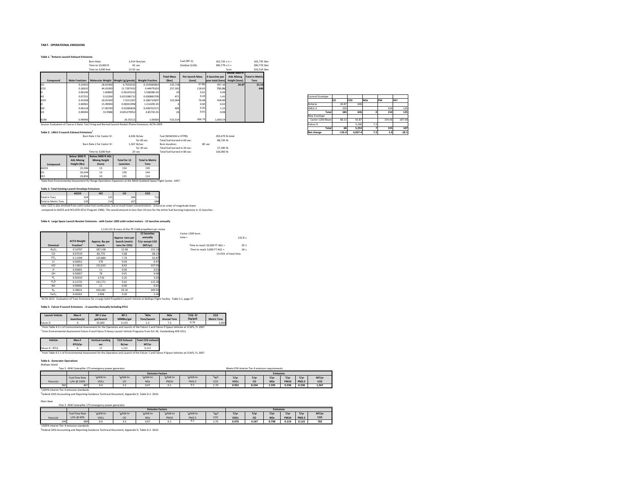#### **TAB F. OPERATIONAL EMISSIONS**

| Table 1. <sup>1</sup> Antares Launch Exhaust Emissions |  |  |  |  |  |  |  |
|--------------------------------------------------------|--|--|--|--|--|--|--|
|--------------------------------------------------------|--|--|--|--|--|--|--|

|                  |         | Burn Rate:                                                       |             | 2.414 lbm/sec                                                                                          |                            | Fuel (RP-1):              | $142.735 \times 1 =$                              |                 | 142.735 lbm                               |          |                         |    |                 |            |        |
|------------------|---------|------------------------------------------------------------------|-------------|--------------------------------------------------------------------------------------------------------|----------------------------|---------------------------|---------------------------------------------------|-----------------|-------------------------------------------|----------|-------------------------|----|-----------------|------------|--------|
|                  |         | Time to 10,000 ft                                                |             | 45 sec                                                                                                 |                            | Oxidizer (LOX):           | $390.779 \times 1 =$                              |                 | 390.779 lbm                               |          |                         |    |                 |            |        |
|                  |         | Time to 3,000 feet                                               | 13.50 sec   |                                                                                                        |                            |                           |                                                   | Sum:            | 533.514 lbm                               |          |                         |    |                 |            |        |
|                  |         |                                                                  |             |                                                                                                        |                            |                           |                                                   | I Below 3000 ft |                                           |          |                         |    |                 |            |        |
| Compound         |         | Mole Fractions Molecular Weight Weight (g/gmole) Weight Fraction |             |                                                                                                        | <b>Total Mass</b><br>(lbm) | Per-launch Mass<br>(tons) | 6 launches per<br>year total (tons) Height (tons) |                 | <b>AGL Mixing Total in Metric</b><br>Tons |          |                         |    |                 |            |        |
| co               | 0.23932 | 28,01000                                                         | 6.7033532   | 0.254385863                                                                                            | 135,718                    | 67.86                     | 407.16                                            | 24.87           | 22.19                                     |          |                         |    |                 |            |        |
| Ico <sub>2</sub> | 0.26632 | 44.01000                                                         | 11.7207432  | 0.44479103                                                                                             | 237.302                    | 118.65                    | 711.91                                            |                 | 646                                       |          |                         |    |                 |            |        |
|                  | 0.00144 | 1.00800                                                          | 0.00145152  | 5.50838E-05                                                                                            |                            | 0.01                      | 0.09                                              |                 |                                           |          |                         |    |                 |            |        |
| H <sub>2</sub>   | 0.07231 | 0.32204                                                          | 0.023286712 | 0.000883709                                                                                            | 471                        | 0.24                      | 1.41                                              |                 |                                           |          | <b>Current Envelope</b> |    |                 |            |        |
| H <sub>20</sub>  | 0.41938 | 18,01500                                                         | 7.5551307   | 0.286710007                                                                                            | 152.964                    | 76.48                     | 458.89                                            |                 |                                           |          |                         | co | CO <sub>2</sub> | <b>NOx</b> | PM     |
|                  | 0.00002 | 15,99900                                                         | 0.00031998  | 1.21429E-05                                                                                            |                            | 0.00                      | 0.02                                              |                 |                                           | Antares  |                         |    | 24.87           | 646        |        |
|                  | 0.00118 | 17.00700                                                         | 0.02006826  | 0.000761571                                                                                            | 406                        | 0.20                      | 1.22                                              |                 |                                           | LMLV-3   |                         |    | 159             |            | 154    |
|                  | 0.00004 | 31,9988                                                          | 0.001279952 | 4.8573E-05                                                                                             |                            | 0.01                      | 0.08                                              |                 |                                           |          | Total                   |    | 184             | 646        | 154    |
|                  |         |                                                                  |             |                                                                                                        |                            |                           |                                                   |                 |                                           |          | New Envelope            |    |                 |            |        |
| ISUM:            | 0.99999 |                                                                  | 26.35112    | 1.00000                                                                                                | 533,514                    | 266.76                    | 1,600.54                                          |                 |                                           |          | Castor 1200 Beast       |    | 68.13           | 92.87      | 154.56 |
|                  |         |                                                                  |             | Source: Evaluation of Taurus II Static Test Firing and Normal Launch Rocket Plume Emissions, ACTA 2009 |                            |                           |                                                   |                 |                                           | Falcon 9 |                         |    |                 | 5.160      | 7.2    |

| <b>U.U.I</b> | u.uy |  |                   |          |                 |            |        |         |
|--------------|------|--|-------------------|----------|-----------------|------------|--------|---------|
|              | 1.41 |  | Current Envelope  |          |                 |            |        |         |
| 458.89       |      |  |                   | lco      | CO <sub>2</sub> | <b>NOx</b> | PM     | HCI     |
| 0.02         |      |  | Antares           | 24.87    | 646             |            |        |         |
| 1.22         |      |  | LMLV-3            | 159      |                 |            | 154    | 125     |
| 0.08         |      |  | Total             | 184      | 646             |            | 154    | 125     |
|              |      |  | New Envelope      |          |                 |            |        |         |
| 1.600.54     |      |  | Castor 1200 Beast | 68.13    | 92.87           |            | 154.56 | 107.03  |
|              |      |  | Falcon 9          |          | 5.160           | 7.2        |        |         |
|              |      |  | Total             | 68       | 5.253           |            | 155    | 107     |
|              |      |  | Net change        | $-116.0$ | 4,607.4         | 7.2        | 1.0    | $-18.1$ |
|              |      |  |                   |          |                 |            |        |         |

|            | Table 2. IMIV-3 Launch Exhaust Emissions <sup>1</sup> |                                |                                 |                                |                              |                  |                  |
|------------|-------------------------------------------------------|--------------------------------|---------------------------------|--------------------------------|------------------------------|------------------|------------------|
|            |                                                       | Burn Rate 1 for Castor IV:     |                                 | 4.436 lb/sec                   | Fuel (NH4ClO4 in HTPB):      |                  | 293.479 lb total |
|            |                                                       |                                |                                 | for 60 sec                     | Total fuel burned in 60 sec: |                  | 88.720 lb        |
|            |                                                       | Burn Rate 2 for Castor IV:     |                                 | 1.367 lb/sec                   | Burn duration:               | 80 <sub>er</sub> |                  |
|            |                                                       |                                |                                 | for 20 sec                     | Total fuel burned in 20 sec: |                  | 27.340 lb        |
|            |                                                       | Time to 3,000 feet             |                                 | 20 sec                         | Total fuel burned in 80 sec: |                  | 116,060 lb       |
|            | Below 3000 ft                                         | Below 3000 ft AGL              |                                 |                                |                              |                  |                  |
| Compound   | <b>AGL Mixing</b><br><b>Height (lbs)</b>              | <b>Mixing Height</b><br>(tons) | Total for 12<br><b>Launches</b> | <b>Total in Metric</b><br>Tons |                              |                  |                  |
| AI203      | 25.596                                                | 13                             | 154                             | 139                            |                              |                  |                  |
| co         | 26544                                                 | 13                             | 159                             | 144                            |                              |                  |                  |
| <b>HCI</b> | 20.856                                                | 10                             | 125                             | 114                            |                              |                  |                  |

|                      | Table 3. Total Existing Launch Envelope Emissions |     |     |                 |  |
|----------------------|---------------------------------------------------|-----|-----|-----------------|--|
| Total in Tons        | Al2O3                                             | HCI | CO  | CO <sub>2</sub> |  |
|                      | 154                                               | 125 | 184 | 712             |  |
| Total in Metric Tons | 139                                               | 114 | 167 | 646             |  |

compared to Al2O3 and HCl (ATK‐EELV Program 1996). This would amount to less than 10 tons for the entire fuel‐burning trajectory in 12 launches.

#### Table 4. Large Space Launch Booster Emissions - with Castor 1200 solid rocket motors - 12 launches annually

|                                |                       |                 |                  | 12 launches     | Castor 1200 burn              |                 |
|--------------------------------|-----------------------|-----------------|------------------|-----------------|-------------------------------|-----------------|
|                                |                       |                 | Approx, tons per | annually        | $time =$                      | 132.8 s         |
|                                | <b>ACTA Weight</b>    | Approx. Ibs per | launch (metric   | T/yr except CO2 |                               |                 |
| Chemical                       | Fraction <sup>1</sup> | launch          | tons for CO2)    | (MT/yr)         | Time to reach 10,000 FT AGL = | 20 <sub>s</sub> |
| AI <sub>2</sub> O <sub>3</sub> | 0.16797               | 187.138         | 12.68            | 152.19          | Time to reach 3,000 FT AGL =  | 18 <sub>s</sub> |
| CO.                            | 0.07519               | 83,770          | 5.68             | 68.13           | 13.55% of total time          |                 |
| CO <sub>2</sub>                | 0.11299               | 125.884         | 7.74             | 92.87           |                               |                 |
| $\mathsf{C}$                   | 0.00052               | 579             | 0.04             | 0.47            |                               |                 |
| HCI                            | 0.11813               | 131.610         | 8.92             | 107.03          |                               |                 |
| н                              | 0.00001               | 11              | 0.00             | 0.01            |                               |                 |
| OH                             | 0.00007               | 78              | 0.01             | 0.06            |                               |                 |
| H <sub>2</sub>                 | 0.00333               | 3.710           | 0.25             | 3.02            |                               |                 |
| H, O                           | 0.12725               | 141.771         | 9.61             | 115.30          |                               |                 |
| NO.                            | 0.00001               | 11              | 0.00             | 0.01            |                               |                 |
| Ν,                             | 0.38621               | 430.282         | 29.16            | 349.93          |                               |                 |
| FeCl <sub>2</sub>              | 0.00261               | 2,908           | 0.20             | 2.36            |                               |                 |

#### **Table 5. Falcon 9 Launch Emissions ‐ 6 Launches Annually Including RTLS**

| Launch Vehicle                                                                                                                   | $Max$ #<br>launches/vr | RP-1 Use<br>gal/launch | $RP-1$<br>MMBtu/gal | 'NOx<br>Tons/launch | <b>NOx</b><br><b>Annual Tons</b> | $'$ CO <sub>2</sub> FF<br>(kg/gal)                                                                                                      | CO <sub>2</sub><br><b>Metric Tons</b> |  |
|----------------------------------------------------------------------------------------------------------------------------------|------------------------|------------------------|---------------------|---------------------|----------------------------------|-----------------------------------------------------------------------------------------------------------------------------------------|---------------------------------------|--|
| Falcon 9                                                                                                                         |                        | 35,000                 | 0.135               | 12                  | 77                               | 9.76                                                                                                                                    | 2.050                                 |  |
|                                                                                                                                  |                        |                        |                     |                     |                                  | from Table 4.5-1 of Environmental Assessment for the Operation and Launch of the Falcon 1 and Falcon 9 Space Vehicles at CCAFS. FL 2007 |                                       |  |
| <sup>2</sup> from Environmental Assessment Falcon 9 and Falcon 9 Heavy Launch Vehicle Programs from SLC-4E. Vandenberg AFB 2011. |                        |                        |                     |                     |                                  |                                                                                                                                         |                                       |  |

| Vehicle                                                                                                                                 | Max #   | <b>Vertical Landing</b> |        | Total CO2 exhaust |  |
|-----------------------------------------------------------------------------------------------------------------------------------------|---------|-------------------------|--------|-------------------|--|
|                                                                                                                                         | RTLS/vr | sec                     | lb/sec | MT/vr             |  |
| Falcon 9 - RTLS                                                                                                                         |         |                         | 1.121  | 3.111             |  |
| from Table 4.5-1 of Environmental Assessment for the Operation and Launch of the Falcon 1 and Falcon 9 Space Vehicles at CCAFS. FL 2007 |         |                         |        |                   |  |

#### **Table 6. Generator Operations**

### Wallops Island

| Two 3 -MW Caterpillar 175 emergency power generator |                       |         |         |                  |             |              |                 | Meets EPA Interim Tier 4 emission requirements |       |              |             |              |                 |
|-----------------------------------------------------|-----------------------|---------|---------|------------------|-------------|--------------|-----------------|------------------------------------------------|-------|--------------|-------------|--------------|-----------------|
|                                                     |                       |         |         | <b>Emissions</b> |             |              |                 |                                                |       |              |             |              |                 |
|                                                     | <b>Fuel Flow Rate</b> | e/kW-hr | e/kW-hr | g/kW-hr          | e/kW-hr     | e/kW-hr      | kg/l            | T/yr                                           | T/yr  | $T/\gamma r$ | T/vr        | T/vr         | MT/yr           |
| Hours/vr                                            | L/Hr @ 100%           | VOCs    | CO      | <b>NOx</b>       | <b>PM10</b> | <b>PM2.5</b> | CO <sub>2</sub> | VOCs                                           | CO    | <b>NOx</b>   | <b>PM10</b> | <b>PM2.5</b> | CO <sub>2</sub> |
| 360                                                 | 807                   | 0.4     |         | 0.67             | $_{0.1}$    | 0.1          | 2.70            | 0.952                                          | 8.334 | 1.595        | 0.238       | 0.238        | 1.567           |
|                                                     |                       |         |         |                  |             |              |                 |                                                |       |              |             |              |                 |

<sup>1</sup>USEPA Interim Tier 4 emission standards <sup>2</sup>Federal GHG Accounting and Reporting Guidance Technical Document, Appendix D, Table D-2. 2010.

| Main Base |                                                     |                      |                                             |                      |                      |                      |                 |       |       |                 |             |              |                 |  |
|-----------|-----------------------------------------------------|----------------------|---------------------------------------------|----------------------|----------------------|----------------------|-----------------|-------|-------|-----------------|-------------|--------------|-----------------|--|
|           | One 3 -MW Caterpillar 175 emergency power generator |                      |                                             |                      |                      |                      |                 |       |       |                 |             |              |                 |  |
|           |                                                     |                      | <b>Emissions</b><br><b>Emission Factors</b> |                      |                      |                      |                 |       |       |                 |             |              |                 |  |
|           | Fuel Flow Rate                                      | <sup>1</sup> g/kW-hr | <sup>1</sup> g/kW-hr                        | <sup>2</sup> g/kW-hr | <sup>1</sup> g/kW-hr | <sup>1</sup> g/kW-hr | kg/l            | T/yr  | T/yr  | $T/\gamma r$    | T/yr        | T/yr         | MT/yr           |  |
| Hours/yr  | L/Hr @ 60%                                          | VOCs                 | CO                                          | NO <sub>x</sub>      | <b>PM10</b>          | <b>PM2.5</b>         | CO <sub>2</sub> | VOCs  | CO    | NO <sub>x</sub> | <b>PM10</b> | <b>PM2.5</b> | CO <sub>2</sub> |  |
| 144       | 484                                                 | 0.4                  |                                             | 0.67                 | 0.1                  | 0.1                  | 2.70            | 0.476 | 4.167 | 0.798           | 0.119       | 0.119        | 783             |  |
|           | *USEPA Interim Tier 4 emission standards            |                      |                                             |                      |                      |                      |                 |       |       |                 |             |              |                 |  |

2Federal GHG Accounting and Reporting Guidance Technical Document, Appendix D, Table D‐2. 2010.